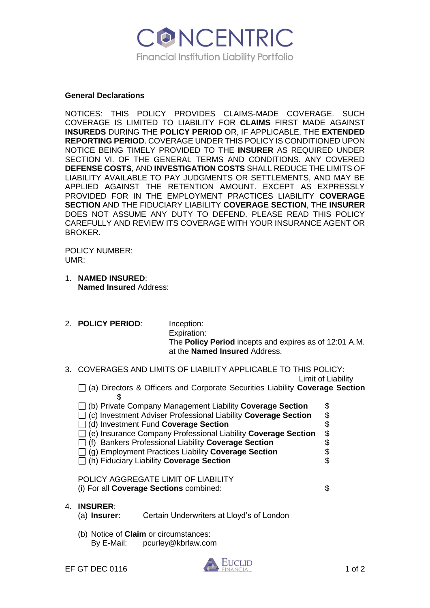

### **General Declarations**

NOTICES: THIS POLICY PROVIDES CLAIMS-MADE COVERAGE. SUCH COVERAGE IS LIMITED TO LIABILITY FOR **CLAIMS** FIRST MADE AGAINST **INSUREDS** DURING THE **POLICY PERIOD** OR, IF APPLICABLE, THE **EXTENDED REPORTING PERIOD**. COVERAGE UNDER THIS POLICY IS CONDITIONED UPON NOTICE BEING TIMELY PROVIDED TO THE **INSURER** AS REQUIRED UNDER SECTION VI. OF THE GENERAL TERMS AND CONDITIONS. ANY COVERED **DEFENSE COSTS**, AND **INVESTIGATION COSTS** SHALL REDUCE THE LIMITS OF LIABILITY AVAILABLE TO PAY JUDGMENTS OR SETTLEMENTS, AND MAY BE APPLIED AGAINST THE RETENTION AMOUNT. EXCEPT AS EXPRESSLY PROVIDED FOR IN THE EMPLOYMENT PRACTICES LIABILITY **COVERAGE SECTION** AND THE FIDUCIARY LIABILITY **COVERAGE SECTION**, THE **INSURER**  DOES NOT ASSUME ANY DUTY TO DEFEND. PLEASE READ THIS POLICY CAREFULLY AND REVIEW ITS COVERAGE WITH YOUR INSURANCE AGENT OR BROKER.

POLICY NUMBER: UMR:

- 1. **NAMED INSURED**: **Named Insured** Address:
- 2. **POLICY PERIOD**: Inception: Expiration: The **Policy Period** incepts and expires as of 12:01 A.M. at the **Named Insured** Address.
- 3. COVERAGES AND LIMITS OF LIABILITY APPLICABLE TO THIS POLICY:

Limit of Liability

- (a) Directors & Officers and Corporate Securities Liability **Coverage Section** \$
- □ (b) Private Company Management Liability **Coverage Section** \$<br>□ (c) Investment Adviser Professional Liability **Coverage Section** \$ (c) Investment Adviser Professional Liability **Coverage Section** \$ (d) Investment Fund **Coverage Section** \$ (e) Insurance Company Professional Liability **Coverage Section** \$ (f) Bankers Professional Liability **Coverage Section** \$ (g) Employment Practices Liability **Coverage Section** \$ (h) Fiduciary Liability **Coverage Section** \$

POLICY AGGREGATE LIMIT OF LIABILITY (i) For all **Coverage Sections** combined: \$

4. **INSURER**:

|  | (a) Insurer: |  | Certain Underwriters at Lloyd's of London |  |  |  |  |
|--|--------------|--|-------------------------------------------|--|--|--|--|
|--|--------------|--|-------------------------------------------|--|--|--|--|

(b) Notice of **Claim** or circumstances: By E-Mail: pcurley@kbrlaw.com

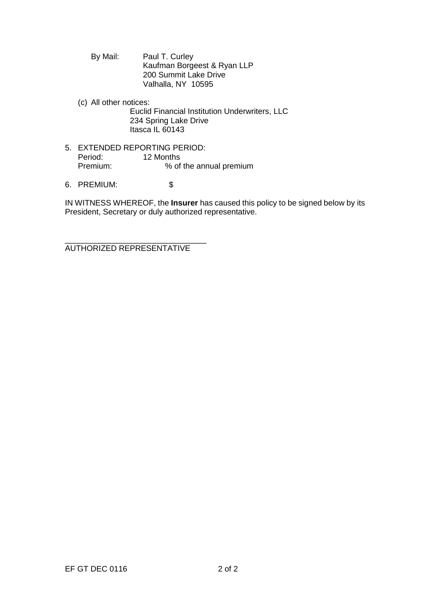By Mail: Paul T. Curley Kaufman Borgeest & Ryan LLP 200 Summit Lake Drive Valhalla, NY 10595

- (c) All other notices: Euclid Financial Institution Underwriters, LLC 234 Spring Lake Drive Itasca IL 60143
- 5. EXTENDED REPORTING PERIOD:<br>Period: 12 Months Period: 12 Months<br>Premium: % of % of the annual premium
- 6. PREMIUM: \$

IN WITNESS WHEREOF, the **Insurer** has caused this policy to be signed below by its President, Secretary or duly authorized representative.

\_\_\_\_\_\_\_\_\_\_\_\_\_\_\_\_\_\_\_\_\_\_\_\_\_\_\_\_\_\_\_\_ AUTHORIZED REPRESENTATIVE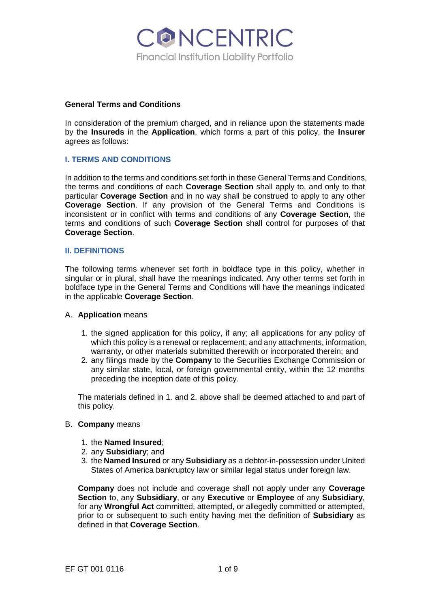

#### **General Terms and Conditions**

In consideration of the premium charged, and in reliance upon the statements made by the **Insureds** in the **Application**, which forms a part of this policy, the **Insurer**  agrees as follows:

## **I. TERMS AND CONDITIONS**

In addition to the terms and conditions set forth in these General Terms and Conditions, the terms and conditions of each **Coverage Section** shall apply to, and only to that particular **Coverage Section** and in no way shall be construed to apply to any other **Coverage Section**. If any provision of the General Terms and Conditions is inconsistent or in conflict with terms and conditions of any **Coverage Section**, the terms and conditions of such **Coverage Section** shall control for purposes of that **Coverage Section**.

### **II. DEFINITIONS**

The following terms whenever set forth in boldface type in this policy, whether in singular or in plural, shall have the meanings indicated. Any other terms set forth in boldface type in the General Terms and Conditions will have the meanings indicated in the applicable **Coverage Section**.

### A. **Application** means

- 1. the signed application for this policy, if any; all applications for any policy of which this policy is a renewal or replacement; and any attachments, information, warranty, or other materials submitted therewith or incorporated therein; and
- 2. any filings made by the **Company** to the Securities Exchange Commission or any similar state, local, or foreign governmental entity, within the 12 months preceding the inception date of this policy.

The materials defined in 1. and 2. above shall be deemed attached to and part of this policy.

### B. **Company** means

- 1. the **Named Insured**;
- 2. any **Subsidiary**; and
- 3. the **Named Insured** or any **Subsidiary** as a debtor-in-possession under United States of America bankruptcy law or similar legal status under foreign law.

**Company** does not include and coverage shall not apply under any **Coverage Section** to, any **Subsidiary**, or any **Executive** or **Employee** of any **Subsidiary**, for any **Wrongful Act** committed, attempted, or allegedly committed or attempted, prior to or subsequent to such entity having met the definition of **Subsidiary** as defined in that **Coverage Section**.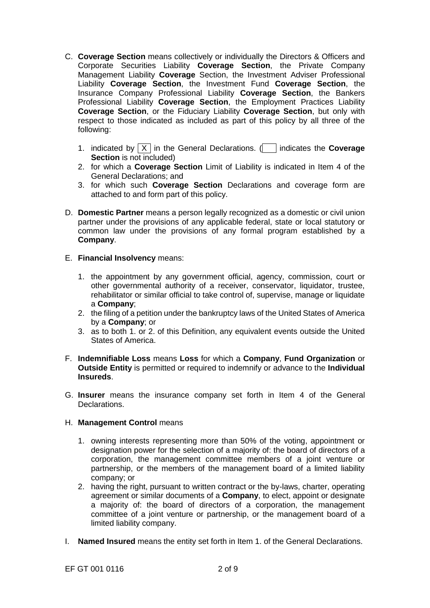- C. **Coverage Section** means collectively or individually the Directors & Officers and Corporate Securities Liability **Coverage Section**, the Private Company Management Liability **Coverage** Section, the Investment Adviser Professional Liability **Coverage Section**, the Investment Fund **Coverage Section**, the Insurance Company Professional Liability **Coverage Section**, the Bankers Professional Liability **Coverage Section**, the Employment Practices Liability **Coverage Section**, or the Fiduciary Liability **Coverage Section**, but only with respect to those indicated as included as part of this policy by all three of the following:
	- 1. indicated by  $\boxed{X}$  in the General Declarations. ( $\boxed{ }$  indicates the **Coverage Section** is not included)
	- 2. for which a **Coverage Section** Limit of Liability is indicated in Item 4 of the General Declarations; and
	- 3. for which such **Coverage Section** Declarations and coverage form are attached to and form part of this policy.
- D. **Domestic Partner** means a person legally recognized as a domestic or civil union partner under the provisions of any applicable federal, state or local statutory or common law under the provisions of any formal program established by a **Company**.
- E. **Financial Insolvency** means:
	- 1. the appointment by any government official, agency, commission, court or other governmental authority of a receiver, conservator, liquidator, trustee, rehabilitator or similar official to take control of, supervise, manage or liquidate a **Company**;
	- 2. the filing of a petition under the bankruptcy laws of the United States of America by a **Company**; or
	- 3. as to both 1. or 2. of this Definition, any equivalent events outside the United States of America.
- F. **Indemnifiable Loss** means **Loss** for which a **Company**, **Fund Organization** or **Outside Entity** is permitted or required to indemnify or advance to the **Individual Insureds**.
- G. **Insurer** means the insurance company set forth in Item 4 of the General Declarations.

### H. **Management Control** means

- 1. owning interests representing more than 50% of the voting, appointment or designation power for the selection of a majority of: the board of directors of a corporation, the management committee members of a joint venture or partnership, or the members of the management board of a limited liability company; or
- 2. having the right, pursuant to written contract or the by-laws, charter, operating agreement or similar documents of a **Company**, to elect, appoint or designate a majority of: the board of directors of a corporation, the management committee of a joint venture or partnership, or the management board of a limited liability company.
- I. **Named Insured** means the entity set forth in Item 1. of the General Declarations.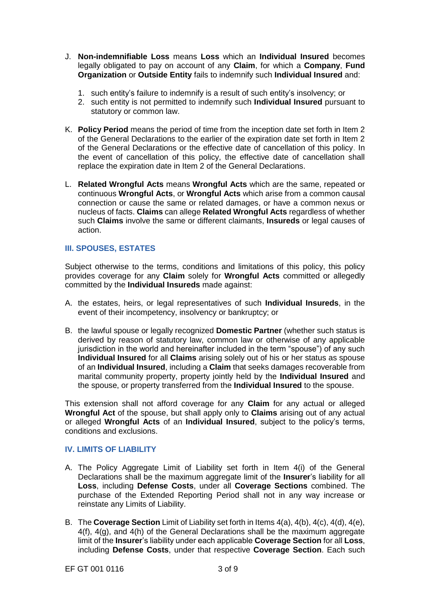- J. **Non-indemnifiable Loss** means **Loss** which an **Individual Insured** becomes legally obligated to pay on account of any **Claim**, for which a **Company**, **Fund Organization** or **Outside Entity** fails to indemnify such **Individual Insured** and:
	- 1. such entity's failure to indemnify is a result of such entity's insolvency; or
	- 2. such entity is not permitted to indemnify such **Individual Insured** pursuant to statutory or common law.
- K. **Policy Period** means the period of time from the inception date set forth in Item 2 of the General Declarations to the earlier of the expiration date set forth in Item 2 of the General Declarations or the effective date of cancellation of this policy. In the event of cancellation of this policy, the effective date of cancellation shall replace the expiration date in Item 2 of the General Declarations.
- L. **Related Wrongful Acts** means **Wrongful Acts** which are the same, repeated or continuous **Wrongful Acts**, or **Wrongful Acts** which arise from a common causal connection or cause the same or related damages, or have a common nexus or nucleus of facts. **Claims** can allege **Related Wrongful Acts** regardless of whether such **Claims** involve the same or different claimants, **Insureds** or legal causes of action.

# **III. SPOUSES, ESTATES**

Subject otherwise to the terms, conditions and limitations of this policy, this policy provides coverage for any **Claim** solely for **Wrongful Acts** committed or allegedly committed by the **Individual Insureds** made against:

- A. the estates, heirs, or legal representatives of such **Individual Insureds**, in the event of their incompetency, insolvency or bankruptcy; or
- B. the lawful spouse or legally recognized **Domestic Partner** (whether such status is derived by reason of statutory law, common law or otherwise of any applicable jurisdiction in the world and hereinafter included in the term "spouse") of any such **Individual Insured** for all **Claims** arising solely out of his or her status as spouse of an **Individual Insured**, including a **Claim** that seeks damages recoverable from marital community property, property jointly held by the **Individual Insured** and the spouse, or property transferred from the **Individual Insured** to the spouse.

This extension shall not afford coverage for any **Claim** for any actual or alleged **Wrongful Act** of the spouse, but shall apply only to **Claims** arising out of any actual or alleged **Wrongful Acts** of an **Individual Insured**, subject to the policy's terms, conditions and exclusions.

# **IV. LIMITS OF LIABILITY**

- A. The Policy Aggregate Limit of Liability set forth in Item 4(i) of the General Declarations shall be the maximum aggregate limit of the **Insurer**'s liability for all **Loss**, including **Defense Costs**, under all **Coverage Sections** combined. The purchase of the Extended Reporting Period shall not in any way increase or reinstate any Limits of Liability.
- B. The **Coverage Section** Limit of Liability set forth in Items 4(a), 4(b), 4(c), 4(d), 4(e), 4(f), 4(g), and 4(h) of the General Declarations shall be the maximum aggregate limit of the **Insurer**'s liability under each applicable **Coverage Section** for all **Loss**, including **Defense Costs**, under that respective **Coverage Section**. Each such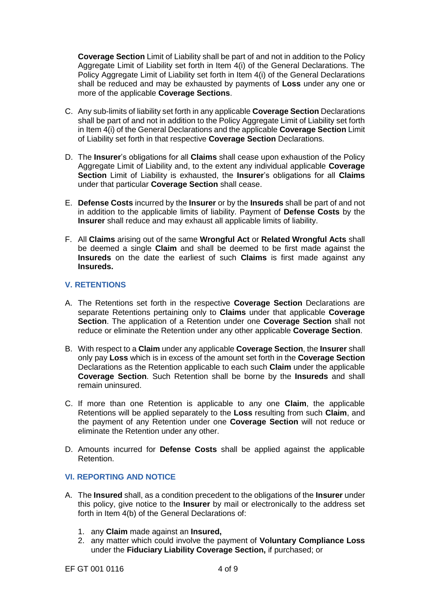**Coverage Section** Limit of Liability shall be part of and not in addition to the Policy Aggregate Limit of Liability set forth in Item 4(i) of the General Declarations. The Policy Aggregate Limit of Liability set forth in Item 4(i) of the General Declarations shall be reduced and may be exhausted by payments of **Loss** under any one or more of the applicable **Coverage Sections**.

- C. Any sub-limits of liability set forth in any applicable **Coverage Section** Declarations shall be part of and not in addition to the Policy Aggregate Limit of Liability set forth in Item 4(i) of the General Declarations and the applicable **Coverage Section** Limit of Liability set forth in that respective **Coverage Section** Declarations.
- D. The **Insurer**'s obligations for all **Claims** shall cease upon exhaustion of the Policy Aggregate Limit of Liability and, to the extent any individual applicable **Coverage Section** Limit of Liability is exhausted, the **Insurer**'s obligations for all **Claims**  under that particular **Coverage Section** shall cease.
- E. **Defense Costs** incurred by the **Insurer** or by the **Insureds** shall be part of and not in addition to the applicable limits of liability. Payment of **Defense Costs** by the **Insurer** shall reduce and may exhaust all applicable limits of liability.
- F. All **Claims** arising out of the same **Wrongful Act** or **Related Wrongful Acts** shall be deemed a single **Claim** and shall be deemed to be first made against the **Insureds** on the date the earliest of such **Claims** is first made against any **Insureds.**

# **V. RETENTIONS**

- A. The Retentions set forth in the respective **Coverage Section** Declarations are separate Retentions pertaining only to **Claims** under that applicable **Coverage Section**. The application of a Retention under one **Coverage Section** shall not reduce or eliminate the Retention under any other applicable **Coverage Section**.
- B. With respect to a **Claim** under any applicable **Coverage Section**, the **Insurer** shall only pay **Loss** which is in excess of the amount set forth in the **Coverage Section** Declarations as the Retention applicable to each such **Claim** under the applicable **Coverage Section**. Such Retention shall be borne by the **Insureds** and shall remain uninsured.
- C. If more than one Retention is applicable to any one **Claim**, the applicable Retentions will be applied separately to the **Loss** resulting from such **Claim**, and the payment of any Retention under one **Coverage Section** will not reduce or eliminate the Retention under any other.
- D. Amounts incurred for **Defense Costs** shall be applied against the applicable Retention.

# **VI. REPORTING AND NOTICE**

- A. The **Insured** shall, as a condition precedent to the obligations of the **Insurer** under this policy, give notice to the **Insurer** by mail or electronically to the address set forth in Item 4(b) of the General Declarations of:
	- 1. any **Claim** made against an **Insured,**
	- 2. any matter which could involve the payment of **Voluntary Compliance Loss**  under the **Fiduciary Liability Coverage Section,** if purchased; or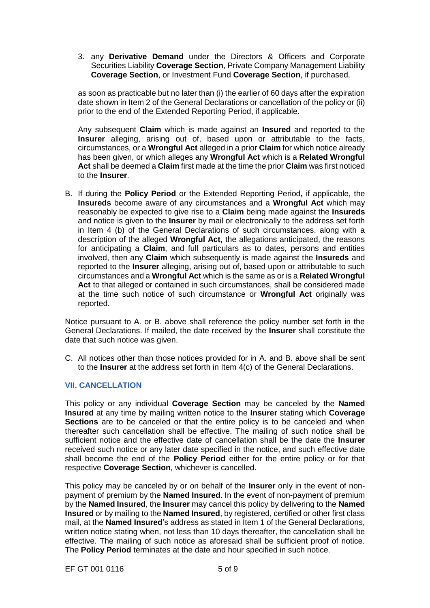3. any **Derivative Demand** under the Directors & Officers and Corporate Securities Liability **Coverage Section**, Private Company Management Liability **Coverage Section**, or Investment Fund **Coverage Section**, if purchased,

as soon as practicable but no later than (i) the earlier of 60 days after the expiration date shown in Item 2 of the General Declarations or cancellation of the policy or (ii) prior to the end of the Extended Reporting Period, if applicable.

Any subsequent **Claim** which is made against an **Insured** and reported to the **Insurer** alleging, arising out of, based upon or attributable to the facts, circumstances, or a **Wrongful Act** alleged in a prior **Claim** for which notice already has been given, or which alleges any **Wrongful Act** which is a **Related Wrongful Act** shall be deemed a **Claim** first made at the time the prior **Claim** was first noticed to the **Insurer**.

B. If during the **Policy Period** or the Extended Reporting Period**,** if applicable, the **Insureds** become aware of any circumstances and a **Wrongful Act** which may reasonably be expected to give rise to a **Claim** being made against the **Insureds**  and notice is given to the **Insurer** by mail or electronically to the address set forth in Item 4 (b) of the General Declarations of such circumstances, along with a description of the alleged **Wrongful Act,** the allegations anticipated, the reasons for anticipating a **Claim**, and full particulars as to dates, persons and entities involved, then any **Claim** which subsequently is made against the **Insureds** and reported to the **Insurer** alleging, arising out of, based upon or attributable to such circumstances and a **Wrongful Act** which is the same as or is a **Related Wrongful**  Act to that alleged or contained in such circumstances, shall be considered made at the time such notice of such circumstance or **Wrongful Act** originally was reported.

Notice pursuant to A. or B. above shall reference the policy number set forth in the General Declarations. If mailed, the date received by the **Insurer** shall constitute the date that such notice was given.

C. All notices other than those notices provided for in A. and B. above shall be sent to the **Insurer** at the address set forth in Item 4(c) of the General Declarations.

## **VII. CANCELLATION**

This policy or any individual **Coverage Section** may be canceled by the **Named Insured** at any time by mailing written notice to the **Insurer** stating which **Coverage Sections** are to be canceled or that the entire policy is to be canceled and when thereafter such cancellation shall be effective. The mailing of such notice shall be sufficient notice and the effective date of cancellation shall be the date the **Insurer**  received such notice or any later date specified in the notice, and such effective date shall become the end of the **Policy Period** either for the entire policy or for that respective **Coverage Section**, whichever is cancelled.

This policy may be canceled by or on behalf of the **Insurer** only in the event of nonpayment of premium by the **Named Insured**. In the event of non-payment of premium by the **Named Insured**, the **Insurer** may cancel this policy by delivering to the **Named Insured** or by mailing to the **Named Insured**, by registered, certified or other first class mail, at the **Named Insured**'s address as stated in Item 1 of the General Declarations, written notice stating when, not less than 10 days thereafter, the cancellation shall be effective. The mailing of such notice as aforesaid shall be sufficient proof of notice. The **Policy Period** terminates at the date and hour specified in such notice.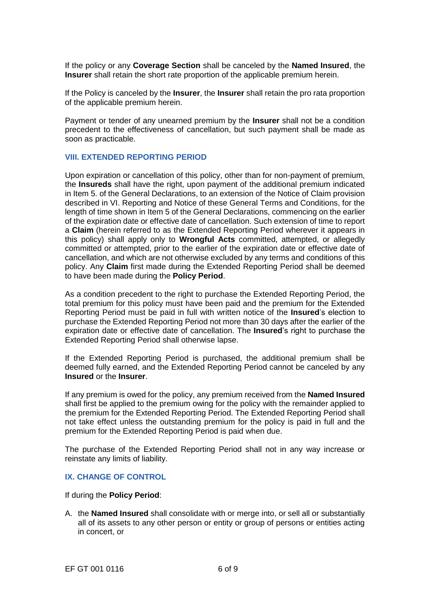If the policy or any **Coverage Section** shall be canceled by the **Named Insured**, the **Insurer** shall retain the short rate proportion of the applicable premium herein.

If the Policy is canceled by the **Insurer**, the **Insurer** shall retain the pro rata proportion of the applicable premium herein.

Payment or tender of any unearned premium by the **Insurer** shall not be a condition precedent to the effectiveness of cancellation, but such payment shall be made as soon as practicable.

## **VIII. EXTENDED REPORTING PERIOD**

Upon expiration or cancellation of this policy, other than for non-payment of premium, the **Insureds** shall have the right, upon payment of the additional premium indicated in Item 5. of the General Declarations, to an extension of the Notice of Claim provision described in VI. Reporting and Notice of these General Terms and Conditions, for the length of time shown in Item 5 of the General Declarations, commencing on the earlier of the expiration date or effective date of cancellation. Such extension of time to report a **Claim** (herein referred to as the Extended Reporting Period wherever it appears in this policy) shall apply only to **Wrongful Acts** committed, attempted, or allegedly committed or attempted, prior to the earlier of the expiration date or effective date of cancellation, and which are not otherwise excluded by any terms and conditions of this policy. Any **Claim** first made during the Extended Reporting Period shall be deemed to have been made during the **Policy Period**.

As a condition precedent to the right to purchase the Extended Reporting Period, the total premium for this policy must have been paid and the premium for the Extended Reporting Period must be paid in full with written notice of the **Insured**'s election to purchase the Extended Reporting Period not more than 30 days after the earlier of the expiration date or effective date of cancellation. The **Insured**'s right to purchase the Extended Reporting Period shall otherwise lapse.

If the Extended Reporting Period is purchased, the additional premium shall be deemed fully earned, and the Extended Reporting Period cannot be canceled by any **Insured** or the **Insurer**.

If any premium is owed for the policy, any premium received from the **Named Insured**  shall first be applied to the premium owing for the policy with the remainder applied to the premium for the Extended Reporting Period. The Extended Reporting Period shall not take effect unless the outstanding premium for the policy is paid in full and the premium for the Extended Reporting Period is paid when due.

The purchase of the Extended Reporting Period shall not in any way increase or reinstate any limits of liability.

### **IX. CHANGE OF CONTROL**

If during the **Policy Period**:

A. the **Named Insured** shall consolidate with or merge into, or sell all or substantially all of its assets to any other person or entity or group of persons or entities acting in concert, or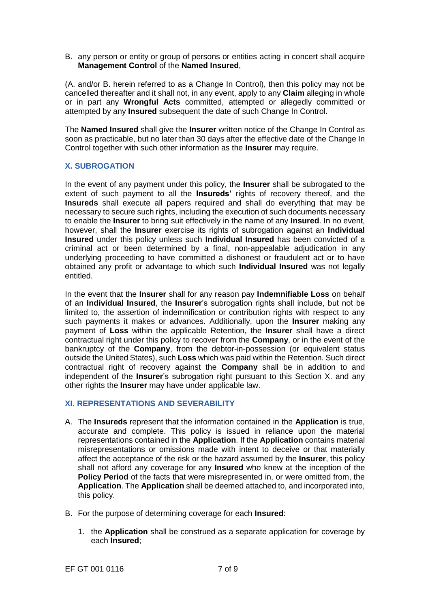B. any person or entity or group of persons or entities acting in concert shall acquire **Management Control** of the **Named Insured**,

(A. and/or B. herein referred to as a Change In Control), then this policy may not be cancelled thereafter and it shall not, in any event, apply to any **Claim** alleging in whole or in part any **Wrongful Acts** committed, attempted or allegedly committed or attempted by any **Insured** subsequent the date of such Change In Control.

The **Named Insured** shall give the **Insurer** written notice of the Change In Control as soon as practicable, but no later than 30 days after the effective date of the Change In Control together with such other information as the **Insurer** may require.

# **X. SUBROGATION**

In the event of any payment under this policy, the **Insurer** shall be subrogated to the extent of such payment to all the **Insureds'** rights of recovery thereof, and the **Insureds** shall execute all papers required and shall do everything that may be necessary to secure such rights, including the execution of such documents necessary to enable the **Insurer** to bring suit effectively in the name of any **Insured**. In no event, however, shall the **Insurer** exercise its rights of subrogation against an **Individual Insured** under this policy unless such **Individual Insured** has been convicted of a criminal act or been determined by a final, non-appealable adjudication in any underlying proceeding to have committed a dishonest or fraudulent act or to have obtained any profit or advantage to which such **Individual Insured** was not legally entitled.

In the event that the **Insurer** shall for any reason pay **Indemnifiable Loss** on behalf of an **Individual Insured**, the **Insurer**'s subrogation rights shall include, but not be limited to, the assertion of indemnification or contribution rights with respect to any such payments it makes or advances. Additionally, upon the **Insurer** making any payment of **Loss** within the applicable Retention, the **Insurer** shall have a direct contractual right under this policy to recover from the **Company**, or in the event of the bankruptcy of the **Company**, from the debtor-in-possession (or equivalent status outside the United States), such **Loss** which was paid within the Retention. Such direct contractual right of recovery against the **Company** shall be in addition to and independent of the **Insurer**'s subrogation right pursuant to this Section X. and any other rights the **Insurer** may have under applicable law.

### **XI. REPRESENTATIONS AND SEVERABILITY**

- A. The **Insureds** represent that the information contained in the **Application** is true, accurate and complete. This policy is issued in reliance upon the material representations contained in the **Application**. If the **Application** contains material misrepresentations or omissions made with intent to deceive or that materially affect the acceptance of the risk or the hazard assumed by the **Insurer**, this policy shall not afford any coverage for any **Insured** who knew at the inception of the **Policy Period** of the facts that were misrepresented in, or were omitted from, the **Application**. The **Application** shall be deemed attached to, and incorporated into, this policy.
- B. For the purpose of determining coverage for each **Insured**:
	- 1. the **Application** shall be construed as a separate application for coverage by each **Insured**;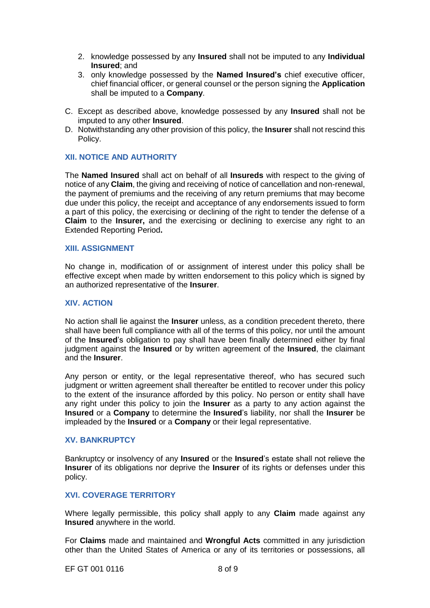- 2. knowledge possessed by any **Insured** shall not be imputed to any **Individual Insured**; and
- 3. only knowledge possessed by the **Named Insured's** chief executive officer, chief financial officer, or general counsel or the person signing the **Application**  shall be imputed to a **Company**.
- C. Except as described above, knowledge possessed by any **Insured** shall not be imputed to any other **Insured**.
- D. Notwithstanding any other provision of this policy, the **Insurer** shall not rescind this Policy.

# **XII. NOTICE AND AUTHORITY**

The **Named Insured** shall act on behalf of all **Insureds** with respect to the giving of notice of any **Claim**, the giving and receiving of notice of cancellation and non-renewal, the payment of premiums and the receiving of any return premiums that may become due under this policy, the receipt and acceptance of any endorsements issued to form a part of this policy, the exercising or declining of the right to tender the defense of a **Claim** to the **Insurer,** and the exercising or declining to exercise any right to an Extended Reporting Period**.**

#### **XIII. ASSIGNMENT**

No change in, modification of or assignment of interest under this policy shall be effective except when made by written endorsement to this policy which is signed by an authorized representative of the **Insurer**.

#### **XIV. ACTION**

No action shall lie against the **Insurer** unless, as a condition precedent thereto, there shall have been full compliance with all of the terms of this policy, nor until the amount of the **Insured**'s obligation to pay shall have been finally determined either by final judgment against the **Insured** or by written agreement of the **Insured**, the claimant and the **Insurer**.

Any person or entity, or the legal representative thereof, who has secured such judgment or written agreement shall thereafter be entitled to recover under this policy to the extent of the insurance afforded by this policy. No person or entity shall have any right under this policy to join the **Insurer** as a party to any action against the **Insured** or a **Company** to determine the **Insured**'s liability, nor shall the **Insurer** be impleaded by the **Insured** or a **Company** or their legal representative.

## **XV. BANKRUPTCY**

Bankruptcy or insolvency of any **Insured** or the **Insured**'s estate shall not relieve the **Insurer** of its obligations nor deprive the **Insurer** of its rights or defenses under this policy.

## **XVI. COVERAGE TERRITORY**

Where legally permissible, this policy shall apply to any **Claim** made against any **Insured** anywhere in the world.

For **Claims** made and maintained and **Wrongful Acts** committed in any jurisdiction other than the United States of America or any of its territories or possessions, all

EF GT 001 0116 8 of 9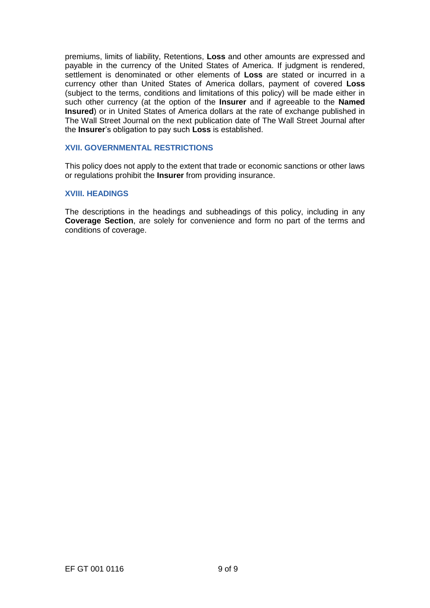premiums, limits of liability, Retentions, **Loss** and other amounts are expressed and payable in the currency of the United States of America. If judgment is rendered, settlement is denominated or other elements of **Loss** are stated or incurred in a currency other than United States of America dollars, payment of covered **Loss**  (subject to the terms, conditions and limitations of this policy) will be made either in such other currency (at the option of the **Insurer** and if agreeable to the **Named Insured**) or in United States of America dollars at the rate of exchange published in The Wall Street Journal on the next publication date of The Wall Street Journal after the **Insurer**'s obligation to pay such **Loss** is established.

# **XVII. GOVERNMENTAL RESTRICTIONS**

This policy does not apply to the extent that trade or economic sanctions or other laws or regulations prohibit the **Insurer** from providing insurance.

### **XVIII. HEADINGS**

The descriptions in the headings and subheadings of this policy, including in any **Coverage Section**, are solely for convenience and form no part of the terms and conditions of coverage.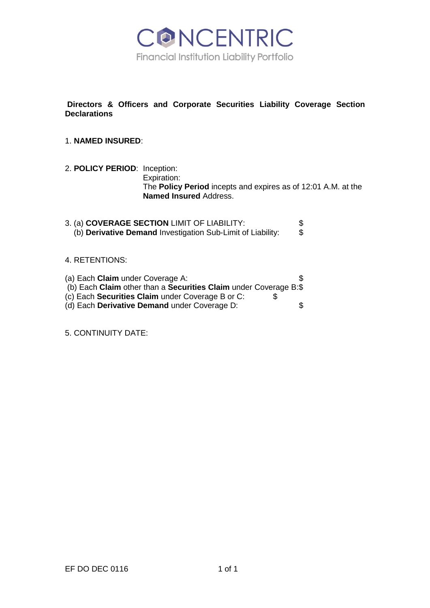

**Directors & Officers and Corporate Securities Liability Coverage Section Declarations**

# 1. **NAMED INSURED**:

- 2. **POLICY PERIOD**: Inception: Expiration: The **Policy Period** incepts and expires as of 12:01 A.M. at the **Named Insured** Address.
- 3. (a) **COVERAGE SECTION** LIMIT OF LIABILITY: \$ (b) **Derivative Demand** Investigation Sub-Limit of Liability:

## 4. RETENTIONS:

| (a) Each Claim under Coverage A:                                 |     |
|------------------------------------------------------------------|-----|
| (b) Each Claim other than a Securities Claim under Coverage B:\$ |     |
| (c) Each Securities Claim under Coverage B or C:                 | S   |
| (d) Each Derivative Demand under Coverage D:                     | \$. |
|                                                                  |     |

5. CONTINUITY DATE: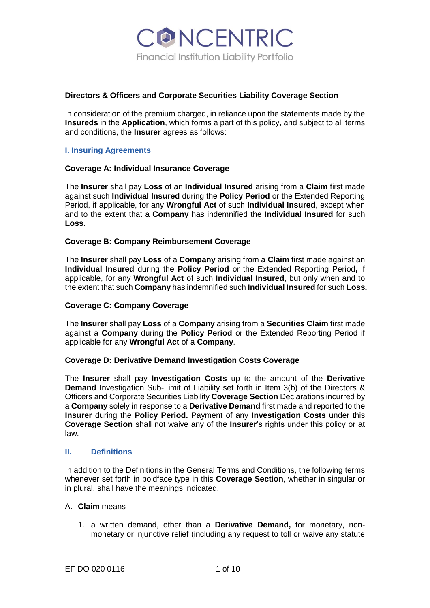

## **Directors & Officers and Corporate Securities Liability Coverage Section**

In consideration of the premium charged, in reliance upon the statements made by the **Insureds** in the **Application**, which forms a part of this policy, and subject to all terms and conditions, the **Insurer** agrees as follows:

## **I. Insuring Agreements**

### **Coverage A: Individual Insurance Coverage**

The **Insurer** shall pay **Loss** of an **Individual Insured** arising from a **Claim** first made against such **Individual Insured** during the **Policy Period** or the Extended Reporting Period, if applicable, for any **Wrongful Act** of such **Individual Insured**, except when and to the extent that a **Company** has indemnified the **Individual Insured** for such **Loss**.

### **Coverage B: Company Reimbursement Coverage**

The **Insurer** shall pay **Loss** of a **Company** arising from a **Claim** first made against an **Individual Insured** during the **Policy Period** or the Extended Reporting Period**,** if applicable, for any **Wrongful Act** of such **Individual Insured**, but only when and to the extent that such **Company** has indemnified such **Individual Insured** for such **Loss.**

### **Coverage C: Company Coverage**

The **Insurer** shall pay **Loss** of a **Company** arising from a **Securities Claim** first made against a **Company** during the **Policy Period** or the Extended Reporting Period if applicable for any **Wrongful Act** of a **Company**.

### **Coverage D: Derivative Demand Investigation Costs Coverage**

The **Insurer** shall pay **Investigation Costs** up to the amount of the **Derivative Demand** Investigation Sub-Limit of Liability set forth in Item 3(b) of the Directors & Officers and Corporate Securities Liability **Coverage Section** Declarations incurred by a **Company** solely in response to a **Derivative Demand** first made and reported to the **Insurer** during the **Policy Period.** Payment of any **Investigation Costs** under this **Coverage Section** shall not waive any of the **Insurer**'s rights under this policy or at law.

### **II. Definitions**

In addition to the Definitions in the General Terms and Conditions, the following terms whenever set forth in boldface type in this **Coverage Section**, whether in singular or in plural, shall have the meanings indicated.

### A. **Claim** means

1. a written demand, other than a **Derivative Demand,** for monetary, nonmonetary or injunctive relief (including any request to toll or waive any statute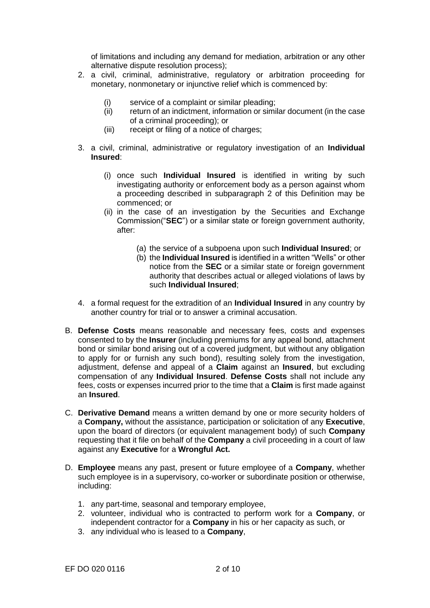of limitations and including any demand for mediation, arbitration or any other alternative dispute resolution process);

- 2. a civil, criminal, administrative, regulatory or arbitration proceeding for monetary, nonmonetary or injunctive relief which is commenced by:
	- (i) service of a complaint or similar pleading;
	- (ii) return of an indictment, information or similar document (in the case of a criminal proceeding); or
	- (iii) receipt or filing of a notice of charges;
- 3. a civil, criminal, administrative or regulatory investigation of an **Individual Insured**:
	- (i) once such **Individual Insured** is identified in writing by such investigating authority or enforcement body as a person against whom a proceeding described in subparagraph 2 of this Definition may be commenced; or
	- (ii) in the case of an investigation by the Securities and Exchange Commission("**SEC**") or a similar state or foreign government authority, after:
		- (a) the service of a subpoena upon such **Individual Insured**; or
		- (b) the **Individual Insured** is identified in a written "Wells" or other notice from the **SEC** or a similar state or foreign government authority that describes actual or alleged violations of laws by such **Individual Insured**;
- 4. a formal request for the extradition of an **Individual Insured** in any country by another country for trial or to answer a criminal accusation.
- B. **Defense Costs** means reasonable and necessary fees, costs and expenses consented to by the **Insurer** (including premiums for any appeal bond, attachment bond or similar bond arising out of a covered judgment, but without any obligation to apply for or furnish any such bond), resulting solely from the investigation, adjustment, defense and appeal of a **Claim** against an **Insured**, but excluding compensation of any **Individual Insured**. **Defense Costs** shall not include any fees, costs or expenses incurred prior to the time that a **Claim** is first made against an **Insured**.
- C. **Derivative Demand** means a written demand by one or more security holders of a **Company,** without the assistance, participation or solicitation of any **Executive**, upon the board of directors (or equivalent management body) of such **Company**  requesting that it file on behalf of the **Company** a civil proceeding in a court of law against any **Executive** for a **Wrongful Act.**
- D. **Employee** means any past, present or future employee of a **Company**, whether such employee is in a supervisory, co-worker or subordinate position or otherwise, including:
	- 1. any part-time, seasonal and temporary employee,
	- 2. volunteer, individual who is contracted to perform work for a **Company**, or independent contractor for a **Company** in his or her capacity as such, or
	- 3. any individual who is leased to a **Company**,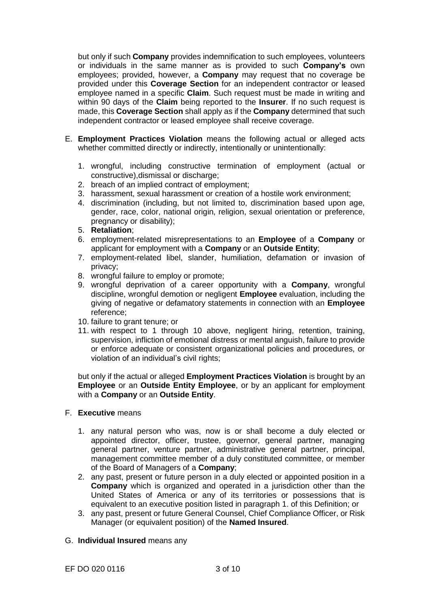but only if such **Company** provides indemnification to such employees, volunteers or individuals in the same manner as is provided to such **Company's** own employees; provided, however, a **Company** may request that no coverage be provided under this **Coverage Section** for an independent contractor or leased employee named in a specific **Claim**. Such request must be made in writing and within 90 days of the **Claim** being reported to the **Insurer**. If no such request is made, this **Coverage Section** shall apply as if the **Company** determined that such independent contractor or leased employee shall receive coverage.

- E. **Employment Practices Violation** means the following actual or alleged acts whether committed directly or indirectly, intentionally or unintentionally:
	- 1. wrongful, including constructive termination of employment (actual or constructive),dismissal or discharge;
	- 2. breach of an implied contract of employment;
	- 3. harassment, sexual harassment or creation of a hostile work environment;
	- 4. discrimination (including, but not limited to, discrimination based upon age, gender, race, color, national origin, religion, sexual orientation or preference, pregnancy or disability);
	- 5. **Retaliation**;
	- 6. employment-related misrepresentations to an **Employee** of a **Company** or applicant for employment with a **Company** or an **Outside Entity**;
	- 7. employment-related libel, slander, humiliation, defamation or invasion of privacy;
	- 8. wrongful failure to employ or promote;
	- 9. wrongful deprivation of a career opportunity with a **Company**, wrongful discipline, wrongful demotion or negligent **Employee** evaluation, including the giving of negative or defamatory statements in connection with an **Employee**  reference;
	- 10. failure to grant tenure; or
	- 11. with respect to 1 through 10 above, negligent hiring, retention, training, supervision, infliction of emotional distress or mental anguish, failure to provide or enforce adequate or consistent organizational policies and procedures, or violation of an individual's civil rights;

but only if the actual or alleged **Employment Practices Violation** is brought by an **Employee** or an **Outside Entity Employee**, or by an applicant for employment with a **Company** or an **Outside Entity**.

- F. **Executive** means
	- 1. any natural person who was, now is or shall become a duly elected or appointed director, officer, trustee, governor, general partner, managing general partner, venture partner, administrative general partner, principal, management committee member of a duly constituted committee, or member of the Board of Managers of a **Company**;
	- 2. any past, present or future person in a duly elected or appointed position in a **Company** which is organized and operated in a jurisdiction other than the United States of America or any of its territories or possessions that is equivalent to an executive position listed in paragraph 1. of this Definition; or
	- 3. any past, present or future General Counsel, Chief Compliance Officer, or Risk Manager (or equivalent position) of the **Named Insured**.
- G. **Individual Insured** means any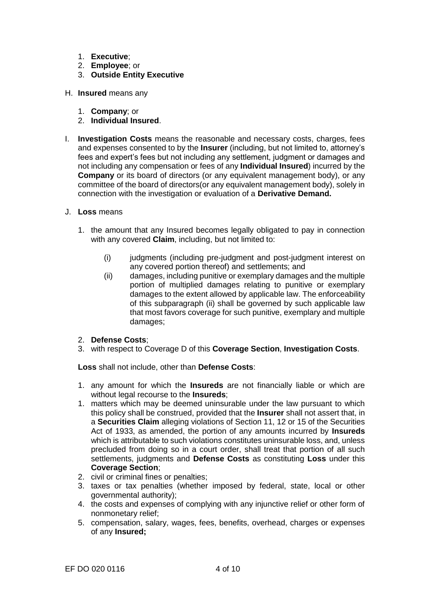- 1. **Executive**;
- 2. **Employee**; or
- 3. **Outside Entity Executive**
- H. **Insured** means any
	- 1. **Company**; or
	- 2. **Individual Insured**.
- I. **Investigation Costs** means the reasonable and necessary costs, charges, fees and expenses consented to by the **Insurer** (including, but not limited to, attorney's fees and expert's fees but not including any settlement, judgment or damages and not including any compensation or fees of any **Individual Insured**) incurred by the **Company** or its board of directors (or any equivalent management body), or any committee of the board of directors(or any equivalent management body), solely in connection with the investigation or evaluation of a **Derivative Demand.**
- J. **Loss** means
	- 1. the amount that any Insured becomes legally obligated to pay in connection with any covered **Claim**, including, but not limited to:
		- (i) judgments (including pre-judgment and post-judgment interest on any covered portion thereof) and settlements; and
		- (ii) damages, including punitive or exemplary damages and the multiple portion of multiplied damages relating to punitive or exemplary damages to the extent allowed by applicable law. The enforceability of this subparagraph (ii) shall be governed by such applicable law that most favors coverage for such punitive, exemplary and multiple damages;
	- 2. **Defense Costs**;
	- 3. with respect to Coverage D of this **Coverage Section**, **Investigation Costs**.

**Loss** shall not include, other than **Defense Costs**:

- 1. any amount for which the **Insureds** are not financially liable or which are without legal recourse to the **Insureds**;
- 1. matters which may be deemed uninsurable under the law pursuant to which this policy shall be construed, provided that the **Insurer** shall not assert that, in a **Securities Claim** alleging violations of Section 11, 12 or 15 of the Securities Act of 1933, as amended, the portion of any amounts incurred by **Insureds**  which is attributable to such violations constitutes uninsurable loss, and, unless precluded from doing so in a court order, shall treat that portion of all such settlements, judgments and **Defense Costs** as constituting **Loss** under this **Coverage Section**;
- 2. civil or criminal fines or penalties;
- 3. taxes or tax penalties (whether imposed by federal, state, local or other governmental authority);
- 4. the costs and expenses of complying with any injunctive relief or other form of nonmonetary relief;
- 5. compensation, salary, wages, fees, benefits, overhead, charges or expenses of any **Insured;**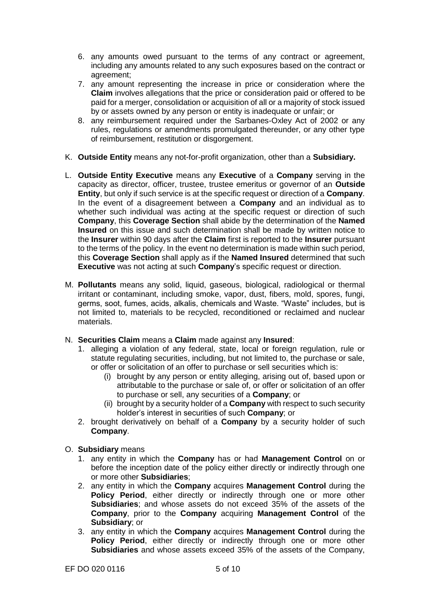- 6. any amounts owed pursuant to the terms of any contract or agreement, including any amounts related to any such exposures based on the contract or agreement;
- 7. any amount representing the increase in price or consideration where the **Claim** involves allegations that the price or consideration paid or offered to be paid for a merger, consolidation or acquisition of all or a majority of stock issued by or assets owned by any person or entity is inadequate or unfair; or
- 8. any reimbursement required under the Sarbanes-Oxley Act of 2002 or any rules, regulations or amendments promulgated thereunder, or any other type of reimbursement, restitution or disgorgement.
- K. **Outside Entity** means any not-for-profit organization, other than a **Subsidiary.**
- L. **Outside Entity Executive** means any **Executive** of a **Company** serving in the capacity as director, officer, trustee, trustee emeritus or governor of an **Outside Entity**, but only if such service is at the specific request or direction of a **Company**. In the event of a disagreement between a **Company** and an individual as to whether such individual was acting at the specific request or direction of such **Company**, this **Coverage Section** shall abide by the determination of the **Named Insured** on this issue and such determination shall be made by written notice to the **Insurer** within 90 days after the **Claim** first is reported to the **Insurer** pursuant to the terms of the policy. In the event no determination is made within such period, this **Coverage Section** shall apply as if the **Named Insured** determined that such **Executive** was not acting at such **Company**'s specific request or direction.
- M. **Pollutants** means any solid, liquid, gaseous, biological, radiological or thermal irritant or contaminant, including smoke, vapor, dust, fibers, mold, spores, fungi, germs, soot, fumes, acids, alkalis, chemicals and Waste. "Waste" includes, but is not limited to, materials to be recycled, reconditioned or reclaimed and nuclear materials.
- N. **Securities Claim** means a **Claim** made against any **Insured**:
	- 1. alleging a violation of any federal, state, local or foreign regulation, rule or statute regulating securities, including, but not limited to, the purchase or sale, or offer or solicitation of an offer to purchase or sell securities which is:
		- (i) brought by any person or entity alleging, arising out of, based upon or attributable to the purchase or sale of, or offer or solicitation of an offer to purchase or sell, any securities of a **Company**; or
		- (ii) brought by a security holder of a **Company** with respect to such security holder's interest in securities of such **Company**; or
	- 2. brought derivatively on behalf of a **Company** by a security holder of such **Company**.
- O. **Subsidiary** means
	- 1. any entity in which the **Company** has or had **Management Control** on or before the inception date of the policy either directly or indirectly through one or more other **Subsidiaries**;
	- 2. any entity in which the **Company** acquires **Management Control** during the **Policy Period**, either directly or indirectly through one or more other **Subsidiaries**; and whose assets do not exceed 35% of the assets of the **Company**, prior to the **Company** acquiring **Management Control** of the **Subsidiary**; or
	- 3. any entity in which the **Company** acquires **Management Control** during the **Policy Period**, either directly or indirectly through one or more other **Subsidiaries** and whose assets exceed 35% of the assets of the Company,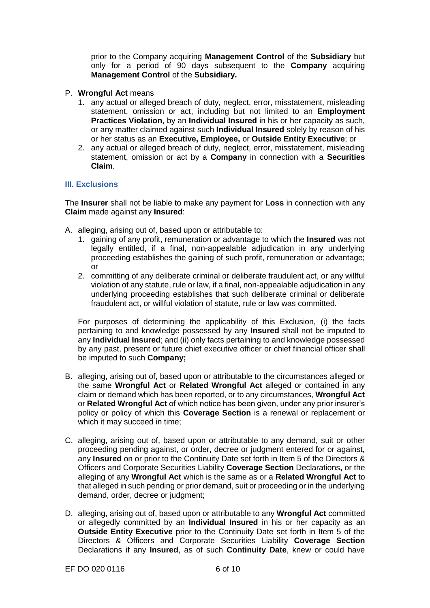prior to the Company acquiring **Management Control** of the **Subsidiary** but only for a period of 90 days subsequent to the **Company** acquiring **Management Control** of the **Subsidiary.**

- P. **Wrongful Act** means
	- 1. any actual or alleged breach of duty, neglect, error, misstatement, misleading statement, omission or act, including but not limited to an **Employment Practices Violation**, by an **Individual Insured** in his or her capacity as such, or any matter claimed against such **Individual Insured** solely by reason of his or her status as an **Executive, Employee,** or **Outside Entity Executive**; or
	- 2. any actual or alleged breach of duty, neglect, error, misstatement, misleading statement, omission or act by a **Company** in connection with a **Securities Claim**.

# **III. Exclusions**

The **Insurer** shall not be liable to make any payment for **Loss** in connection with any **Claim** made against any **Insured**:

- A. alleging, arising out of, based upon or attributable to:
	- 1. gaining of any profit, remuneration or advantage to which the **Insured** was not legally entitled, if a final, non-appealable adjudication in any underlying proceeding establishes the gaining of such profit, remuneration or advantage; or
	- 2. committing of any deliberate criminal or deliberate fraudulent act, or any willful violation of any statute, rule or law, if a final, non-appealable adjudication in any underlying proceeding establishes that such deliberate criminal or deliberate fraudulent act, or willful violation of statute, rule or law was committed.

For purposes of determining the applicability of this Exclusion, (i) the facts pertaining to and knowledge possessed by any **Insured** shall not be imputed to any **Individual Insured**; and (ii) only facts pertaining to and knowledge possessed by any past, present or future chief executive officer or chief financial officer shall be imputed to such **Company;**

- B. alleging, arising out of, based upon or attributable to the circumstances alleged or the same **Wrongful Act** or **Related Wrongful Act** alleged or contained in any claim or demand which has been reported, or to any circumstances, **Wrongful Act**  or **Related Wrongful Act** of which notice has been given, under any prior insurer's policy or policy of which this **Coverage Section** is a renewal or replacement or which it may succeed in time;
- C. alleging, arising out of, based upon or attributable to any demand, suit or other proceeding pending against, or order, decree or judgment entered for or against, any **Insured** on or prior to the Continuity Date set forth in Item 5 of the Directors & Officers and Corporate Securities Liability **Coverage Section** Declarations**,** or the alleging of any **Wrongful Act** which is the same as or a **Related Wrongful Act** to that alleged in such pending or prior demand, suit or proceeding or in the underlying demand, order, decree or judgment;
- D. alleging, arising out of, based upon or attributable to any **Wrongful Act** committed or allegedly committed by an **Individual Insured** in his or her capacity as an **Outside Entity Executive** prior to the Continuity Date set forth in Item 5 of the Directors & Officers and Corporate Securities Liability **Coverage Section** Declarations if any **Insured**, as of such **Continuity Date**, knew or could have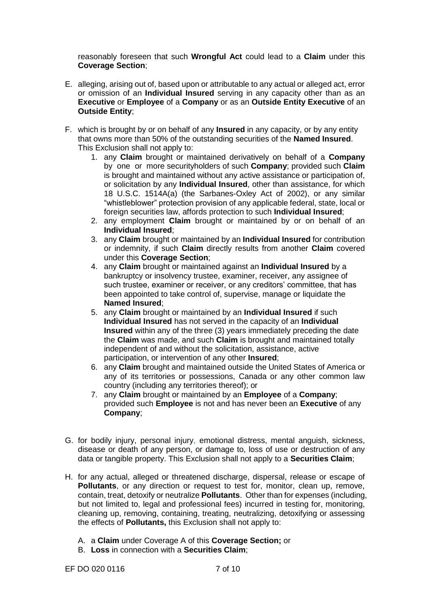reasonably foreseen that such **Wrongful Act** could lead to a **Claim** under this **Coverage Section**;

- E. alleging, arising out of, based upon or attributable to any actual or alleged act, error or omission of an **Individual Insured** serving in any capacity other than as an **Executive** or **Employee** of a **Company** or as an **Outside Entity Executive** of an **Outside Entity**;
- F. which is brought by or on behalf of any **Insured** in any capacity, or by any entity that owns more than 50% of the outstanding securities of the **Named Insured**. This Exclusion shall not apply to:
	- 1. any **Claim** brought or maintained derivatively on behalf of a **Company**  by one or more securityholders of such **Company**; provided such **Claim**  is brought and maintained without any active assistance or participation of, or solicitation by any **Individual Insured**, other than assistance, for which 18 U.S.C. 1514A(a) (the Sarbanes-Oxley Act of 2002), or any similar "whistleblower" protection provision of any applicable federal, state, local or foreign securities law, affords protection to such **Individual Insured**;
	- 2. any employment **Claim** brought or maintained by or on behalf of an **Individual Insured**;
	- 3. any **Claim** brought or maintained by an **Individual Insured** for contribution or indemnity, if such **Claim** directly results from another **Claim** covered under this **Coverage Section**;
	- 4. any **Claim** brought or maintained against an **Individual Insured** by a bankruptcy or insolvency trustee, examiner, receiver, any assignee of such trustee, examiner or receiver, or any creditors' committee, that has been appointed to take control of, supervise, manage or liquidate the **Named Insured**;
	- 5. any **Claim** brought or maintained by an **Individual Insured** if such **Individual Insured** has not served in the capacity of an **Individual Insured** within any of the three (3) years immediately preceding the date the **Claim** was made, and such **Claim** is brought and maintained totally independent of and without the solicitation, assistance, active participation, or intervention of any other **Insured**;
	- 6. any **Claim** brought and maintained outside the United States of America or any of its territories or possessions, Canada or any other common law country (including any territories thereof); or
	- 7. any **Claim** brought or maintained by an **Employee** of a **Company**; provided such **Employee** is not and has never been an **Executive** of any **Company**;
- G. for bodily injury, personal injury, emotional distress, mental anguish, sickness, disease or death of any person, or damage to, loss of use or destruction of any data or tangible property. This Exclusion shall not apply to a **Securities Claim**;
- H. for any actual, alleged or threatened discharge, dispersal, release or escape of **Pollutants**, or any direction or request to test for, monitor, clean up, remove, contain, treat, detoxify or neutralize **Pollutants**. Other than for expenses (including, but not limited to, legal and professional fees) incurred in testing for, monitoring, cleaning up, removing, containing, treating, neutralizing, detoxifying or assessing the effects of **Pollutants,** this Exclusion shall not apply to:
	- A. a **Claim** under Coverage A of this **Coverage Section;** or
	- B. **Loss** in connection with a **Securities Claim**;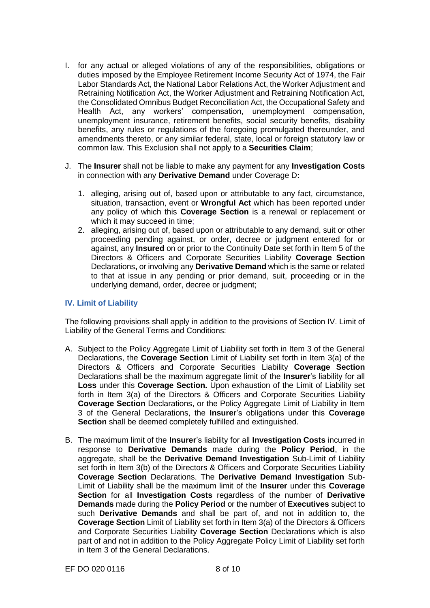- I. for any actual or alleged violations of any of the responsibilities, obligations or duties imposed by the Employee Retirement Income Security Act of 1974, the Fair Labor Standards Act, the National Labor Relations Act, the Worker Adjustment and Retraining Notification Act, the Worker Adjustment and Retraining Notification Act, the Consolidated Omnibus Budget Reconciliation Act, the Occupational Safety and Health Act, any workers' compensation, unemployment compensation, unemployment insurance, retirement benefits, social security benefits, disability benefits, any rules or regulations of the foregoing promulgated thereunder, and amendments thereto, or any similar federal, state, local or foreign statutory law or common law. This Exclusion shall not apply to a **Securities Claim**;
- J. The **Insurer** shall not be liable to make any payment for any **Investigation Costs**  in connection with any **Derivative Demand** under Coverage D**:**
	- 1. alleging, arising out of, based upon or attributable to any fact, circumstance, situation, transaction, event or **Wrongful Act** which has been reported under any policy of which this **Coverage Section** is a renewal or replacement or which it may succeed in time;
	- 2. alleging, arising out of, based upon or attributable to any demand, suit or other proceeding pending against, or order, decree or judgment entered for or against, any **Insured** on or prior to the Continuity Date set forth in Item 5 of the Directors & Officers and Corporate Securities Liability **Coverage Section** Declarations**,** or involving any **Derivative Demand** which is the same or related to that at issue in any pending or prior demand, suit, proceeding or in the underlying demand, order, decree or judgment;

## **IV. Limit of Liability**

The following provisions shall apply in addition to the provisions of Section IV. Limit of Liability of the General Terms and Conditions:

- A. Subject to the Policy Aggregate Limit of Liability set forth in Item 3 of the General Declarations, the **Coverage Section** Limit of Liability set forth in Item 3(a) of the Directors & Officers and Corporate Securities Liability **Coverage Section** Declarations shall be the maximum aggregate limit of the **Insurer**'s liability for all **Loss** under this **Coverage Section.** Upon exhaustion of the Limit of Liability set forth in Item 3(a) of the Directors & Officers and Corporate Securities Liability **Coverage Section** Declarations, or the Policy Aggregate Limit of Liability in Item 3 of the General Declarations, the **Insurer**'s obligations under this **Coverage Section** shall be deemed completely fulfilled and extinguished.
- B. The maximum limit of the **Insurer**'s liability for all **Investigation Costs** incurred in response to **Derivative Demands** made during the **Policy Period**, in the aggregate, shall be the **Derivative Demand Investigation** Sub-Limit of Liability set forth in Item 3(b) of the Directors & Officers and Corporate Securities Liability **Coverage Section** Declarations. The **Derivative Demand Investigation** Sub-Limit of Liability shall be the maximum limit of the **Insurer** under this **Coverage Section** for all **Investigation Costs** regardless of the number of **Derivative Demands** made during the **Policy Period** or the number of **Executives** subject to such **Derivative Demands** and shall be part of, and not in addition to, the **Coverage Section** Limit of Liability set forth in Item 3(a) of the Directors & Officers and Corporate Securities Liability **Coverage Section** Declarations which is also part of and not in addition to the Policy Aggregate Policy Limit of Liability set forth in Item 3 of the General Declarations.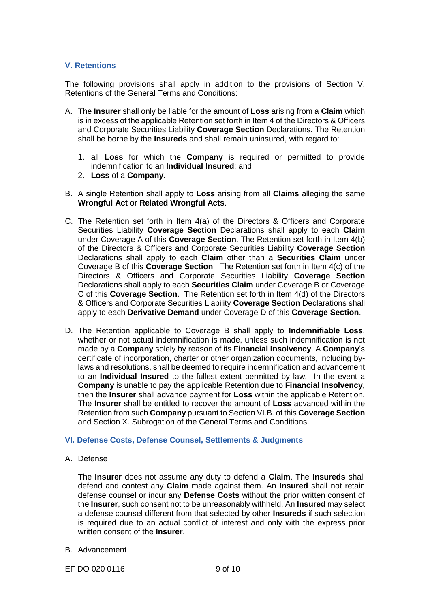# **V. Retentions**

The following provisions shall apply in addition to the provisions of Section V. Retentions of the General Terms and Conditions:

- A. The **Insurer** shall only be liable for the amount of **Loss** arising from a **Claim** which is in excess of the applicable Retention set forth in Item 4 of the Directors & Officers and Corporate Securities Liability **Coverage Section** Declarations. The Retention shall be borne by the **Insureds** and shall remain uninsured, with regard to:
	- 1. all **Loss** for which the **Company** is required or permitted to provide indemnification to an **Individual Insured**; and
	- 2. **Loss** of a **Company**.
- B. A single Retention shall apply to **Loss** arising from all **Claims** alleging the same **Wrongful Act** or **Related Wrongful Acts**.
- C. The Retention set forth in Item 4(a) of the Directors & Officers and Corporate Securities Liability **Coverage Section** Declarations shall apply to each **Claim**  under Coverage A of this **Coverage Section**. The Retention set forth in Item 4(b) of the Directors & Officers and Corporate Securities Liability **Coverage Section** Declarations shall apply to each **Claim** other than a **Securities Claim** under Coverage B of this **Coverage Section**. The Retention set forth in Item 4(c) of the Directors & Officers and Corporate Securities Liability **Coverage Section** Declarations shall apply to each **Securities Claim** under Coverage B or Coverage C of this **Coverage Section**. The Retention set forth in Item 4(d) of the Directors & Officers and Corporate Securities Liability **Coverage Section** Declarations shall apply to each **Derivative Demand** under Coverage D of this **Coverage Section**.
- D. The Retention applicable to Coverage B shall apply to **Indemnifiable Loss**, whether or not actual indemnification is made, unless such indemnification is not made by a **Company** solely by reason of its **Financial Insolvency**. A **Company**'s certificate of incorporation, charter or other organization documents, including bylaws and resolutions, shall be deemed to require indemnification and advancement to an **Individual Insured** to the fullest extent permitted by law. In the event a **Company** is unable to pay the applicable Retention due to **Financial Insolvency**, then the **Insurer** shall advance payment for **Loss** within the applicable Retention. The **Insurer** shall be entitled to recover the amount of **Loss** advanced within the Retention from such **Company** pursuant to Section VI.B. of this **Coverage Section** and Section X. Subrogation of the General Terms and Conditions.

### **VI. Defense Costs, Defense Counsel, Settlements & Judgments**

A. Defense

The **Insurer** does not assume any duty to defend a **Claim**. The **Insureds** shall defend and contest any **Claim** made against them. An **Insured** shall not retain defense counsel or incur any **Defense Costs** without the prior written consent of the **Insurer**, such consent not to be unreasonably withheld. An **Insured** may select a defense counsel different from that selected by other **Insureds** if such selection is required due to an actual conflict of interest and only with the express prior written consent of the **Insurer**.

B. Advancement

EF DO 020 0116 9 of 10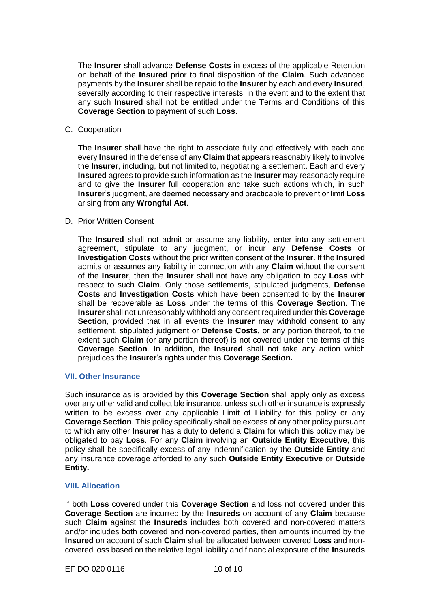The **Insurer** shall advance **Defense Costs** in excess of the applicable Retention on behalf of the **Insured** prior to final disposition of the **Claim**. Such advanced payments by the **Insurer** shall be repaid to the **Insurer** by each and every **Insured**, severally according to their respective interests, in the event and to the extent that any such **Insured** shall not be entitled under the Terms and Conditions of this **Coverage Section** to payment of such **Loss**.

C. Cooperation

The **Insurer** shall have the right to associate fully and effectively with each and every **Insured** in the defense of any **Claim** that appears reasonably likely to involve the **Insurer**, including, but not limited to, negotiating a settlement. Each and every **Insured** agrees to provide such information as the **Insurer** may reasonably require and to give the **Insurer** full cooperation and take such actions which, in such **Insurer**'s judgment, are deemed necessary and practicable to prevent or limit **Loss**  arising from any **Wrongful Act**.

## D. Prior Written Consent

The **Insured** shall not admit or assume any liability, enter into any settlement agreement, stipulate to any judgment, or incur any **Defense Costs** or **Investigation Costs** without the prior written consent of the **Insurer**. If the **Insured**  admits or assumes any liability in connection with any **Claim** without the consent of the **Insurer**, then the **Insurer** shall not have any obligation to pay **Loss** with respect to such **Claim**. Only those settlements, stipulated judgments, **Defense Costs** and **Investigation Costs** which have been consented to by the **Insurer**  shall be recoverable as **Loss** under the terms of this **Coverage Section**. The **Insurer** shall not unreasonably withhold any consent required under this **Coverage Section**, provided that in all events the **Insurer** may withhold consent to any settlement, stipulated judgment or **Defense Costs**, or any portion thereof, to the extent such **Claim** (or any portion thereof) is not covered under the terms of this **Coverage Section**. In addition, the **Insured** shall not take any action which prejudices the **Insurer**'s rights under this **Coverage Section.**

# **VII. Other Insurance**

Such insurance as is provided by this **Coverage Section** shall apply only as excess over any other valid and collectible insurance, unless such other insurance is expressly written to be excess over any applicable Limit of Liability for this policy or any **Coverage Section**. This policy specifically shall be excess of any other policy pursuant to which any other **Insurer** has a duty to defend a **Claim** for which this policy may be obligated to pay **Loss**. For any **Claim** involving an **Outside Entity Executive**, this policy shall be specifically excess of any indemnification by the **Outside Entity** and any insurance coverage afforded to any such **Outside Entity Executive** or **Outside Entity.**

# **VIII. Allocation**

If both **Loss** covered under this **Coverage Section** and loss not covered under this **Coverage Section** are incurred by the **Insureds** on account of any **Claim** because such **Claim** against the **Insureds** includes both covered and non-covered matters and/or includes both covered and non-covered parties, then amounts incurred by the **Insured** on account of such **Claim** shall be allocated between covered **Loss** and noncovered loss based on the relative legal liability and financial exposure of the **Insureds**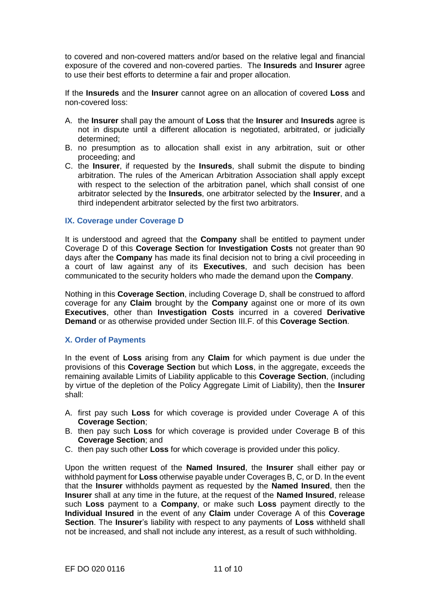to covered and non-covered matters and/or based on the relative legal and financial exposure of the covered and non-covered parties. The **Insureds** and **Insurer** agree to use their best efforts to determine a fair and proper allocation.

If the **Insureds** and the **Insurer** cannot agree on an allocation of covered **Loss** and non-covered loss:

- A. the **Insurer** shall pay the amount of **Loss** that the **Insurer** and **Insureds** agree is not in dispute until a different allocation is negotiated, arbitrated, or judicially determined;
- B. no presumption as to allocation shall exist in any arbitration, suit or other proceeding; and
- C. the **Insurer**, if requested by the **Insureds**, shall submit the dispute to binding arbitration. The rules of the American Arbitration Association shall apply except with respect to the selection of the arbitration panel, which shall consist of one arbitrator selected by the **Insureds**, one arbitrator selected by the **Insurer**, and a third independent arbitrator selected by the first two arbitrators.

## **IX. Coverage under Coverage D**

It is understood and agreed that the **Company** shall be entitled to payment under Coverage D of this **Coverage Section** for **Investigation Costs** not greater than 90 days after the **Company** has made its final decision not to bring a civil proceeding in a court of law against any of its **Executives**, and such decision has been communicated to the security holders who made the demand upon the **Company**.

Nothing in this **Coverage Section**, including Coverage D, shall be construed to afford coverage for any **Claim** brought by the **Company** against one or more of its own **Executives**, other than **Investigation Costs** incurred in a covered **Derivative Demand** or as otherwise provided under Section III.F. of this **Coverage Section**.

### **X. Order of Payments**

In the event of **Loss** arising from any **Claim** for which payment is due under the provisions of this **Coverage Section** but which **Loss**, in the aggregate, exceeds the remaining available Limits of Liability applicable to this **Coverage Section**, (including by virtue of the depletion of the Policy Aggregate Limit of Liability), then the **Insurer**  shall:

- A. first pay such **Loss** for which coverage is provided under Coverage A of this **Coverage Section**;
- B. then pay such **Loss** for which coverage is provided under Coverage B of this **Coverage Section**; and
- C. then pay such other **Loss** for which coverage is provided under this policy.

Upon the written request of the **Named Insured**, the **Insurer** shall either pay or withhold payment for **Loss** otherwise payable under Coverages B, C, or D. In the event that the **Insurer** withholds payment as requested by the **Named Insured**, then the **Insurer** shall at any time in the future, at the request of the **Named Insured**, release such **Loss** payment to a **Company**, or make such **Loss** payment directly to the **Individual Insured** in the event of any **Claim** under Coverage A of this **Coverage Section**. The **Insurer**'s liability with respect to any payments of **Loss** withheld shall not be increased, and shall not include any interest, as a result of such withholding.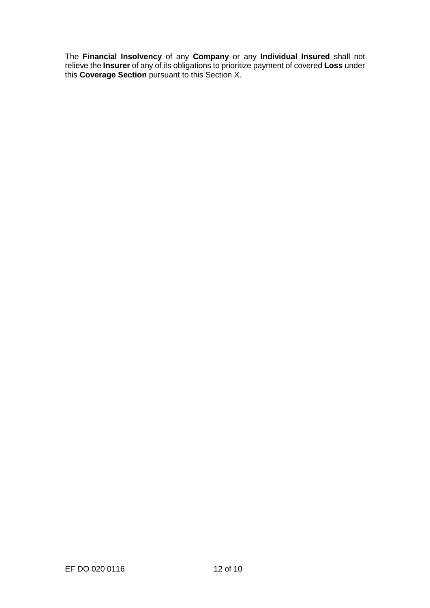The **Financial Insolvency** of any **Company** or any **Individual Insured** shall not relieve the **Insurer** of any of its obligations to prioritize payment of covered **Loss** under this **Coverage Section** pursuant to this Section X.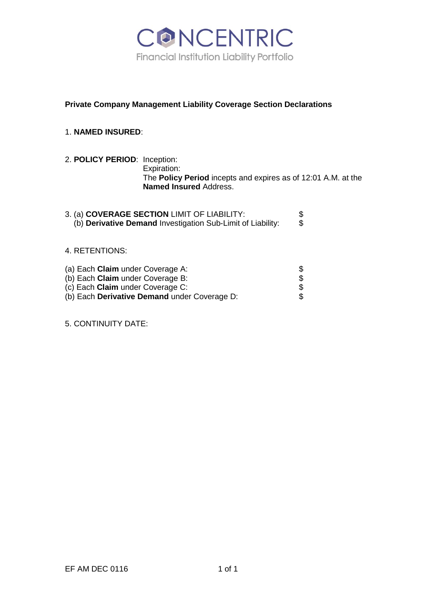

# **Private Company Management Liability Coverage Section Declarations**

# 1. **NAMED INSURED**:

2. **POLICY PERIOD**: Inception: Expiration: The **Policy Period** incepts and expires as of 12:01 A.M. at the **Named Insured** Address.

| 3. (a) COVERAGE SECTION LIMIT OF LIABILITY:                 |  |
|-------------------------------------------------------------|--|
| (b) Derivative Demand Investigation Sub-Limit of Liability: |  |

# 4. RETENTIONS:

| (a) Each <b>Claim</b> under Coverage A:      |  |
|----------------------------------------------|--|
| (b) Each <b>Claim</b> under Coverage B:      |  |
| (c) Each <b>Claim</b> under Coverage C:      |  |
| (b) Each Derivative Demand under Coverage D: |  |

5. CONTINUITY DATE: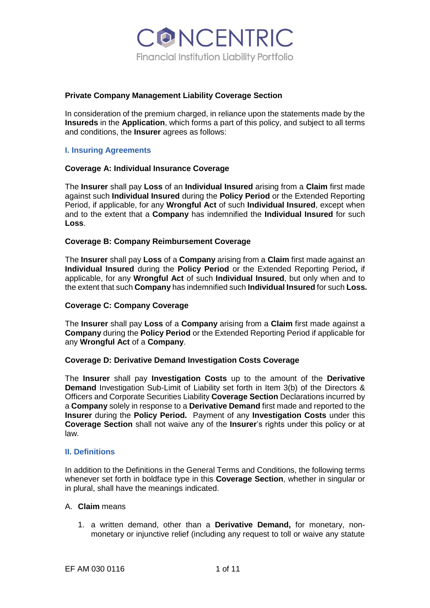

### **Private Company Management Liability Coverage Section**

In consideration of the premium charged, in reliance upon the statements made by the **Insureds** in the **Application**, which forms a part of this policy, and subject to all terms and conditions, the **Insurer** agrees as follows:

### **I. Insuring Agreements**

### **Coverage A: Individual Insurance Coverage**

The **Insurer** shall pay **Loss** of an **Individual Insured** arising from a **Claim** first made against such **Individual Insured** during the **Policy Period** or the Extended Reporting Period, if applicable, for any **Wrongful Act** of such **Individual Insured**, except when and to the extent that a **Company** has indemnified the **Individual Insured** for such **Loss**.

## **Coverage B: Company Reimbursement Coverage**

The **Insurer** shall pay **Loss** of a **Company** arising from a **Claim** first made against an **Individual Insured** during the **Policy Period** or the Extended Reporting Period**,** if applicable, for any **Wrongful Act** of such **Individual Insured**, but only when and to the extent that such **Company** has indemnified such **Individual Insured** for such **Loss.**

### **Coverage C: Company Coverage**

The **Insurer** shall pay **Loss** of a **Company** arising from a **Claim** first made against a **Company** during the **Policy Period** or the Extended Reporting Period if applicable for any **Wrongful Act** of a **Company**.

### **Coverage D: Derivative Demand Investigation Costs Coverage**

The **Insurer** shall pay **Investigation Costs** up to the amount of the **Derivative Demand** Investigation Sub-Limit of Liability set forth in Item 3(b) of the Directors & Officers and Corporate Securities Liability **Coverage Section** Declarations incurred by a **Company** solely in response to a **Derivative Demand** first made and reported to the **Insurer** during the **Policy Period.** Payment of any **Investigation Costs** under this **Coverage Section** shall not waive any of the **Insurer**'s rights under this policy or at law.

### **II. Definitions**

In addition to the Definitions in the General Terms and Conditions, the following terms whenever set forth in boldface type in this **Coverage Section**, whether in singular or in plural, shall have the meanings indicated.

### A. **Claim** means

1. a written demand, other than a **Derivative Demand,** for monetary, nonmonetary or injunctive relief (including any request to toll or waive any statute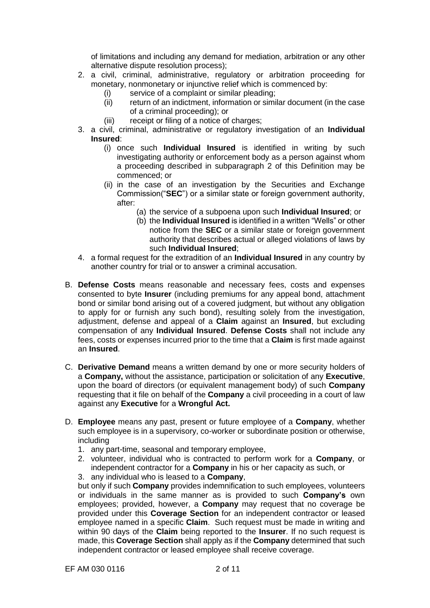of limitations and including any demand for mediation, arbitration or any other alternative dispute resolution process);

- 2. a civil, criminal, administrative, regulatory or arbitration proceeding for monetary, nonmonetary or injunctive relief which is commenced by:
	- (i) service of a complaint or similar pleading;
	- (ii) return of an indictment, information or similar document (in the case of a criminal proceeding); or
	- (iii) receipt or filing of a notice of charges;
- 3. a civil, criminal, administrative or regulatory investigation of an **Individual Insured**:
	- (i) once such **Individual Insured** is identified in writing by such investigating authority or enforcement body as a person against whom a proceeding described in subparagraph 2 of this Definition may be commenced; or
	- (ii) in the case of an investigation by the Securities and Exchange Commission("**SEC**") or a similar state or foreign government authority, after:
		- (a) the service of a subpoena upon such **Individual Insured**; or
		- (b) the **Individual Insured** is identified in a written "Wells" or other notice from the **SEC** or a similar state or foreign government authority that describes actual or alleged violations of laws by such **Individual Insured**;
- 4. a formal request for the extradition of an **Individual Insured** in any country by another country for trial or to answer a criminal accusation.
- B. **Defense Costs** means reasonable and necessary fees, costs and expenses consented to byte **Insurer** (including premiums for any appeal bond, attachment bond or similar bond arising out of a covered judgment, but without any obligation to apply for or furnish any such bond), resulting solely from the investigation, adjustment, defense and appeal of a **Claim** against an **Insured**, but excluding compensation of any **Individual Insured**. **Defense Costs** shall not include any fees, costs or expenses incurred prior to the time that a **Claim** is first made against an **Insured**.
- C. **Derivative Demand** means a written demand by one or more security holders of a **Company,** without the assistance, participation or solicitation of any **Executive**, upon the board of directors (or equivalent management body) of such **Company**  requesting that it file on behalf of the **Company** a civil proceeding in a court of law against any **Executive** for a **Wrongful Act.**
- D. **Employee** means any past, present or future employee of a **Company**, whether such employee is in a supervisory, co-worker or subordinate position or otherwise, including
	- 1. any part-time, seasonal and temporary employee,
	- 2. volunteer, individual who is contracted to perform work for a **Company**, or independent contractor for a **Company** in his or her capacity as such, or
	- 3. any individual who is leased to a **Company**,

but only if such **Company** provides indemnification to such employees, volunteers or individuals in the same manner as is provided to such **Company's** own employees; provided, however, a **Company** may request that no coverage be provided under this **Coverage Section** for an independent contractor or leased employee named in a specific **Claim**. Such request must be made in writing and within 90 days of the **Claim** being reported to the **Insurer**. If no such request is made, this **Coverage Section** shall apply as if the **Company** determined that such independent contractor or leased employee shall receive coverage.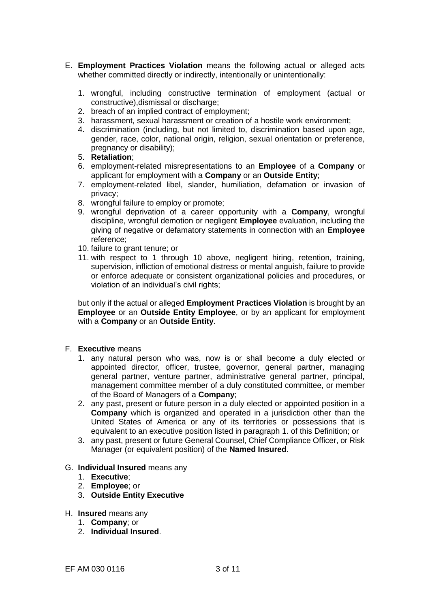- E. **Employment Practices Violation** means the following actual or alleged acts whether committed directly or indirectly, intentionally or unintentionally:
	- 1. wrongful, including constructive termination of employment (actual or constructive),dismissal or discharge;
	- 2. breach of an implied contract of employment;
	- 3. harassment, sexual harassment or creation of a hostile work environment;
	- 4. discrimination (including, but not limited to, discrimination based upon age, gender, race, color, national origin, religion, sexual orientation or preference, pregnancy or disability);
	- 5. **Retaliation**;
	- 6. employment-related misrepresentations to an **Employee** of a **Company** or applicant for employment with a **Company** or an **Outside Entity**;
	- 7. employment-related libel, slander, humiliation, defamation or invasion of privacy;
	- 8. wrongful failure to employ or promote;
	- 9. wrongful deprivation of a career opportunity with a **Company**, wrongful discipline, wrongful demotion or negligent **Employee** evaluation, including the giving of negative or defamatory statements in connection with an **Employee**  reference;
	- 10. failure to grant tenure; or
	- 11. with respect to 1 through 10 above, negligent hiring, retention, training, supervision, infliction of emotional distress or mental anguish, failure to provide or enforce adequate or consistent organizational policies and procedures, or violation of an individual's civil rights;

but only if the actual or alleged **Employment Practices Violation** is brought by an **Employee** or an **Outside Entity Employee**, or by an applicant for employment with a **Company** or an **Outside Entity**.

- F. **Executive** means
	- 1. any natural person who was, now is or shall become a duly elected or appointed director, officer, trustee, governor, general partner, managing general partner, venture partner, administrative general partner, principal, management committee member of a duly constituted committee, or member of the Board of Managers of a **Company**;
	- 2. any past, present or future person in a duly elected or appointed position in a **Company** which is organized and operated in a jurisdiction other than the United States of America or any of its territories or possessions that is equivalent to an executive position listed in paragraph 1. of this Definition; or
	- 3. any past, present or future General Counsel, Chief Compliance Officer, or Risk Manager (or equivalent position) of the **Named Insured**.
- G. **Individual Insured** means any
	- 1. **Executive**;
	- 2. **Employee**; or
	- 3. **Outside Entity Executive**
- H. **Insured** means any
	- 1. **Company**; or
	- 2. **Individual Insured**.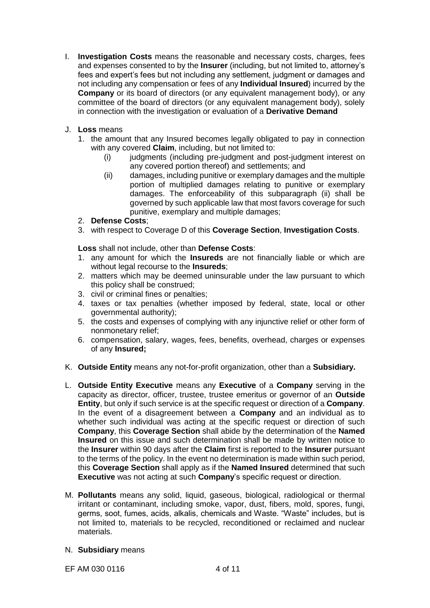I. **Investigation Costs** means the reasonable and necessary costs, charges, fees and expenses consented to by the **Insurer** (including, but not limited to, attorney's fees and expert's fees but not including any settlement, judgment or damages and not including any compensation or fees of any **Individual Insured**) incurred by the **Company** or its board of directors (or any equivalent management body), or any committee of the board of directors (or any equivalent management body), solely in connection with the investigation or evaluation of a **Derivative Demand**

# J. **Loss** means

- 1. the amount that any Insured becomes legally obligated to pay in connection with any covered **Claim**, including, but not limited to:
	- (i) judgments (including pre-judgment and post-judgment interest on any covered portion thereof) and settlements; and
	- (ii) damages, including punitive or exemplary damages and the multiple portion of multiplied damages relating to punitive or exemplary damages. The enforceability of this subparagraph (ii) shall be governed by such applicable law that most favors coverage for such punitive, exemplary and multiple damages;
- 2. **Defense Costs**;
- 3. with respect to Coverage D of this **Coverage Section**, **Investigation Costs**.

**Loss** shall not include, other than **Defense Costs**:

- 1. any amount for which the **Insureds** are not financially liable or which are without legal recourse to the **Insureds**;
- 2. matters which may be deemed uninsurable under the law pursuant to which this policy shall be construed;
- 3. civil or criminal fines or penalties;
- 4. taxes or tax penalties (whether imposed by federal, state, local or other governmental authority);
- 5. the costs and expenses of complying with any injunctive relief or other form of nonmonetary relief;
- 6. compensation, salary, wages, fees, benefits, overhead, charges or expenses of any **Insured;**
- K. **Outside Entity** means any not-for-profit organization, other than a **Subsidiary.**
- L. **Outside Entity Executive** means any **Executive** of a **Company** serving in the capacity as director, officer, trustee, trustee emeritus or governor of an **Outside Entity**, but only if such service is at the specific request or direction of a **Company**. In the event of a disagreement between a **Company** and an individual as to whether such individual was acting at the specific request or direction of such **Company**, this **Coverage Section** shall abide by the determination of the **Named Insured** on this issue and such determination shall be made by written notice to the **Insurer** within 90 days after the **Claim** first is reported to the **Insurer** pursuant to the terms of the policy. In the event no determination is made within such period, this **Coverage Section** shall apply as if the **Named Insured** determined that such **Executive** was not acting at such **Company**'s specific request or direction.
- M. **Pollutants** means any solid, liquid, gaseous, biological, radiological or thermal irritant or contaminant, including smoke, vapor, dust, fibers, mold, spores, fungi, germs, soot, fumes, acids, alkalis, chemicals and Waste. "Waste" includes, but is not limited to, materials to be recycled, reconditioned or reclaimed and nuclear materials.
- N. **Subsidiary** means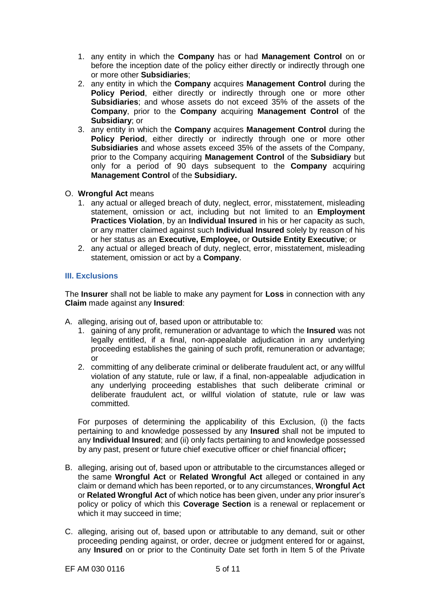- 1. any entity in which the **Company** has or had **Management Control** on or before the inception date of the policy either directly or indirectly through one or more other **Subsidiaries**;
- 2. any entity in which the **Company** acquires **Management Control** during the **Policy Period**, either directly or indirectly through one or more other **Subsidiaries**; and whose assets do not exceed 35% of the assets of the **Company**, prior to the **Company** acquiring **Management Control** of the **Subsidiary**; or
- 3. any entity in which the **Company** acquires **Management Control** during the **Policy Period**, either directly or indirectly through one or more other **Subsidiaries** and whose assets exceed 35% of the assets of the Company, prior to the Company acquiring **Management Control** of the **Subsidiary** but only for a period of 90 days subsequent to the **Company** acquiring **Management Control** of the **Subsidiary.**
- O. **Wrongful Act** means
	- 1. any actual or alleged breach of duty, neglect, error, misstatement, misleading statement, omission or act, including but not limited to an **Employment Practices Violation**, by an **Individual Insured** in his or her capacity as such, or any matter claimed against such **Individual Insured** solely by reason of his or her status as an **Executive, Employee,** or **Outside Entity Executive**; or
	- 2. any actual or alleged breach of duty, neglect, error, misstatement, misleading statement, omission or act by a **Company**.

# **III. Exclusions**

The **Insurer** shall not be liable to make any payment for **Loss** in connection with any **Claim** made against any **Insured**:

- A. alleging, arising out of, based upon or attributable to:
	- 1. gaining of any profit, remuneration or advantage to which the **Insured** was not legally entitled, if a final, non-appealable adjudication in any underlying proceeding establishes the gaining of such profit, remuneration or advantage; or
	- 2. committing of any deliberate criminal or deliberate fraudulent act, or any willful violation of any statute, rule or law, if a final, non-appealable adjudication in any underlying proceeding establishes that such deliberate criminal or deliberate fraudulent act, or willful violation of statute, rule or law was committed.

For purposes of determining the applicability of this Exclusion, (i) the facts pertaining to and knowledge possessed by any **Insured** shall not be imputed to any **Individual Insured**; and (ii) only facts pertaining to and knowledge possessed by any past, present or future chief executive officer or chief financial officer**;**

- B. alleging, arising out of, based upon or attributable to the circumstances alleged or the same **Wrongful Act** or **Related Wrongful Act** alleged or contained in any claim or demand which has been reported, or to any circumstances, **Wrongful Act**  or **Related Wrongful Act** of which notice has been given, under any prior insurer's policy or policy of which this **Coverage Section** is a renewal or replacement or which it may succeed in time:
- C. alleging, arising out of, based upon or attributable to any demand, suit or other proceeding pending against, or order, decree or judgment entered for or against, any **Insured** on or prior to the Continuity Date set forth in Item 5 of the Private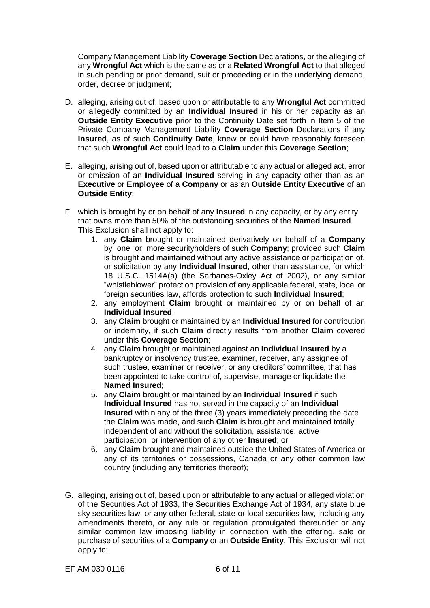Company Management Liability **Coverage Section** Declarations**,** or the alleging of any **Wrongful Act** which is the same as or a **Related Wrongful Act** to that alleged in such pending or prior demand, suit or proceeding or in the underlying demand, order, decree or judgment;

- D. alleging, arising out of, based upon or attributable to any **Wrongful Act** committed or allegedly committed by an **Individual Insured** in his or her capacity as an **Outside Entity Executive** prior to the Continuity Date set forth in Item 5 of the Private Company Management Liability **Coverage Section** Declarations if any **Insured**, as of such **Continuity Date**, knew or could have reasonably foreseen that such **Wrongful Act** could lead to a **Claim** under this **Coverage Section**;
- E. alleging, arising out of, based upon or attributable to any actual or alleged act, error or omission of an **Individual Insured** serving in any capacity other than as an **Executive** or **Employee** of a **Company** or as an **Outside Entity Executive** of an **Outside Entity**;
- F. which is brought by or on behalf of any **Insured** in any capacity, or by any entity that owns more than 50% of the outstanding securities of the **Named Insured**. This Exclusion shall not apply to:
	- 1. any **Claim** brought or maintained derivatively on behalf of a **Company**  by one or more securityholders of such **Company**; provided such **Claim**  is brought and maintained without any active assistance or participation of, or solicitation by any **Individual Insured**, other than assistance, for which 18 U.S.C. 1514A(a) (the Sarbanes-Oxley Act of 2002), or any similar "whistleblower" protection provision of any applicable federal, state, local or foreign securities law, affords protection to such **Individual Insured**;
	- 2. any employment **Claim** brought or maintained by or on behalf of an **Individual Insured**;
	- 3. any **Claim** brought or maintained by an **Individual Insured** for contribution or indemnity, if such **Claim** directly results from another **Claim** covered under this **Coverage Section**;
	- 4. any **Claim** brought or maintained against an **Individual Insured** by a bankruptcy or insolvency trustee, examiner, receiver, any assignee of such trustee, examiner or receiver, or any creditors' committee, that has been appointed to take control of, supervise, manage or liquidate the **Named Insured**;
	- 5. any **Claim** brought or maintained by an **Individual Insured** if such **Individual Insured** has not served in the capacity of an **Individual Insured** within any of the three (3) years immediately preceding the date the **Claim** was made, and such **Claim** is brought and maintained totally independent of and without the solicitation, assistance, active participation, or intervention of any other **Insured**; or
	- 6. any **Claim** brought and maintained outside the United States of America or any of its territories or possessions, Canada or any other common law country (including any territories thereof);
- G. alleging, arising out of, based upon or attributable to any actual or alleged violation of the Securities Act of 1933, the Securities Exchange Act of 1934, any state blue sky securities law, or any other federal, state or local securities law, including any amendments thereto, or any rule or regulation promulgated thereunder or any similar common law imposing liability in connection with the offering, sale or purchase of securities of a **Company** or an **Outside Entity**. This Exclusion will not apply to: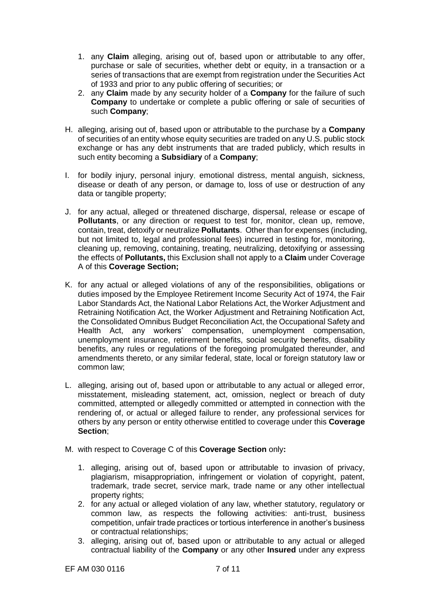- 1. any **Claim** alleging, arising out of, based upon or attributable to any offer, purchase or sale of securities, whether debt or equity, in a transaction or a series of transactions that are exempt from registration under the Securities Act of 1933 and prior to any public offering of securities; or
- 2. any **Claim** made by any security holder of a **Company** for the failure of such **Company** to undertake or complete a public offering or sale of securities of such **Company**;
- H. alleging, arising out of, based upon or attributable to the purchase by a **Company**  of securities of an entity whose equity securities are traded on any U.S. public stock exchange or has any debt instruments that are traded publicly, which results in such entity becoming a **Subsidiary** of a **Company**;
- I. for bodily injury, personal injury, emotional distress, mental anguish, sickness, disease or death of any person, or damage to, loss of use or destruction of any data or tangible property;
- J. for any actual, alleged or threatened discharge, dispersal, release or escape of **Pollutants**, or any direction or request to test for, monitor, clean up, remove, contain, treat, detoxify or neutralize **Pollutants**. Other than for expenses (including, but not limited to, legal and professional fees) incurred in testing for, monitoring, cleaning up, removing, containing, treating, neutralizing, detoxifying or assessing the effects of **Pollutants,** this Exclusion shall not apply to a **Claim** under Coverage A of this **Coverage Section;**
- K. for any actual or alleged violations of any of the responsibilities, obligations or duties imposed by the Employee Retirement Income Security Act of 1974, the Fair Labor Standards Act, the National Labor Relations Act, the Worker Adjustment and Retraining Notification Act, the Worker Adjustment and Retraining Notification Act, the Consolidated Omnibus Budget Reconciliation Act, the Occupational Safety and Health Act, any workers' compensation, unemployment compensation, unemployment insurance, retirement benefits, social security benefits, disability benefits, any rules or regulations of the foregoing promulgated thereunder, and amendments thereto, or any similar federal, state, local or foreign statutory law or common law;
- L. alleging, arising out of, based upon or attributable to any actual or alleged error, misstatement, misleading statement, act, omission, neglect or breach of duty committed, attempted or allegedly committed or attempted in connection with the rendering of, or actual or alleged failure to render, any professional services for others by any person or entity otherwise entitled to coverage under this **Coverage Section**;
- M. with respect to Coverage C of this **Coverage Section** only**:**
	- 1. alleging, arising out of, based upon or attributable to invasion of privacy, plagiarism, misappropriation, infringement or violation of copyright, patent, trademark, trade secret, service mark, trade name or any other intellectual property rights;
	- 2. for any actual or alleged violation of any law, whether statutory, regulatory or common law, as respects the following activities: anti-trust, business competition, unfair trade practices or tortious interference in another's business or contractual relationships;
	- 3. alleging, arising out of, based upon or attributable to any actual or alleged contractual liability of the **Company** or any other **Insured** under any express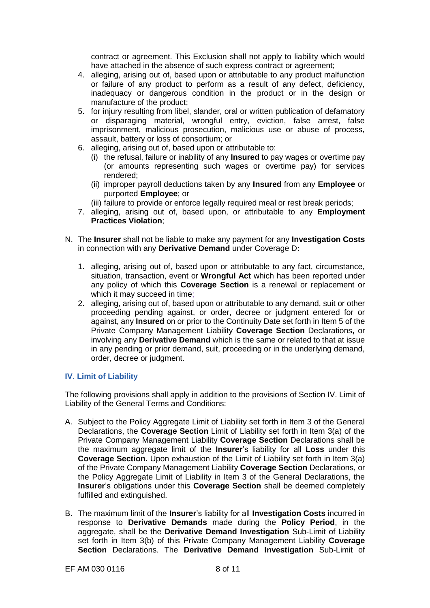contract or agreement. This Exclusion shall not apply to liability which would have attached in the absence of such express contract or agreement;

- 4. alleging, arising out of, based upon or attributable to any product malfunction or failure of any product to perform as a result of any defect, deficiency, inadequacy or dangerous condition in the product or in the design or manufacture of the product;
- 5. for injury resulting from libel, slander, oral or written publication of defamatory or disparaging material, wrongful entry, eviction, false arrest, false imprisonment, malicious prosecution, malicious use or abuse of process, assault, battery or loss of consortium; or
- 6. alleging, arising out of, based upon or attributable to:
	- (i) the refusal, failure or inability of any **Insured** to pay wages or overtime pay (or amounts representing such wages or overtime pay) for services rendered;
	- (ii) improper payroll deductions taken by any **Insured** from any **Employee** or purported **Employee**; or
	- (iii) failure to provide or enforce legally required meal or rest break periods;
- 7. alleging, arising out of, based upon, or attributable to any **Employment Practices Violation**;
- N. The **Insurer** shall not be liable to make any payment for any **Investigation Costs**  in connection with any **Derivative Demand** under Coverage D**:**
	- 1. alleging, arising out of, based upon or attributable to any fact, circumstance, situation, transaction, event or **Wrongful Act** which has been reported under any policy of which this **Coverage Section** is a renewal or replacement or which it may succeed in time;
	- 2. alleging, arising out of, based upon or attributable to any demand, suit or other proceeding pending against, or order, decree or judgment entered for or against, any **Insured** on or prior to the Continuity Date set forth in Item 5 of the Private Company Management Liability **Coverage Section** Declarations**,** or involving any **Derivative Demand** which is the same or related to that at issue in any pending or prior demand, suit, proceeding or in the underlying demand, order, decree or judgment.

# **IV. Limit of Liability**

The following provisions shall apply in addition to the provisions of Section IV. Limit of Liability of the General Terms and Conditions:

- A. Subject to the Policy Aggregate Limit of Liability set forth in Item 3 of the General Declarations, the **Coverage Section** Limit of Liability set forth in Item 3(a) of the Private Company Management Liability **Coverage Section** Declarations shall be the maximum aggregate limit of the **Insurer**'s liability for all **Loss** under this **Coverage Section.** Upon exhaustion of the Limit of Liability set forth in Item 3(a) of the Private Company Management Liability **Coverage Section** Declarations, or the Policy Aggregate Limit of Liability in Item 3 of the General Declarations, the **Insurer**'s obligations under this **Coverage Section** shall be deemed completely fulfilled and extinguished.
- B. The maximum limit of the **Insurer**'s liability for all **Investigation Costs** incurred in response to **Derivative Demands** made during the **Policy Period**, in the aggregate, shall be the **Derivative Demand Investigation** Sub-Limit of Liability set forth in Item 3(b) of this Private Company Management Liability **Coverage Section** Declarations. The **Derivative Demand Investigation** Sub-Limit of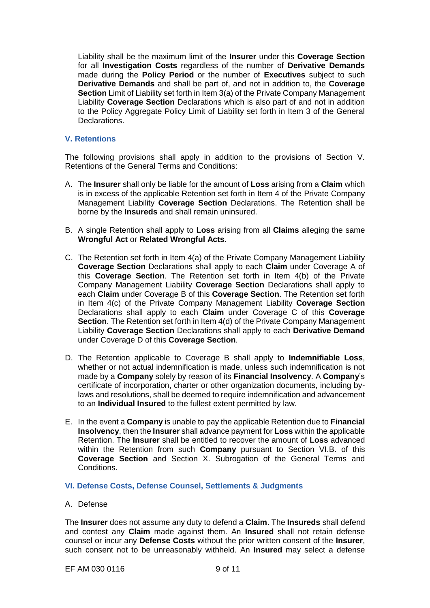Liability shall be the maximum limit of the **Insurer** under this **Coverage Section** for all **Investigation Costs** regardless of the number of **Derivative Demands** made during the **Policy Period** or the number of **Executives** subject to such **Derivative Demands** and shall be part of, and not in addition to, the **Coverage Section** Limit of Liability set forth in Item 3(a) of the Private Company Management Liability **Coverage Section** Declarations which is also part of and not in addition to the Policy Aggregate Policy Limit of Liability set forth in Item 3 of the General Declarations.

# **V. Retentions**

The following provisions shall apply in addition to the provisions of Section V. Retentions of the General Terms and Conditions:

- A. The **Insurer** shall only be liable for the amount of **Loss** arising from a **Claim** which is in excess of the applicable Retention set forth in Item 4 of the Private Company Management Liability **Coverage Section** Declarations. The Retention shall be borne by the **Insureds** and shall remain uninsured.
- B. A single Retention shall apply to **Loss** arising from all **Claims** alleging the same **Wrongful Act** or **Related Wrongful Acts**.
- C. The Retention set forth in Item 4(a) of the Private Company Management Liability **Coverage Section** Declarations shall apply to each **Claim** under Coverage A of this **Coverage Section**. The Retention set forth in Item 4(b) of the Private Company Management Liability **Coverage Section** Declarations shall apply to each **Claim** under Coverage B of this **Coverage Section**. The Retention set forth in Item 4(c) of the Private Company Management Liability **Coverage Section** Declarations shall apply to each **Claim** under Coverage C of this **Coverage Section**. The Retention set forth in Item 4(d) of the Private Company Management Liability **Coverage Section** Declarations shall apply to each **Derivative Demand**  under Coverage D of this **Coverage Section**.
- D. The Retention applicable to Coverage B shall apply to **Indemnifiable Loss**, whether or not actual indemnification is made, unless such indemnification is not made by a **Company** solely by reason of its **Financial Insolvency**. A **Company**'s certificate of incorporation, charter or other organization documents, including bylaws and resolutions, shall be deemed to require indemnification and advancement to an **Individual Insured** to the fullest extent permitted by law.
- E. In the event a **Company** is unable to pay the applicable Retention due to **Financial Insolvency**, then the **Insurer** shall advance payment for **Loss** within the applicable Retention. The **Insurer** shall be entitled to recover the amount of **Loss** advanced within the Retention from such **Company** pursuant to Section VI.B. of this **Coverage Section** and Section X. Subrogation of the General Terms and Conditions.

### **VI. Defense Costs, Defense Counsel, Settlements & Judgments**

### A. Defense

The **Insurer** does not assume any duty to defend a **Claim**. The **Insureds** shall defend and contest any **Claim** made against them. An **Insured** shall not retain defense counsel or incur any **Defense Costs** without the prior written consent of the **Insurer**, such consent not to be unreasonably withheld. An **Insured** may select a defense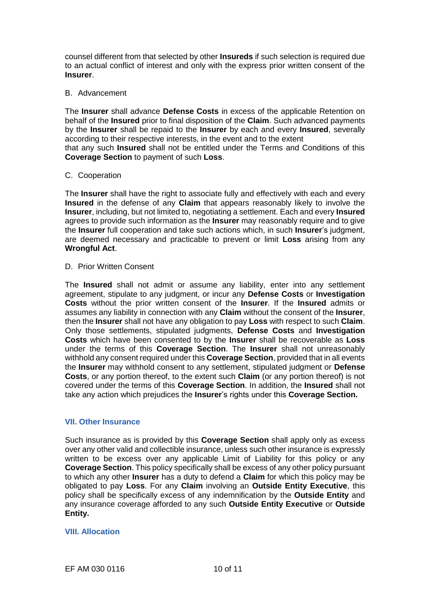counsel different from that selected by other **Insureds** if such selection is required due to an actual conflict of interest and only with the express prior written consent of the **Insurer**.

# B. Advancement

The **Insurer** shall advance **Defense Costs** in excess of the applicable Retention on behalf of the **Insured** prior to final disposition of the **Claim**. Such advanced payments by the **Insurer** shall be repaid to the **Insurer** by each and every **Insured**, severally according to their respective interests, in the event and to the extent

that any such **Insured** shall not be entitled under the Terms and Conditions of this **Coverage Section** to payment of such **Loss**.

### C. Cooperation

The **Insurer** shall have the right to associate fully and effectively with each and every **Insured** in the defense of any **Claim** that appears reasonably likely to involve the **Insurer**, including, but not limited to, negotiating a settlement. Each and every **Insured**  agrees to provide such information as the **Insurer** may reasonably require and to give the **Insurer** full cooperation and take such actions which, in such **Insurer**'s judgment, are deemed necessary and practicable to prevent or limit **Loss** arising from any **Wrongful Act**.

D. Prior Written Consent

The **Insured** shall not admit or assume any liability, enter into any settlement agreement, stipulate to any judgment, or incur any **Defense Costs** or **Investigation Costs** without the prior written consent of the **Insurer**. If the **Insured** admits or assumes any liability in connection with any **Claim** without the consent of the **Insurer**, then the **Insurer** shall not have any obligation to pay **Loss** with respect to such **Claim**. Only those settlements, stipulated judgments, **Defense Costs** and **Investigation Costs** which have been consented to by the **Insurer** shall be recoverable as **Loss**  under the terms of this **Coverage Section**. The **Insurer** shall not unreasonably withhold any consent required under this **Coverage Section**, provided that in all events the **Insurer** may withhold consent to any settlement, stipulated judgment or **Defense Costs**, or any portion thereof, to the extent such **Claim** (or any portion thereof) is not covered under the terms of this **Coverage Section**. In addition, the **Insured** shall not take any action which prejudices the **Insurer**'s rights under this **Coverage Section.**

### **VII. Other Insurance**

Such insurance as is provided by this **Coverage Section** shall apply only as excess over any other valid and collectible insurance, unless such other insurance is expressly written to be excess over any applicable Limit of Liability for this policy or any **Coverage Section**. This policy specifically shall be excess of any other policy pursuant to which any other **Insurer** has a duty to defend a **Claim** for which this policy may be obligated to pay **Loss**. For any **Claim** involving an **Outside Entity Executive**, this policy shall be specifically excess of any indemnification by the **Outside Entity** and any insurance coverage afforded to any such **Outside Entity Executive** or **Outside Entity.**

### **VIII. Allocation**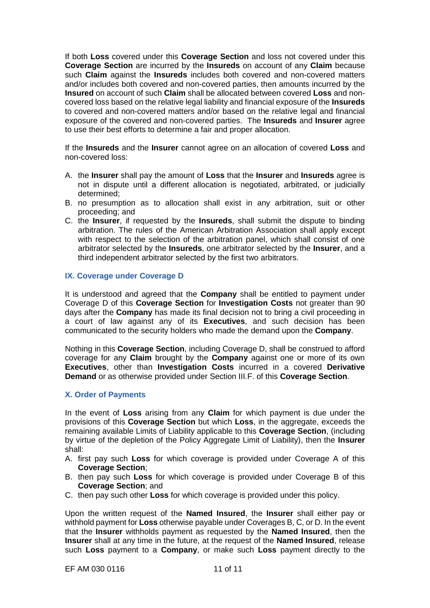If both **Loss** covered under this **Coverage Section** and loss not covered under this **Coverage Section** are incurred by the **Insureds** on account of any **Claim** because such **Claim** against the **Insureds** includes both covered and non-covered matters and/or includes both covered and non-covered parties, then amounts incurred by the **Insured** on account of such **Claim** shall be allocated between covered **Loss** and noncovered loss based on the relative legal liability and financial exposure of the **Insureds**  to covered and non-covered matters and/or based on the relative legal and financial exposure of the covered and non-covered parties. The **Insureds** and **Insurer** agree to use their best efforts to determine a fair and proper allocation.

If the **Insureds** and the **Insurer** cannot agree on an allocation of covered **Loss** and non-covered loss:

- A. the **Insurer** shall pay the amount of **Loss** that the **Insurer** and **Insureds** agree is not in dispute until a different allocation is negotiated, arbitrated, or judicially determined;
- B. no presumption as to allocation shall exist in any arbitration, suit or other proceeding; and
- C. the **Insurer**, if requested by the **Insureds**, shall submit the dispute to binding arbitration. The rules of the American Arbitration Association shall apply except with respect to the selection of the arbitration panel, which shall consist of one arbitrator selected by the **Insureds**, one arbitrator selected by the **Insurer**, and a third independent arbitrator selected by the first two arbitrators.

## **IX. Coverage under Coverage D**

It is understood and agreed that the **Company** shall be entitled to payment under Coverage D of this **Coverage Section** for **Investigation Costs** not greater than 90 days after the **Company** has made its final decision not to bring a civil proceeding in a court of law against any of its **Executives**, and such decision has been communicated to the security holders who made the demand upon the **Company**.

Nothing in this **Coverage Section**, including Coverage D, shall be construed to afford coverage for any **Claim** brought by the **Company** against one or more of its own **Executives**, other than **Investigation Costs** incurred in a covered **Derivative Demand** or as otherwise provided under Section III.F. of this **Coverage Section**.

### **X. Order of Payments**

In the event of **Loss** arising from any **Claim** for which payment is due under the provisions of this **Coverage Section** but which **Loss**, in the aggregate, exceeds the remaining available Limits of Liability applicable to this **Coverage Section**, (including by virtue of the depletion of the Policy Aggregate Limit of Liability), then the **Insurer**  shall:

- A. first pay such **Loss** for which coverage is provided under Coverage A of this **Coverage Section**;
- B. then pay such **Loss** for which coverage is provided under Coverage B of this **Coverage Section**; and
- C. then pay such other **Loss** for which coverage is provided under this policy.

Upon the written request of the **Named Insured**, the **Insurer** shall either pay or withhold payment for **Loss** otherwise payable under Coverages B, C, or D. In the event that the **Insurer** withholds payment as requested by the **Named Insured**, then the **Insurer** shall at any time in the future, at the request of the **Named Insured**, release such **Loss** payment to a **Company**, or make such **Loss** payment directly to the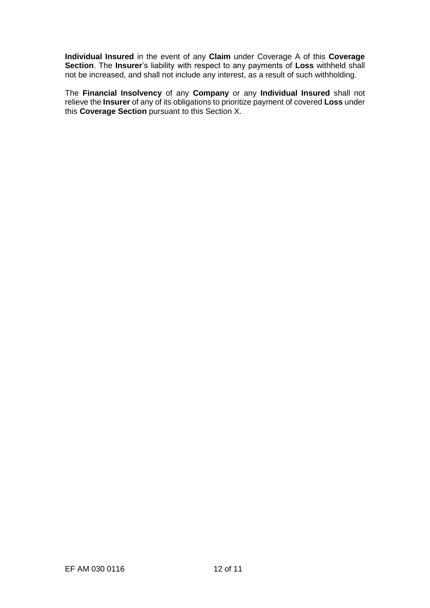**Individual Insured** in the event of any **Claim** under Coverage A of this **Coverage Section**. The **Insurer**'s liability with respect to any payments of **Loss** withheld shall not be increased, and shall not include any interest, as a result of such withholding.

The **Financial Insolvency** of any **Company** or any **Individual Insured** shall not relieve the **Insurer** of any of its obligations to prioritize payment of covered **Loss** under this **Coverage Section** pursuant to this Section X.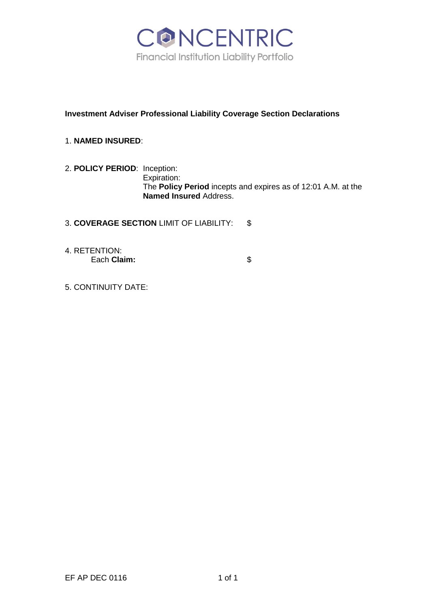

# **Investment Adviser Professional Liability Coverage Section Declarations**

# 1. **NAMED INSURED**:

2. **POLICY PERIOD**: Inception: Expiration: The **Policy Period** incepts and expires as of 12:01 A.M. at the **Named Insured** Address.

3. **COVERAGE SECTION** LIMIT OF LIABILITY: \$

4. RETENTION: Each **Claim:**  $\qquad$  \$

5. CONTINUITY DATE: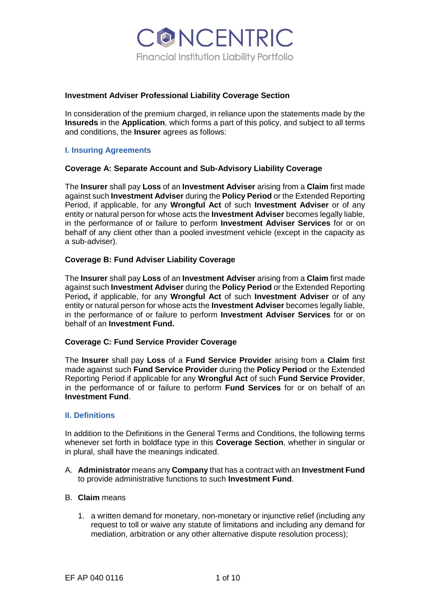

#### **Investment Adviser Professional Liability Coverage Section**

In consideration of the premium charged, in reliance upon the statements made by the **Insureds** in the **Application**, which forms a part of this policy, and subject to all terms and conditions, the **Insurer** agrees as follows:

### **I. Insuring Agreements**

#### **Coverage A: Separate Account and Sub-Advisory Liability Coverage**

The **Insurer** shall pay **Loss** of an **Investment Adviser** arising from a **Claim** first made against such **Investment Adviser** during the **Policy Period** or the Extended Reporting Period, if applicable, for any **Wrongful Act** of such **Investment Adviser** or of any entity or natural person for whose acts the **Investment Adviser** becomes legally liable, in the performance of or failure to perform **Investment Adviser Services** for or on behalf of any client other than a pooled investment vehicle (except in the capacity as a sub-adviser).

### **Coverage B: Fund Adviser Liability Coverage**

The **Insurer** shall pay **Loss** of an **Investment Adviser** arising from a **Claim** first made against such **Investment Adviser** during the **Policy Period** or the Extended Reporting Period**,** if applicable, for any **Wrongful Act** of such **Investment Adviser** or of any entity or natural person for whose acts the **Investment Adviser** becomes legally liable, in the performance of or failure to perform **Investment Adviser Services** for or on behalf of an **Investment Fund.**

#### **Coverage C: Fund Service Provider Coverage**

The **Insurer** shall pay **Loss** of a **Fund Service Provider** arising from a **Claim** first made against such **Fund Service Provider** during the **Policy Period** or the Extended Reporting Period if applicable for any **Wrongful Act** of such **Fund Service Provider**, in the performance of or failure to perform **Fund Services** for or on behalf of an **Investment Fund**.

#### **II. Definitions**

In addition to the Definitions in the General Terms and Conditions, the following terms whenever set forth in boldface type in this **Coverage Section**, whether in singular or in plural, shall have the meanings indicated.

A. **Administrator** means any **Company** that has a contract with an **Investment Fund**  to provide administrative functions to such **Investment Fund**.

#### B. **Claim** means

1. a written demand for monetary, non-monetary or injunctive relief (including any request to toll or waive any statute of limitations and including any demand for mediation, arbitration or any other alternative dispute resolution process);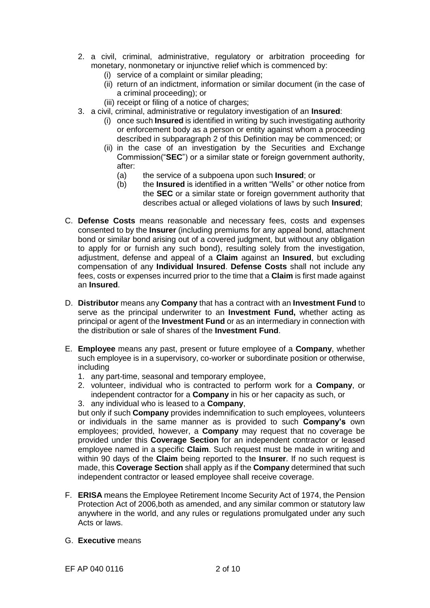- 2. a civil, criminal, administrative, regulatory or arbitration proceeding for monetary, nonmonetary or injunctive relief which is commenced by:
	- (i) service of a complaint or similar pleading;
	- (ii) return of an indictment, information or similar document (in the case of a criminal proceeding); or
	- (iii) receipt or filing of a notice of charges;
- 3. a civil, criminal, administrative or regulatory investigation of an **Insured**:
	- (i) once such **Insured** is identified in writing by such investigating authority or enforcement body as a person or entity against whom a proceeding described in subparagraph 2 of this Definition may be commenced; or
	- (ii) in the case of an investigation by the Securities and Exchange Commission("**SEC**") or a similar state or foreign government authority, after:
		- (a) the service of a subpoena upon such **Insured**; or
		- (b) the **Insured** is identified in a written "Wells" or other notice from the **SEC** or a similar state or foreign government authority that describes actual or alleged violations of laws by such **Insured**;
- C. **Defense Costs** means reasonable and necessary fees, costs and expenses consented to by the **Insurer** (including premiums for any appeal bond, attachment bond or similar bond arising out of a covered judgment, but without any obligation to apply for or furnish any such bond), resulting solely from the investigation, adjustment, defense and appeal of a **Claim** against an **Insured**, but excluding compensation of any **Individual Insured**. **Defense Costs** shall not include any fees, costs or expenses incurred prior to the time that a **Claim** is first made against an **Insured**.
- D. **Distributor** means any **Company** that has a contract with an **Investment Fund** to serve as the principal underwriter to an **Investment Fund,** whether acting as principal or agent of the **Investment Fund** or as an intermediary in connection with the distribution or sale of shares of the **Investment Fund**.
- E. **Employee** means any past, present or future employee of a **Company**, whether such employee is in a supervisory, co-worker or subordinate position or otherwise, including
	- 1. any part-time, seasonal and temporary employee,
	- 2. volunteer, individual who is contracted to perform work for a **Company**, or independent contractor for a **Company** in his or her capacity as such, or
	- 3. any individual who is leased to a **Company**,

but only if such **Company** provides indemnification to such employees, volunteers or individuals in the same manner as is provided to such **Company's** own employees; provided, however, a **Company** may request that no coverage be provided under this **Coverage Section** for an independent contractor or leased employee named in a specific **Claim**. Such request must be made in writing and within 90 days of the **Claim** being reported to the **Insurer**. If no such request is made, this **Coverage Section** shall apply as if the **Company** determined that such independent contractor or leased employee shall receive coverage.

- F. **ERISA** means the Employee Retirement Income Security Act of 1974, the Pension Protection Act of 2006,both as amended, and any similar common or statutory law anywhere in the world, and any rules or regulations promulgated under any such Acts or laws.
- G. **Executive** means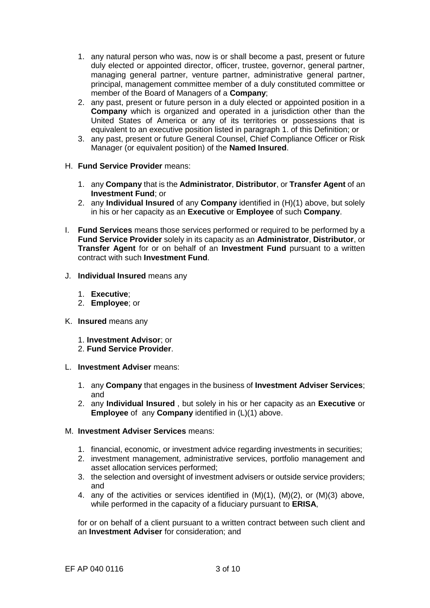- 1. any natural person who was, now is or shall become a past, present or future duly elected or appointed director, officer, trustee, governor, general partner, managing general partner, venture partner, administrative general partner, principal, management committee member of a duly constituted committee or member of the Board of Managers of a **Company**;
- 2. any past, present or future person in a duly elected or appointed position in a **Company** which is organized and operated in a jurisdiction other than the United States of America or any of its territories or possessions that is equivalent to an executive position listed in paragraph 1. of this Definition; or
- 3. any past, present or future General Counsel, Chief Compliance Officer or Risk Manager (or equivalent position) of the **Named Insured**.
- H. **Fund Service Provider** means:
	- 1. any **Company** that is the **Administrator**, **Distributor**, or **Transfer Agent** of an **Investment Fund**; or
	- 2. any **Individual Insured** of any **Company** identified in (H)(1) above, but solely in his or her capacity as an **Executive** or **Employee** of such **Company**.
- I. **Fund Services** means those services performed or required to be performed by a **Fund Service Provider** solely in its capacity as an **Administrator**, **Distributor**, or **Transfer Agent** for or on behalf of an **Investment Fund** pursuant to a written contract with such **Investment Fund**.
- J. **Individual Insured** means any
	- 1. **Executive**;
	- 2. **Employee**; or
- K. **Insured** means any
	- 1. **Investment Advisor**; or
	- 2. **Fund Service Provider**.
- L. **Investment Adviser** means:
	- 1. any **Company** that engages in the business of **Investment Adviser Services**; and
	- 2. any **Individual Insured** , but solely in his or her capacity as an **Executive** or **Employee** of any **Company** identified in (L)(1) above.

## M. **Investment Adviser Services** means:

- 1. financial, economic, or investment advice regarding investments in securities;
- 2. investment management, administrative services, portfolio management and asset allocation services performed;
- 3. the selection and oversight of investment advisers or outside service providers; and
- 4. any of the activities or services identified in (M)(1), (M)(2), or (M)(3) above, while performed in the capacity of a fiduciary pursuant to **ERISA**,

for or on behalf of a client pursuant to a written contract between such client and an **Investment Adviser** for consideration; and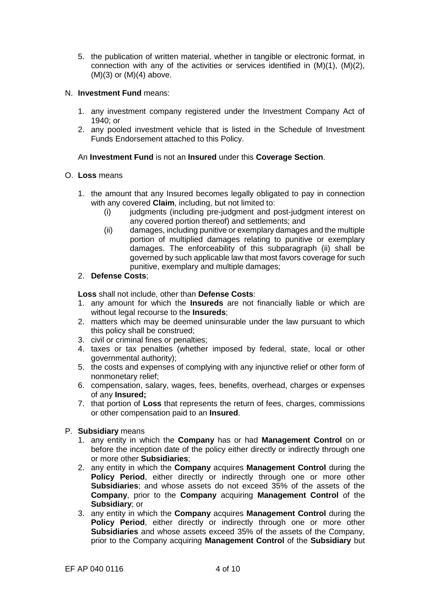5. the publication of written material, whether in tangible or electronic format, in connection with any of the activities or services identified in (M)(1), (M)(2),  $(M)(3)$  or  $(M)(4)$  above.

### N. **Investment Fund** means:

- 1. any investment company registered under the Investment Company Act of 1940; or
- 2. any pooled investment vehicle that is listed in the Schedule of Investment Funds Endorsement attached to this Policy.

## An **Investment Fund** is not an **Insured** under this **Coverage Section**.

### O. **Loss** means

- 1. the amount that any Insured becomes legally obligated to pay in connection with any covered **Claim**, including, but not limited to:
	- (i) judgments (including pre-judgment and post-judgment interest on any covered portion thereof) and settlements; and
	- (ii) damages, including punitive or exemplary damages and the multiple portion of multiplied damages relating to punitive or exemplary damages. The enforceability of this subparagraph (ii) shall be governed by such applicable law that most favors coverage for such punitive, exemplary and multiple damages;

## 2. **Defense Costs**;

**Loss** shall not include, other than **Defense Costs**:

- 1. any amount for which the **Insureds** are not financially liable or which are without legal recourse to the **Insureds**;
- 2. matters which may be deemed uninsurable under the law pursuant to which this policy shall be construed;
- 3. civil or criminal fines or penalties;
- 4. taxes or tax penalties (whether imposed by federal, state, local or other governmental authority);
- 5. the costs and expenses of complying with any injunctive relief or other form of nonmonetary relief;
- 6. compensation, salary, wages, fees, benefits, overhead, charges or expenses of any **Insured;**
- 7. that portion of **Loss** that represents the return of fees, charges, commissions or other compensation paid to an **Insured**.

## P. **Subsidiary** means

- 1. any entity in which the **Company** has or had **Management Control** on or before the inception date of the policy either directly or indirectly through one or more other **Subsidiaries**;
- 2. any entity in which the **Company** acquires **Management Control** during the Policy Period, either directly or indirectly through one or more other **Subsidiaries**; and whose assets do not exceed 35% of the assets of the **Company**, prior to the **Company** acquiring **Management Control** of the **Subsidiary**; or
- 3. any entity in which the **Company** acquires **Management Control** during the Policy Period, either directly or indirectly through one or more other **Subsidiaries** and whose assets exceed 35% of the assets of the Company, prior to the Company acquiring **Management Control** of the **Subsidiary** but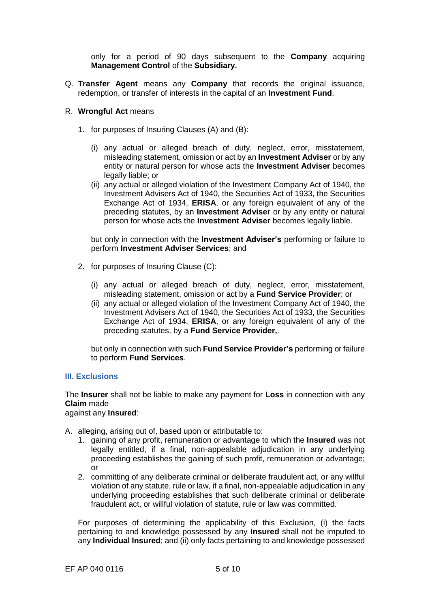only for a period of 90 days subsequent to the **Company** acquiring **Management Control** of the **Subsidiary.**

Q. **Transfer Agent** means any **Company** that records the original issuance, redemption, or transfer of interests in the capital of an **Investment Fund**.

#### R. **Wrongful Act** means

- 1. for purposes of Insuring Clauses (A) and (B):
	- (i) any actual or alleged breach of duty, neglect, error, misstatement, misleading statement, omission or act by an **Investment Adviser** or by any entity or natural person for whose acts the **Investment Adviser** becomes legally liable; or
	- (ii) any actual or alleged violation of the Investment Company Act of 1940, the Investment Advisers Act of 1940, the Securities Act of 1933, the Securities Exchange Act of 1934, **ERISA**, or any foreign equivalent of any of the preceding statutes, by an **Investment Adviser** or by any entity or natural person for whose acts the **Investment Adviser** becomes legally liable.

but only in connection with the **Investment Adviser's** performing or failure to perform **Investment Adviser Services**; and

- 2. for purposes of Insuring Clause (C):
	- (i) any actual or alleged breach of duty, neglect, error, misstatement, misleading statement, omission or act by a **Fund Service Provider**; or
	- (ii) any actual or alleged violation of the Investment Company Act of 1940, the Investment Advisers Act of 1940, the Securities Act of 1933, the Securities Exchange Act of 1934, **ERISA**, or any foreign equivalent of any of the preceding statutes, by a **Fund Service Provider,**.

but only in connection with such **Fund Service Provider's** performing or failure to perform **Fund Services**.

#### **III. Exclusions**

The **Insurer** shall not be liable to make any payment for **Loss** in connection with any **Claim** made

against any **Insured**:

- A. alleging, arising out of, based upon or attributable to:
	- 1. gaining of any profit, remuneration or advantage to which the **Insured** was not legally entitled, if a final, non-appealable adjudication in any underlying proceeding establishes the gaining of such profit, remuneration or advantage; or
	- 2. committing of any deliberate criminal or deliberate fraudulent act, or any willful violation of any statute, rule or law, if a final, non-appealable adjudication in any underlying proceeding establishes that such deliberate criminal or deliberate fraudulent act, or willful violation of statute, rule or law was committed.

For purposes of determining the applicability of this Exclusion, (i) the facts pertaining to and knowledge possessed by any **Insured** shall not be imputed to any **Individual Insured**; and (ii) only facts pertaining to and knowledge possessed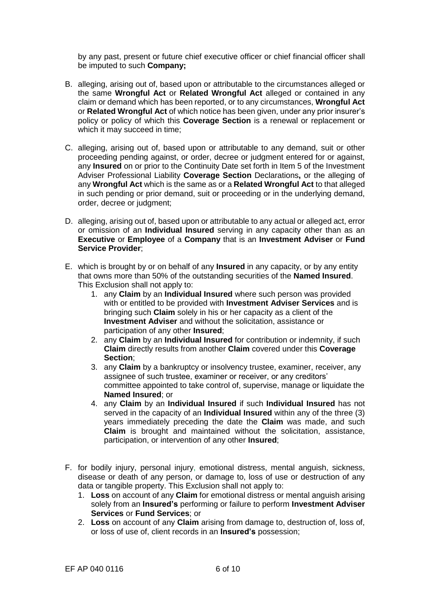by any past, present or future chief executive officer or chief financial officer shall be imputed to such **Company;**

- B. alleging, arising out of, based upon or attributable to the circumstances alleged or the same **Wrongful Act** or **Related Wrongful Act** alleged or contained in any claim or demand which has been reported, or to any circumstances, **Wrongful Act**  or **Related Wrongful Act** of which notice has been given, under any prior insurer's policy or policy of which this **Coverage Section** is a renewal or replacement or which it may succeed in time;
- C. alleging, arising out of, based upon or attributable to any demand, suit or other proceeding pending against, or order, decree or judgment entered for or against, any **Insured** on or prior to the Continuity Date set forth in Item 5 of the Investment Adviser Professional Liability **Coverage Section** Declarations**,** or the alleging of any **Wrongful Act** which is the same as or a **Related Wrongful Act** to that alleged in such pending or prior demand, suit or proceeding or in the underlying demand, order, decree or judgment;
- D. alleging, arising out of, based upon or attributable to any actual or alleged act, error or omission of an **Individual Insured** serving in any capacity other than as an **Executive** or **Employee** of a **Company** that is an **Investment Adviser** or **Fund Service Provider**;
- E. which is brought by or on behalf of any **Insured** in any capacity, or by any entity that owns more than 50% of the outstanding securities of the **Named Insured**. This Exclusion shall not apply to:
	- 1. any **Claim** by an **Individual Insured** where such person was provided with or entitled to be provided with **Investment Adviser Services** and is bringing such **Claim** solely in his or her capacity as a client of the **Investment Adviser** and without the solicitation, assistance or participation of any other **Insured**;
	- 2. any **Claim** by an **Individual Insured** for contribution or indemnity, if such **Claim** directly results from another **Claim** covered under this **Coverage Section**;
	- 3. any **Claim** by a bankruptcy or insolvency trustee, examiner, receiver, any assignee of such trustee, examiner or receiver, or any creditors' committee appointed to take control of, supervise, manage or liquidate the **Named Insured**; or
	- 4. any **Claim** by an **Individual Insured** if such **Individual Insured** has not served in the capacity of an **Individual Insured** within any of the three (3) years immediately preceding the date the **Claim** was made, and such **Claim** is brought and maintained without the solicitation, assistance, participation, or intervention of any other **Insured**;
- F. for bodily injury, personal injury, emotional distress, mental anguish, sickness, disease or death of any person, or damage to, loss of use or destruction of any data or tangible property. This Exclusion shall not apply to:
	- 1. **Loss** on account of any **Claim** for emotional distress or mental anguish arising solely from an **Insured's** performing or failure to perform **Investment Adviser Services** or **Fund Services**; or
	- 2. **Loss** on account of any **Claim** arising from damage to, destruction of, loss of, or loss of use of, client records in an **Insured's** possession;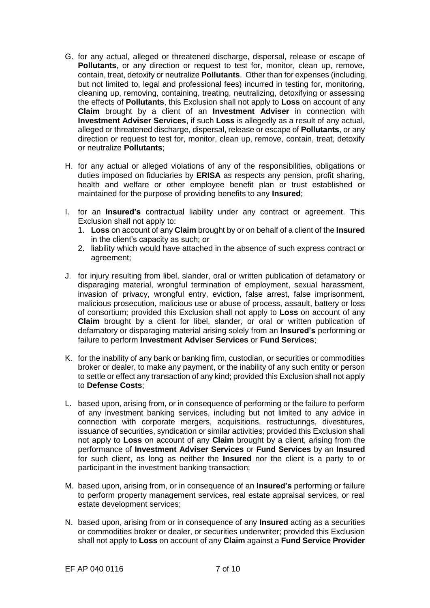- G. for any actual, alleged or threatened discharge, dispersal, release or escape of **Pollutants**, or any direction or request to test for, monitor, clean up, remove, contain, treat, detoxify or neutralize **Pollutants**. Other than for expenses (including, but not limited to, legal and professional fees) incurred in testing for, monitoring, cleaning up, removing, containing, treating, neutralizing, detoxifying or assessing the effects of **Pollutants**, this Exclusion shall not apply to **Loss** on account of any **Claim** brought by a client of an **Investment Adviser** in connection with **Investment Adviser Services**, if such **Loss** is allegedly as a result of any actual, alleged or threatened discharge, dispersal, release or escape of **Pollutants**, or any direction or request to test for, monitor, clean up, remove, contain, treat, detoxify or neutralize **Pollutants**;
- H. for any actual or alleged violations of any of the responsibilities, obligations or duties imposed on fiduciaries by **ERISA** as respects any pension, profit sharing, health and welfare or other employee benefit plan or trust established or maintained for the purpose of providing benefits to any **Insured**;
- I. for an **Insured's** contractual liability under any contract or agreement. This Exclusion shall not apply to:
	- 1. **Loss** on account of any **Claim** brought by or on behalf of a client of the **Insured**  in the client's capacity as such; or
	- 2. liability which would have attached in the absence of such express contract or agreement;
- J. for injury resulting from libel, slander, oral or written publication of defamatory or disparaging material, wrongful termination of employment, sexual harassment, invasion of privacy, wrongful entry, eviction, false arrest, false imprisonment, malicious prosecution, malicious use or abuse of process, assault, battery or loss of consortium; provided this Exclusion shall not apply to **Loss** on account of any **Claim** brought by a client for libel, slander, or oral or written publication of defamatory or disparaging material arising solely from an **Insured's** performing or failure to perform **Investment Adviser Services** or **Fund Services**;
- K. for the inability of any bank or banking firm, custodian, or securities or commodities broker or dealer, to make any payment, or the inability of any such entity or person to settle or effect any transaction of any kind; provided this Exclusion shall not apply to **Defense Costs**;
- L. based upon, arising from, or in consequence of performing or the failure to perform of any investment banking services, including but not limited to any advice in connection with corporate mergers, acquisitions, restructurings, divestitures, issuance of securities, syndication or similar activities; provided this Exclusion shall not apply to **Loss** on account of any **Claim** brought by a client, arising from the performance of **Investment Adviser Services** or **Fund Services** by an **Insured**  for such client, as long as neither the **Insured** nor the client is a party to or participant in the investment banking transaction;
- M. based upon, arising from, or in consequence of an **Insured's** performing or failure to perform property management services, real estate appraisal services, or real estate development services;
- N. based upon, arising from or in consequence of any **Insured** acting as a securities or commodities broker or dealer, or securities underwriter; provided this Exclusion shall not apply to **Loss** on account of any **Claim** against a **Fund Service Provider**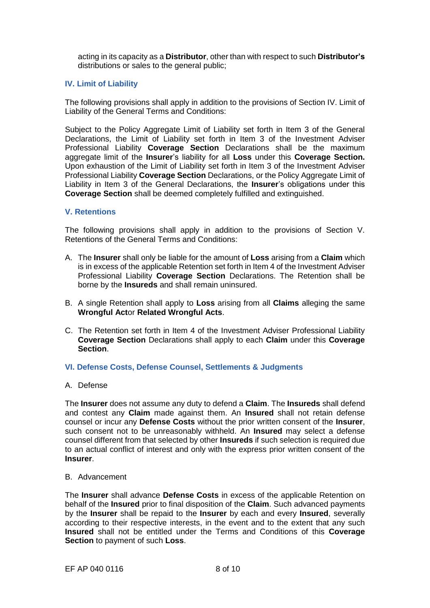acting in its capacity as a **Distributor**, other than with respect to such **Distributor's**  distributions or sales to the general public;

### **IV. Limit of Liability**

The following provisions shall apply in addition to the provisions of Section IV. Limit of Liability of the General Terms and Conditions:

Subject to the Policy Aggregate Limit of Liability set forth in Item 3 of the General Declarations, the Limit of Liability set forth in Item 3 of the Investment Adviser Professional Liability **Coverage Section** Declarations shall be the maximum aggregate limit of the **Insurer**'s liability for all **Loss** under this **Coverage Section.** Upon exhaustion of the Limit of Liability set forth in Item 3 of the Investment Adviser Professional Liability **Coverage Section** Declarations, or the Policy Aggregate Limit of Liability in Item 3 of the General Declarations, the **Insurer**'s obligations under this **Coverage Section** shall be deemed completely fulfilled and extinguished.

#### **V. Retentions**

The following provisions shall apply in addition to the provisions of Section V. Retentions of the General Terms and Conditions:

- A. The **Insurer** shall only be liable for the amount of **Loss** arising from a **Claim** which is in excess of the applicable Retention set forth in Item 4 of the Investment Adviser Professional Liability **Coverage Section** Declarations. The Retention shall be borne by the **Insureds** and shall remain uninsured.
- B. A single Retention shall apply to **Loss** arising from all **Claims** alleging the same **Wrongful Act**or **Related Wrongful Acts**.
- C. The Retention set forth in Item 4 of the Investment Adviser Professional Liability **Coverage Section** Declarations shall apply to each **Claim** under this **Coverage Section**.

#### **VI. Defense Costs, Defense Counsel, Settlements & Judgments**

#### A. Defense

The **Insurer** does not assume any duty to defend a **Claim**. The **Insureds** shall defend and contest any **Claim** made against them. An **Insured** shall not retain defense counsel or incur any **Defense Costs** without the prior written consent of the **Insurer**, such consent not to be unreasonably withheld. An **Insured** may select a defense counsel different from that selected by other **Insureds** if such selection is required due to an actual conflict of interest and only with the express prior written consent of the **Insurer**.

#### B. Advancement

The **Insurer** shall advance **Defense Costs** in excess of the applicable Retention on behalf of the **Insured** prior to final disposition of the **Claim**. Such advanced payments by the **Insurer** shall be repaid to the **Insurer** by each and every **Insured**, severally according to their respective interests, in the event and to the extent that any such **Insured** shall not be entitled under the Terms and Conditions of this **Coverage Section** to payment of such **Loss**.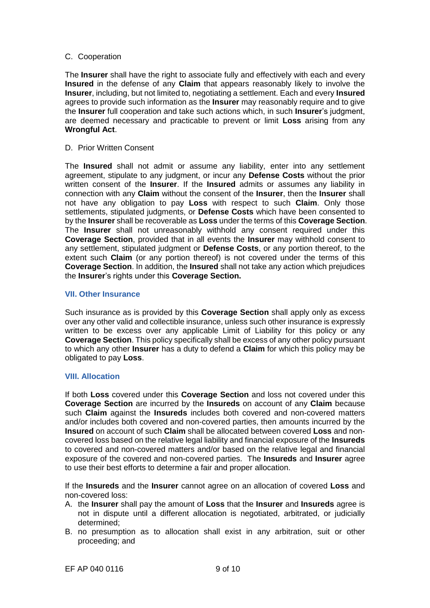#### C. Cooperation

The **Insurer** shall have the right to associate fully and effectively with each and every **Insured** in the defense of any **Claim** that appears reasonably likely to involve the **Insurer**, including, but not limited to, negotiating a settlement. Each and every **Insured**  agrees to provide such information as the **Insurer** may reasonably require and to give the **Insurer** full cooperation and take such actions which, in such **Insurer**'s judgment, are deemed necessary and practicable to prevent or limit **Loss** arising from any **Wrongful Act**.

D. Prior Written Consent

The **Insured** shall not admit or assume any liability, enter into any settlement agreement, stipulate to any judgment, or incur any **Defense Costs** without the prior written consent of the **Insurer**. If the **Insured** admits or assumes any liability in connection with any **Claim** without the consent of the **Insurer**, then the **Insurer** shall not have any obligation to pay **Loss** with respect to such **Claim**. Only those settlements, stipulated judgments, or **Defense Costs** which have been consented to by the **Insurer** shall be recoverable as **Loss** under the terms of this **Coverage Section**. The **Insurer** shall not unreasonably withhold any consent required under this **Coverage Section**, provided that in all events the **Insurer** may withhold consent to any settlement, stipulated judgment or **Defense Costs**, or any portion thereof, to the extent such **Claim** (or any portion thereof) is not covered under the terms of this **Coverage Section**. In addition, the **Insured** shall not take any action which prejudices the **Insurer**'s rights under this **Coverage Section.**

### **VII. Other Insurance**

Such insurance as is provided by this **Coverage Section** shall apply only as excess over any other valid and collectible insurance, unless such other insurance is expressly written to be excess over any applicable Limit of Liability for this policy or any **Coverage Section**. This policy specifically shall be excess of any other policy pursuant to which any other **Insurer** has a duty to defend a **Claim** for which this policy may be obligated to pay **Loss**.

## **VIII. Allocation**

If both **Loss** covered under this **Coverage Section** and loss not covered under this **Coverage Section** are incurred by the **Insureds** on account of any **Claim** because such **Claim** against the **Insureds** includes both covered and non-covered matters and/or includes both covered and non-covered parties, then amounts incurred by the **Insured** on account of such **Claim** shall be allocated between covered **Loss** and noncovered loss based on the relative legal liability and financial exposure of the **Insureds**  to covered and non-covered matters and/or based on the relative legal and financial exposure of the covered and non-covered parties. The **Insureds** and **Insurer** agree to use their best efforts to determine a fair and proper allocation.

If the **Insureds** and the **Insurer** cannot agree on an allocation of covered **Loss** and non-covered loss:

- A. the **Insurer** shall pay the amount of **Loss** that the **Insurer** and **Insureds** agree is not in dispute until a different allocation is negotiated, arbitrated, or judicially determined;
- B. no presumption as to allocation shall exist in any arbitration, suit or other proceeding; and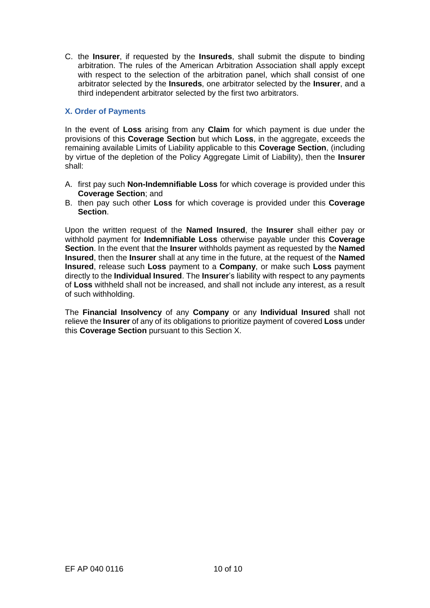C. the **Insurer**, if requested by the **Insureds**, shall submit the dispute to binding arbitration. The rules of the American Arbitration Association shall apply except with respect to the selection of the arbitration panel, which shall consist of one arbitrator selected by the **Insureds**, one arbitrator selected by the **Insurer**, and a third independent arbitrator selected by the first two arbitrators.

## **X. Order of Payments**

In the event of **Loss** arising from any **Claim** for which payment is due under the provisions of this **Coverage Section** but which **Loss**, in the aggregate, exceeds the remaining available Limits of Liability applicable to this **Coverage Section**, (including by virtue of the depletion of the Policy Aggregate Limit of Liability), then the **Insurer**  shall:

- A. first pay such **Non-Indemnifiable Loss** for which coverage is provided under this **Coverage Section**; and
- B. then pay such other **Loss** for which coverage is provided under this **Coverage Section**.

Upon the written request of the **Named Insured**, the **Insurer** shall either pay or withhold payment for **Indemnifiable Loss** otherwise payable under this **Coverage Section**. In the event that the **Insurer** withholds payment as requested by the **Named Insured**, then the **Insurer** shall at any time in the future, at the request of the **Named Insured**, release such **Loss** payment to a **Company**, or make such **Loss** payment directly to the **Individual Insured**. The **Insurer**'s liability with respect to any payments of **Loss** withheld shall not be increased, and shall not include any interest, as a result of such withholding.

The **Financial Insolvency** of any **Company** or any **Individual Insured** shall not relieve the **Insurer** of any of its obligations to prioritize payment of covered **Loss** under this **Coverage Section** pursuant to this Section X.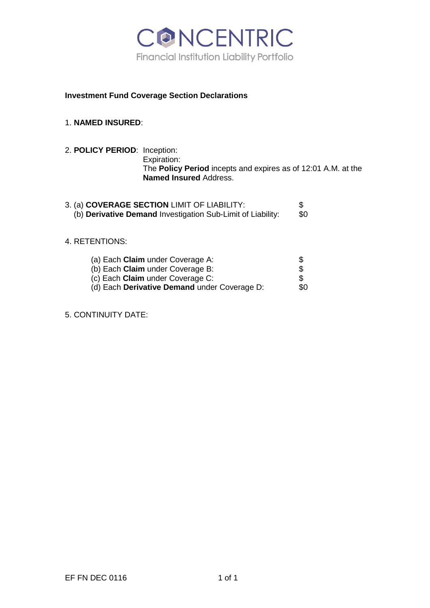

## **Investment Fund Coverage Section Declarations**

# 1. **NAMED INSURED**:

2. **POLICY PERIOD**: Inception: Expiration: The **Policy Period** incepts and expires as of 12:01 A.M. at the **Named Insured** Address.

| 3. (a) COVERAGE SECTION LIMIT OF LIABILITY:                 |     |
|-------------------------------------------------------------|-----|
| (b) Derivative Demand Investigation Sub-Limit of Liability: | \$0 |

## 4. RETENTIONS:

| (a) Each <b>Claim</b> under Coverage A:      | \$  |
|----------------------------------------------|-----|
| (b) Each <b>Claim</b> under Coverage B:      | \$  |
| (c) Each <b>Claim</b> under Coverage C:      | \$  |
| (d) Each Derivative Demand under Coverage D: | SO. |

5. CONTINUITY DATE: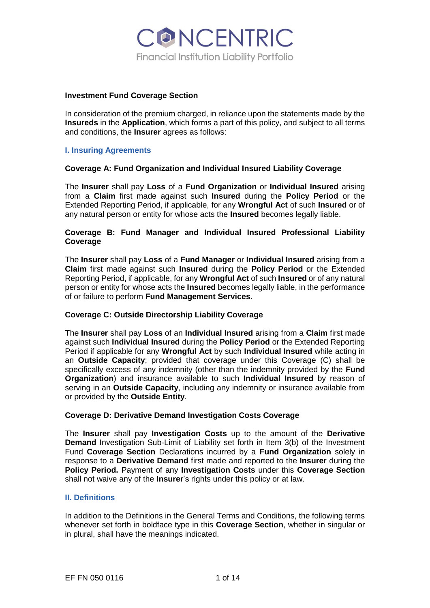

#### **Investment Fund Coverage Section**

In consideration of the premium charged, in reliance upon the statements made by the **Insureds** in the **Application**, which forms a part of this policy, and subject to all terms and conditions, the **Insurer** agrees as follows:

#### **I. Insuring Agreements**

#### **Coverage A: Fund Organization and Individual Insured Liability Coverage**

The **Insurer** shall pay **Loss** of a **Fund Organization** or **Individual Insured** arising from a **Claim** first made against such **Insured** during the **Policy Period** or the Extended Reporting Period, if applicable, for any **Wrongful Act** of such **Insured** or of any natural person or entity for whose acts the **Insured** becomes legally liable.

#### **Coverage B: Fund Manager and Individual Insured Professional Liability Coverage**

The **Insurer** shall pay **Loss** of a **Fund Manager** or **Individual Insured** arising from a **Claim** first made against such **Insured** during the **Policy Period** or the Extended Reporting Period**,** if applicable, for any **Wrongful Act** of such **Insured** or of any natural person or entity for whose acts the **Insured** becomes legally liable, in the performance of or failure to perform **Fund Management Services**.

#### **Coverage C: Outside Directorship Liability Coverage**

The **Insurer** shall pay **Loss** of an **Individual Insured** arising from a **Claim** first made against such **Individual Insured** during the **Policy Period** or the Extended Reporting Period if applicable for any **Wrongful Act** by such **Individual Insured** while acting in an **Outside Capacity**; provided that coverage under this Coverage (C) shall be specifically excess of any indemnity (other than the indemnity provided by the **Fund Organization**) and insurance available to such **Individual Insured** by reason of serving in an **Outside Capacity**, including any indemnity or insurance available from or provided by the **Outside Entity**.

#### **Coverage D: Derivative Demand Investigation Costs Coverage**

The **Insurer** shall pay **Investigation Costs** up to the amount of the **Derivative Demand** Investigation Sub-Limit of Liability set forth in Item 3(b) of the Investment Fund **Coverage Section** Declarations incurred by a **Fund Organization** solely in response to a **Derivative Demand** first made and reported to the **Insurer** during the **Policy Period.** Payment of any **Investigation Costs** under this **Coverage Section** shall not waive any of the **Insurer**'s rights under this policy or at law.

#### **II. Definitions**

In addition to the Definitions in the General Terms and Conditions, the following terms whenever set forth in boldface type in this **Coverage Section**, whether in singular or in plural, shall have the meanings indicated.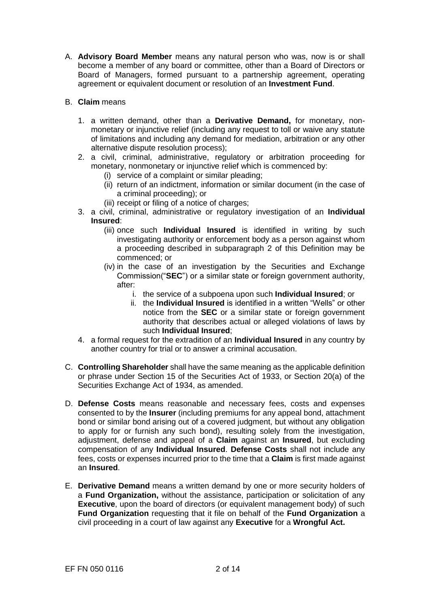A. **Advisory Board Member** means any natural person who was, now is or shall become a member of any board or committee, other than a Board of Directors or Board of Managers, formed pursuant to a partnership agreement, operating agreement or equivalent document or resolution of an **Investment Fund**.

# B. **Claim** means

- 1. a written demand, other than a **Derivative Demand,** for monetary, nonmonetary or injunctive relief (including any request to toll or waive any statute of limitations and including any demand for mediation, arbitration or any other alternative dispute resolution process);
- 2. a civil, criminal, administrative, regulatory or arbitration proceeding for monetary, nonmonetary or injunctive relief which is commenced by:
	- (i) service of a complaint or similar pleading;
	- (ii) return of an indictment, information or similar document (in the case of a criminal proceeding); or
	- (iii) receipt or filing of a notice of charges;
- 3. a civil, criminal, administrative or regulatory investigation of an **Individual Insured**:
	- (iii) once such **Individual Insured** is identified in writing by such investigating authority or enforcement body as a person against whom a proceeding described in subparagraph 2 of this Definition may be commenced; or
	- (iv) in the case of an investigation by the Securities and Exchange Commission("**SEC**") or a similar state or foreign government authority, after:
		- i. the service of a subpoena upon such **Individual Insured**; or
		- ii. the **Individual Insured** is identified in a written "Wells" or other notice from the **SEC** or a similar state or foreign government authority that describes actual or alleged violations of laws by such **Individual Insured**;
- 4. a formal request for the extradition of an **Individual Insured** in any country by another country for trial or to answer a criminal accusation.
- C. **Controlling Shareholder** shall have the same meaning as the applicable definition or phrase under Section 15 of the Securities Act of 1933, or Section 20(a) of the Securities Exchange Act of 1934, as amended.
- D. **Defense Costs** means reasonable and necessary fees, costs and expenses consented to by the **Insurer** (including premiums for any appeal bond, attachment bond or similar bond arising out of a covered judgment, but without any obligation to apply for or furnish any such bond), resulting solely from the investigation, adjustment, defense and appeal of a **Claim** against an **Insured**, but excluding compensation of any **Individual Insured**. **Defense Costs** shall not include any fees, costs or expenses incurred prior to the time that a **Claim** is first made against an **Insured**.
- E. **Derivative Demand** means a written demand by one or more security holders of a **Fund Organization,** without the assistance, participation or solicitation of any **Executive**, upon the board of directors (or equivalent management body) of such **Fund Organization** requesting that it file on behalf of the **Fund Organization** a civil proceeding in a court of law against any **Executive** for a **Wrongful Act.**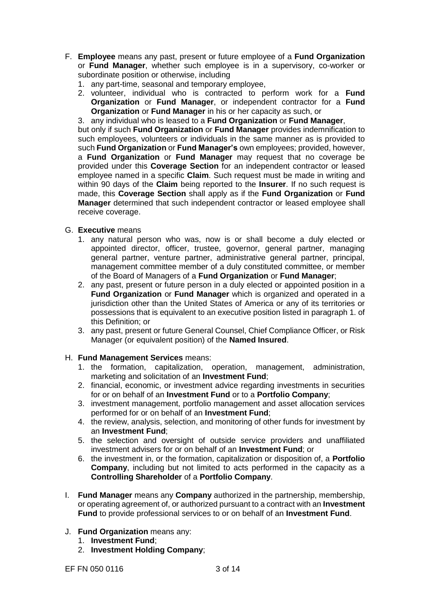- F. **Employee** means any past, present or future employee of a **Fund Organization** or **Fund Manager**, whether such employee is in a supervisory, co-worker or subordinate position or otherwise, including
	- 1. any part-time, seasonal and temporary employee,
	- 2. volunteer, individual who is contracted to perform work for a **Fund Organization** or **Fund Manager**, or independent contractor for a **Fund Organization** or **Fund Manager** in his or her capacity as such, or
	- 3. any individual who is leased to a **Fund Organization** or **Fund Manager**,

but only if such **Fund Organization** or **Fund Manager** provides indemnification to such employees, volunteers or individuals in the same manner as is provided to such **Fund Organization** or **Fund Manager's** own employees; provided, however, a **Fund Organization** or **Fund Manager** may request that no coverage be provided under this **Coverage Section** for an independent contractor or leased employee named in a specific **Claim**. Such request must be made in writing and within 90 days of the **Claim** being reported to the **Insurer**. If no such request is made, this **Coverage Section** shall apply as if the **Fund Organization** or **Fund Manager** determined that such independent contractor or leased employee shall receive coverage.

- G. **Executive** means
	- 1. any natural person who was, now is or shall become a duly elected or appointed director, officer, trustee, governor, general partner, managing general partner, venture partner, administrative general partner, principal, management committee member of a duly constituted committee, or member of the Board of Managers of a **Fund Organization** or **Fund Manager**;
	- 2. any past, present or future person in a duly elected or appointed position in a **Fund Organization** or **Fund Manager** which is organized and operated in a jurisdiction other than the United States of America or any of its territories or possessions that is equivalent to an executive position listed in paragraph 1. of this Definition; or
	- 3. any past, present or future General Counsel, Chief Compliance Officer, or Risk Manager (or equivalent position) of the **Named Insured**.
- H. **Fund Management Services** means:
	- 1. the formation, capitalization, operation, management, administration, marketing and solicitation of an **Investment Fund**;
	- 2. financial, economic, or investment advice regarding investments in securities for or on behalf of an **Investment Fund** or to a **Portfolio Company**;
	- 3. investment management, portfolio management and asset allocation services performed for or on behalf of an **Investment Fund**;
	- 4. the review, analysis, selection, and monitoring of other funds for investment by an **Investment Fund**;
	- 5. the selection and oversight of outside service providers and unaffiliated investment advisers for or on behalf of an **Investment Fund**; or
	- 6. the investment in, or the formation, capitalization or disposition of, a **Portfolio Company**, including but not limited to acts performed in the capacity as a **Controlling Shareholder** of a **Portfolio Company**.
- I. **Fund Manager** means any **Company** authorized in the partnership, membership, or operating agreement of, or authorized pursuant to a contract with an **Investment Fund** to provide professional services to or on behalf of an **Investment Fund**.
- J. **Fund Organization** means any:
	- 1. **Investment Fund**;
	- 2. **Investment Holding Company**;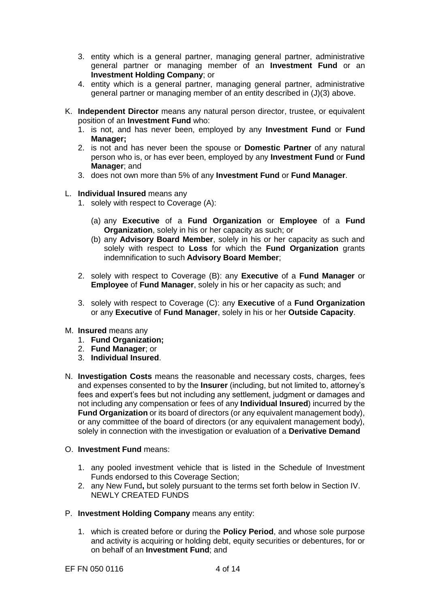- 3. entity which is a general partner, managing general partner, administrative general partner or managing member of an **Investment Fund** or an **Investment Holding Company**; or
- 4. entity which is a general partner, managing general partner, administrative general partner or managing member of an entity described in (J)(3) above.
- K. **Independent Director** means any natural person director, trustee, or equivalent position of an **Investment Fund** who:
	- 1. is not, and has never been, employed by any **Investment Fund** or **Fund Manager;**
	- 2. is not and has never been the spouse or **Domestic Partner** of any natural person who is, or has ever been, employed by any **Investment Fund** or **Fund Manager**; and
	- 3. does not own more than 5% of any **Investment Fund** or **Fund Manager**.
- L. **Individual Insured** means any
	- 1. solely with respect to Coverage (A):
		- (a) any **Executive** of a **Fund Organization** or **Employee** of a **Fund Organization**, solely in his or her capacity as such; or
		- (b) any **Advisory Board Member**, solely in his or her capacity as such and solely with respect to **Loss** for which the **Fund Organization** grants indemnification to such **Advisory Board Member**;
	- 2. solely with respect to Coverage (B): any **Executive** of a **Fund Manager** or **Employee** of **Fund Manager**, solely in his or her capacity as such; and
	- 3. solely with respect to Coverage (C): any **Executive** of a **Fund Organization** or any **Executive** of **Fund Manager**, solely in his or her **Outside Capacity**.
- M. **Insured** means any
	- 1. **Fund Organization;**
	- 2. **Fund Manager**; or
	- 3. **Individual Insured**.
- N. **Investigation Costs** means the reasonable and necessary costs, charges, fees and expenses consented to by the **Insurer** (including, but not limited to, attorney's fees and expert's fees but not including any settlement, judgment or damages and not including any compensation or fees of any **Individual Insured**) incurred by the **Fund Organization** or its board of directors (or any equivalent management body), or any committee of the board of directors (or any equivalent management body), solely in connection with the investigation or evaluation of a **Derivative Demand**
- O. **Investment Fund** means:
	- 1. any pooled investment vehicle that is listed in the Schedule of Investment Funds endorsed to this Coverage Section;
	- 2. any New Fund**,** but solely pursuant to the terms set forth below in Section IV. NEWLY CREATED FUNDS
- P. **Investment Holding Company** means any entity:
	- 1. which is created before or during the **Policy Period**, and whose sole purpose and activity is acquiring or holding debt, equity securities or debentures, for or on behalf of an **Investment Fund**; and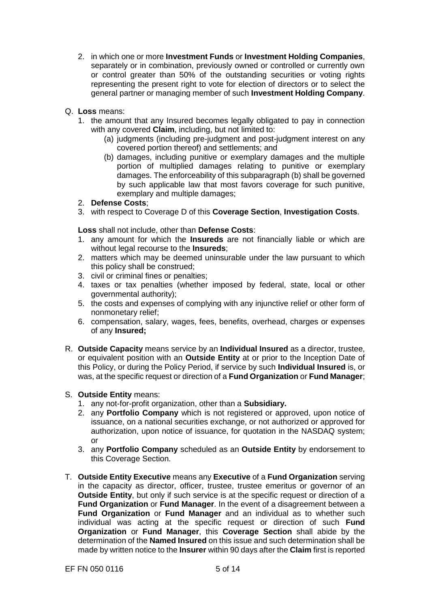- 2. in which one or more **Investment Funds** or **Investment Holding Companies**, separately or in combination, previously owned or controlled or currently own or control greater than 50% of the outstanding securities or voting rights representing the present right to vote for election of directors or to select the general partner or managing member of such **Investment Holding Company**.
- Q. **Loss** means:
	- 1. the amount that any Insured becomes legally obligated to pay in connection with any covered **Claim**, including, but not limited to:
		- (a) judgments (including pre-judgment and post-judgment interest on any covered portion thereof) and settlements; and
		- (b) damages, including punitive or exemplary damages and the multiple portion of multiplied damages relating to punitive or exemplary damages. The enforceability of this subparagraph (b) shall be governed by such applicable law that most favors coverage for such punitive, exemplary and multiple damages;
	- 2. **Defense Costs**;
	- 3. with respect to Coverage D of this **Coverage Section**, **Investigation Costs**.

**Loss** shall not include, other than **Defense Costs**:

- 1. any amount for which the **Insureds** are not financially liable or which are without legal recourse to the **Insureds**;
- 2. matters which may be deemed uninsurable under the law pursuant to which this policy shall be construed;
- 3. civil or criminal fines or penalties;
- 4. taxes or tax penalties (whether imposed by federal, state, local or other governmental authority);
- 5. the costs and expenses of complying with any injunctive relief or other form of nonmonetary relief;
- 6. compensation, salary, wages, fees, benefits, overhead, charges or expenses of any **Insured;**
- R. **Outside Capacity** means service by an **Individual Insured** as a director, trustee, or equivalent position with an **Outside Entity** at or prior to the Inception Date of this Policy, or during the Policy Period, if service by such **Individual Insured** is, or was, at the specific request or direction of a **Fund Organization** or **Fund Manager**;

#### S. **Outside Entity** means:

- 1. any not-for-profit organization, other than a **Subsidiary.**
- 2. any **Portfolio Company** which is not registered or approved, upon notice of issuance, on a national securities exchange, or not authorized or approved for authorization, upon notice of issuance, for quotation in the NASDAQ system; or
- 3. any **Portfolio Company** scheduled as an **Outside Entity** by endorsement to this Coverage Section.
- T. **Outside Entity Executive** means any **Executive** of a **Fund Organization** serving in the capacity as director, officer, trustee, trustee emeritus or governor of an **Outside Entity**, but only if such service is at the specific request or direction of a **Fund Organization** or **Fund Manager**. In the event of a disagreement between a **Fund Organization** or **Fund Manager** and an individual as to whether such individual was acting at the specific request or direction of such **Fund Organization** or **Fund Manager**, this **Coverage Section** shall abide by the determination of the **Named Insured** on this issue and such determination shall be made by written notice to the **Insurer** within 90 days after the **Claim** first is reported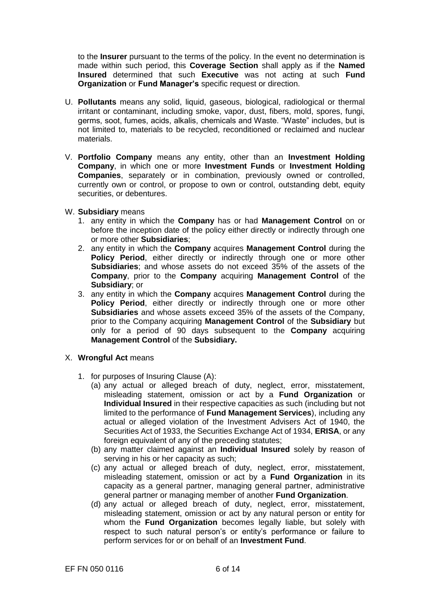to the **Insurer** pursuant to the terms of the policy. In the event no determination is made within such period, this **Coverage Section** shall apply as if the **Named Insured** determined that such **Executive** was not acting at such **Fund Organization** or **Fund Manager's** specific request or direction.

- U. **Pollutants** means any solid, liquid, gaseous, biological, radiological or thermal irritant or contaminant, including smoke, vapor, dust, fibers, mold, spores, fungi, germs, soot, fumes, acids, alkalis, chemicals and Waste. "Waste" includes, but is not limited to, materials to be recycled, reconditioned or reclaimed and nuclear materials.
- V. **Portfolio Company** means any entity, other than an **Investment Holding Company**, in which one or more **Investment Funds** or **Investment Holding Companies**, separately or in combination, previously owned or controlled, currently own or control, or propose to own or control, outstanding debt, equity securities, or debentures.
- W. **Subsidiary** means
	- 1. any entity in which the **Company** has or had **Management Control** on or before the inception date of the policy either directly or indirectly through one or more other **Subsidiaries**;
	- 2. any entity in which the **Company** acquires **Management Control** during the **Policy Period**, either directly or indirectly through one or more other **Subsidiaries**; and whose assets do not exceed 35% of the assets of the **Company**, prior to the **Company** acquiring **Management Control** of the **Subsidiary**; or
	- 3. any entity in which the **Company** acquires **Management Control** during the **Policy Period**, either directly or indirectly through one or more other **Subsidiaries** and whose assets exceed 35% of the assets of the Company, prior to the Company acquiring **Management Control** of the **Subsidiary** but only for a period of 90 days subsequent to the **Company** acquiring **Management Control** of the **Subsidiary.**
- X. **Wrongful Act** means
	- 1. for purposes of Insuring Clause (A):
		- (a) any actual or alleged breach of duty, neglect, error, misstatement, misleading statement, omission or act by a **Fund Organization** or **Individual Insured** in their respective capacities as such (including but not limited to the performance of **Fund Management Services**), including any actual or alleged violation of the Investment Advisers Act of 1940, the Securities Act of 1933, the Securities Exchange Act of 1934, **ERISA**, or any foreign equivalent of any of the preceding statutes;
		- (b) any matter claimed against an **Individual Insured** solely by reason of serving in his or her capacity as such;
		- (c) any actual or alleged breach of duty, neglect, error, misstatement, misleading statement, omission or act by a **Fund Organization** in its capacity as a general partner, managing general partner, administrative general partner or managing member of another **Fund Organization**.
		- (d) any actual or alleged breach of duty, neglect, error, misstatement, misleading statement, omission or act by any natural person or entity for whom the **Fund Organization** becomes legally liable, but solely with respect to such natural person's or entity's performance or failure to perform services for or on behalf of an **Investment Fund**.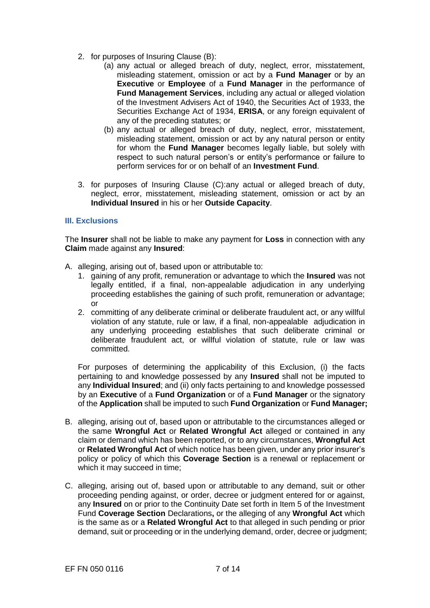- 2. for purposes of Insuring Clause (B):
	- (a) any actual or alleged breach of duty, neglect, error, misstatement, misleading statement, omission or act by a **Fund Manager** or by an **Executive** or **Employee** of a **Fund Manager** in the performance of **Fund Management Services**, including any actual or alleged violation of the Investment Advisers Act of 1940, the Securities Act of 1933, the Securities Exchange Act of 1934, **ERISA**, or any foreign equivalent of any of the preceding statutes; or
	- (b) any actual or alleged breach of duty, neglect, error, misstatement, misleading statement, omission or act by any natural person or entity for whom the **Fund Manager** becomes legally liable, but solely with respect to such natural person's or entity's performance or failure to perform services for or on behalf of an **Investment Fund**.
- 3. for purposes of Insuring Clause (C):any actual or alleged breach of duty, neglect, error, misstatement, misleading statement, omission or act by an **Individual Insured** in his or her **Outside Capacity**.

## **III. Exclusions**

The **Insurer** shall not be liable to make any payment for **Loss** in connection with any **Claim** made against any **Insured**:

- A. alleging, arising out of, based upon or attributable to:
	- 1. gaining of any profit, remuneration or advantage to which the **Insured** was not legally entitled, if a final, non-appealable adjudication in any underlying proceeding establishes the gaining of such profit, remuneration or advantage; or
	- 2. committing of any deliberate criminal or deliberate fraudulent act, or any willful violation of any statute, rule or law, if a final, non-appealable adjudication in any underlying proceeding establishes that such deliberate criminal or deliberate fraudulent act, or willful violation of statute, rule or law was committed.

For purposes of determining the applicability of this Exclusion, (i) the facts pertaining to and knowledge possessed by any **Insured** shall not be imputed to any **Individual Insured**; and (ii) only facts pertaining to and knowledge possessed by an **Executive** of a **Fund Organization** or of a **Fund Manager** or the signatory of the **Application** shall be imputed to such **Fund Organization** or **Fund Manager;**

- B. alleging, arising out of, based upon or attributable to the circumstances alleged or the same **Wrongful Act** or **Related Wrongful Act** alleged or contained in any claim or demand which has been reported, or to any circumstances, **Wrongful Act**  or **Related Wrongful Act** of which notice has been given, under any prior insurer's policy or policy of which this **Coverage Section** is a renewal or replacement or which it may succeed in time;
- C. alleging, arising out of, based upon or attributable to any demand, suit or other proceeding pending against, or order, decree or judgment entered for or against, any **Insured** on or prior to the Continuity Date set forth in Item 5 of the Investment Fund **Coverage Section** Declarations**,** or the alleging of any **Wrongful Act** which is the same as or a **Related Wrongful Act** to that alleged in such pending or prior demand, suit or proceeding or in the underlying demand, order, decree or judgment;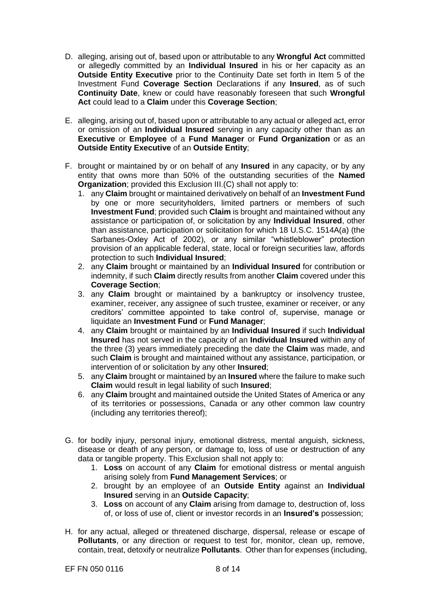- D. alleging, arising out of, based upon or attributable to any **Wrongful Act** committed or allegedly committed by an **Individual Insured** in his or her capacity as an **Outside Entity Executive** prior to the Continuity Date set forth in Item 5 of the Investment Fund **Coverage Section** Declarations if any **Insured**, as of such **Continuity Date**, knew or could have reasonably foreseen that such **Wrongful Act** could lead to a **Claim** under this **Coverage Section**;
- E. alleging, arising out of, based upon or attributable to any actual or alleged act, error or omission of an **Individual Insured** serving in any capacity other than as an **Executive** or **Employee** of a **Fund Manager** or **Fund Organization** or as an **Outside Entity Executive** of an **Outside Entity**;
- F. brought or maintained by or on behalf of any **Insured** in any capacity, or by any entity that owns more than 50% of the outstanding securities of the **Named Organization**; provided this Exclusion III.(C) shall not apply to:
	- 1. any **Claim** brought or maintained derivatively on behalf of an **Investment Fund**  by one or more securityholders, limited partners or members of such **Investment Fund**; provided such **Claim** is brought and maintained without any assistance or participation of, or solicitation by any **Individual Insured**, other than assistance, participation or solicitation for which 18 U.S.C. 1514A(a) (the Sarbanes-Oxley Act of 2002), or any similar "whistleblower" protection provision of an applicable federal, state, local or foreign securities law, affords protection to such **Individual Insured**;
	- 2. any **Claim** brought or maintained by an **Individual Insured** for contribution or indemnity, if such **Claim** directly results from another **Claim** covered under this **Coverage Section**;
	- 3. any **Claim** brought or maintained by a bankruptcy or insolvency trustee, examiner, receiver, any assignee of such trustee, examiner or receiver, or any creditors' committee appointed to take control of, supervise, manage or liquidate an **Investment Fund** or **Fund Manager**;
	- 4. any **Claim** brought or maintained by an **Individual Insured** if such **Individual Insured** has not served in the capacity of an **Individual Insured** within any of the three (3) years immediately preceding the date the **Claim** was made, and such **Claim** is brought and maintained without any assistance, participation, or intervention of or solicitation by any other **Insured**;
	- 5. any **Claim** brought or maintained by an **Insured** where the failure to make such **Claim** would result in legal liability of such **Insured**;
	- 6. any **Claim** brought and maintained outside the United States of America or any of its territories or possessions, Canada or any other common law country (including any territories thereof);
- G. for bodily injury, personal injury, emotional distress, mental anguish, sickness, disease or death of any person, or damage to, loss of use or destruction of any data or tangible property. This Exclusion shall not apply to:
	- 1. **Loss** on account of any **Claim** for emotional distress or mental anguish arising solely from **Fund Management Services**; or
	- 2. brought by an employee of an **Outside Entity** against an **Individual Insured** serving in an **Outside Capacity**;
	- 3. **Loss** on account of any **Claim** arising from damage to, destruction of, loss of, or loss of use of, client or investor records in an **Insured's** possession;
- H. for any actual, alleged or threatened discharge, dispersal, release or escape of **Pollutants**, or any direction or request to test for, monitor, clean up, remove, contain, treat, detoxify or neutralize **Pollutants**. Other than for expenses (including,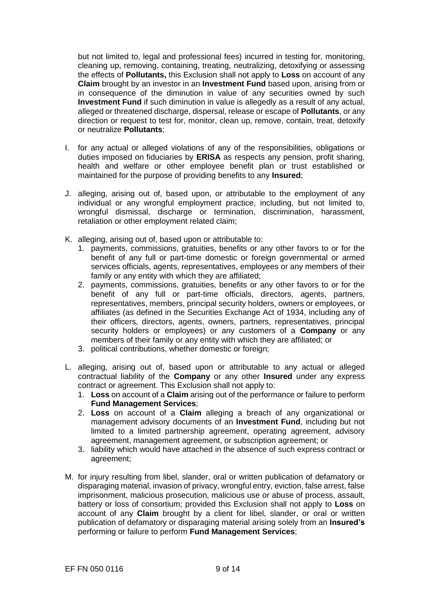but not limited to, legal and professional fees) incurred in testing for, monitoring, cleaning up, removing, containing, treating, neutralizing, detoxifying or assessing the effects of **Pollutants,** this Exclusion shall not apply to **Loss** on account of any **Claim** brought by an investor in an **Investment Fund** based upon, arising from or in consequence of the diminution in value of any securities owned by such **Investment Fund** if such diminution in value is allegedly as a result of any actual, alleged or threatened discharge, dispersal, release or escape of **Pollutants**, or any direction or request to test for, monitor, clean up, remove, contain, treat, detoxify or neutralize **Pollutants**;

- I. for any actual or alleged violations of any of the responsibilities, obligations or duties imposed on fiduciaries by **ERISA** as respects any pension, profit sharing, health and welfare or other employee benefit plan or trust established or maintained for the purpose of providing benefits to any **Insured**;
- J. alleging, arising out of, based upon, or attributable to the employment of any individual or any wrongful employment practice, including, but not limited to, wrongful dismissal, discharge or termination, discrimination, harassment, retaliation or other employment related claim;
- K. alleging, arising out of, based upon or attributable to:
	- 1. payments, commissions, gratuities, benefits or any other favors to or for the benefit of any full or part-time domestic or foreign governmental or armed services officials, agents, representatives, employees or any members of their family or any entity with which they are affiliated;
	- 2. payments, commissions, gratuities, benefits or any other favors to or for the benefit of any full or part-time officials, directors, agents, partners, representatives, members, principal security holders, owners or employees, or affiliates (as defined in the Securities Exchange Act of 1934, including any of their officers, directors, agents, owners, partners, representatives, principal security holders or employees) or any customers of a **Company** or any members of their family or any entity with which they are affiliated; or
	- 3. political contributions, whether domestic or foreign;
- L. alleging, arising out of, based upon or attributable to any actual or alleged contractual liability of the **Company** or any other **Insured** under any express contract or agreement. This Exclusion shall not apply to:
	- 1. **Loss** on account of a **Claim** arising out of the performance or failure to perform **Fund Management Services**;
	- 2. **Loss** on account of a **Claim** alleging a breach of any organizational or management advisory documents of an **Investment Fund**, including but not limited to a limited partnership agreement, operating agreement, advisory agreement, management agreement, or subscription agreement; or
	- 3. liability which would have attached in the absence of such express contract or agreement;
- M. for injury resulting from libel, slander, oral or written publication of defamatory or disparaging material, invasion of privacy, wrongful entry, eviction, false arrest, false imprisonment, malicious prosecution, malicious use or abuse of process, assault, battery or loss of consortium; provided this Exclusion shall not apply to **Loss** on account of any **Claim** brought by a client for libel, slander, or oral or written publication of defamatory or disparaging material arising solely from an **Insured's**  performing or failure to perform **Fund Management Services**;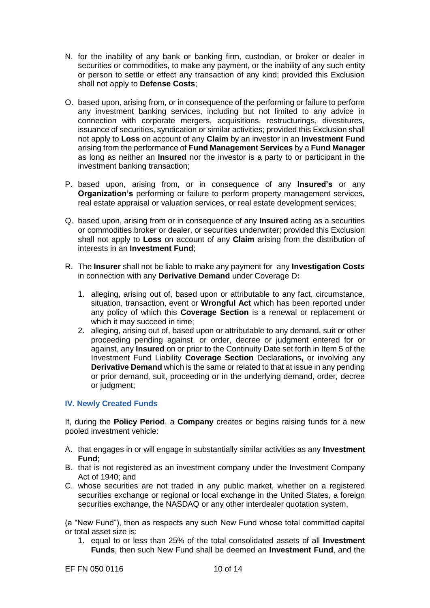- N. for the inability of any bank or banking firm, custodian, or broker or dealer in securities or commodities, to make any payment, or the inability of any such entity or person to settle or effect any transaction of any kind; provided this Exclusion shall not apply to **Defense Costs**;
- O. based upon, arising from, or in consequence of the performing or failure to perform any investment banking services, including but not limited to any advice in connection with corporate mergers, acquisitions, restructurings, divestitures, issuance of securities, syndication or similar activities; provided this Exclusion shall not apply to **Loss** on account of any **Claim** by an investor in an **Investment Fund**  arising from the performance of **Fund Management Services** by a **Fund Manager**  as long as neither an **Insured** nor the investor is a party to or participant in the investment banking transaction;
- P. based upon, arising from, or in consequence of any **Insured's** or any **Organization's** performing or failure to perform property management services, real estate appraisal or valuation services, or real estate development services;
- Q. based upon, arising from or in consequence of any **Insured** acting as a securities or commodities broker or dealer, or securities underwriter; provided this Exclusion shall not apply to **Loss** on account of any **Claim** arising from the distribution of interests in an **Investment Fund**;
- R. The **Insurer** shall not be liable to make any payment for any **Investigation Costs**  in connection with any **Derivative Demand** under Coverage D**:**
	- 1. alleging, arising out of, based upon or attributable to any fact, circumstance, situation, transaction, event or **Wrongful Act** which has been reported under any policy of which this **Coverage Section** is a renewal or replacement or which it may succeed in time:
	- 2. alleging, arising out of, based upon or attributable to any demand, suit or other proceeding pending against, or order, decree or judgment entered for or against, any **Insured** on or prior to the Continuity Date set forth in Item 5 of the Investment Fund Liability **Coverage Section** Declarations**,** or involving any **Derivative Demand** which is the same or related to that at issue in any pending or prior demand, suit, proceeding or in the underlying demand, order, decree or judgment;

## **IV. Newly Created Funds**

If, during the **Policy Period**, a **Company** creates or begins raising funds for a new pooled investment vehicle:

- A. that engages in or will engage in substantially similar activities as any **Investment Fund**;
- B. that is not registered as an investment company under the Investment Company Act of 1940; and
- C. whose securities are not traded in any public market, whether on a registered securities exchange or regional or local exchange in the United States, a foreign securities exchange, the NASDAQ or any other interdealer quotation system,

(a "New Fund"), then as respects any such New Fund whose total committed capital or total asset size is:

1. equal to or less than 25% of the total consolidated assets of all **Investment Funds**, then such New Fund shall be deemed an **Investment Fund**, and the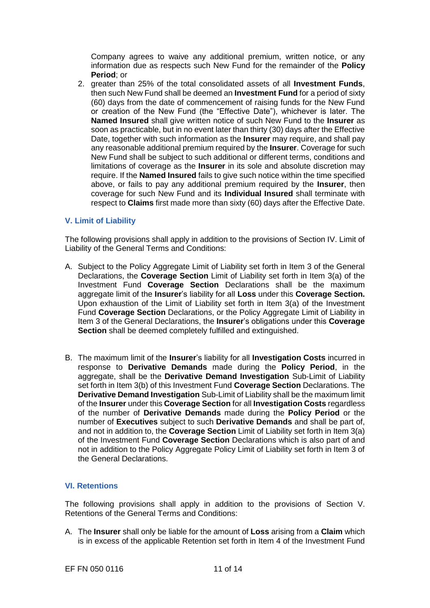Company agrees to waive any additional premium, written notice, or any information due as respects such New Fund for the remainder of the **Policy Period**; or

2. greater than 25% of the total consolidated assets of all **Investment Funds**, then such New Fund shall be deemed an **Investment Fund** for a period of sixty (60) days from the date of commencement of raising funds for the New Fund or creation of the New Fund (the "Effective Date"), whichever is later. The **Named Insured** shall give written notice of such New Fund to the **Insurer** as soon as practicable, but in no event later than thirty (30) days after the Effective Date, together with such information as the **Insurer** may require, and shall pay any reasonable additional premium required by the **Insurer**. Coverage for such New Fund shall be subject to such additional or different terms, conditions and limitations of coverage as the **Insurer** in its sole and absolute discretion may require. If the **Named Insured** fails to give such notice within the time specified above, or fails to pay any additional premium required by the **Insurer**, then coverage for such New Fund and its **Individual Insured** shall terminate with respect to **Claims** first made more than sixty (60) days after the Effective Date.

### **V. Limit of Liability**

The following provisions shall apply in addition to the provisions of Section IV. Limit of Liability of the General Terms and Conditions:

- A. Subject to the Policy Aggregate Limit of Liability set forth in Item 3 of the General Declarations, the **Coverage Section** Limit of Liability set forth in Item 3(a) of the Investment Fund **Coverage Section** Declarations shall be the maximum aggregate limit of the **Insurer**'s liability for all **Loss** under this **Coverage Section.**  Upon exhaustion of the Limit of Liability set forth in Item 3(a) of the Investment Fund **Coverage Section** Declarations, or the Policy Aggregate Limit of Liability in Item 3 of the General Declarations, the **Insurer**'s obligations under this **Coverage Section** shall be deemed completely fulfilled and extinguished.
- B. The maximum limit of the **Insurer**'s liability for all **Investigation Costs** incurred in response to **Derivative Demands** made during the **Policy Period**, in the aggregate, shall be the **Derivative Demand Investigation** Sub-Limit of Liability set forth in Item 3(b) of this Investment Fund **Coverage Section** Declarations. The **Derivative Demand Investigation** Sub-Limit of Liability shall be the maximum limit of the **Insurer** under this **Coverage Section** for all **Investigation Costs** regardless of the number of **Derivative Demands** made during the **Policy Period** or the number of **Executives** subject to such **Derivative Demands** and shall be part of, and not in addition to, the **Coverage Section** Limit of Liability set forth in Item 3(a) of the Investment Fund **Coverage Section** Declarations which is also part of and not in addition to the Policy Aggregate Policy Limit of Liability set forth in Item 3 of the General Declarations.

## **VI. Retentions**

The following provisions shall apply in addition to the provisions of Section V. Retentions of the General Terms and Conditions:

A. The **Insurer** shall only be liable for the amount of **Loss** arising from a **Claim** which is in excess of the applicable Retention set forth in Item 4 of the Investment Fund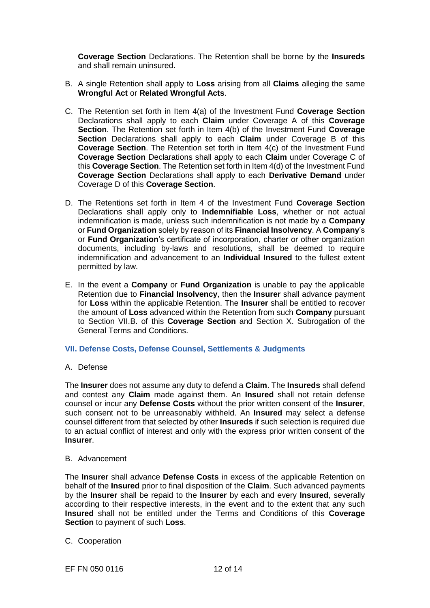**Coverage Section** Declarations. The Retention shall be borne by the **Insureds**  and shall remain uninsured.

- B. A single Retention shall apply to **Loss** arising from all **Claims** alleging the same **Wrongful Act** or **Related Wrongful Acts**.
- C. The Retention set forth in Item 4(a) of the Investment Fund **Coverage Section** Declarations shall apply to each **Claim** under Coverage A of this **Coverage Section**. The Retention set forth in Item 4(b) of the Investment Fund **Coverage Section** Declarations shall apply to each **Claim** under Coverage B of this **Coverage Section**. The Retention set forth in Item 4(c) of the Investment Fund **Coverage Section** Declarations shall apply to each **Claim** under Coverage C of this **Coverage Section**. The Retention set forth in Item 4(d) of the Investment Fund **Coverage Section** Declarations shall apply to each **Derivative Demand** under Coverage D of this **Coverage Section**.
- D. The Retentions set forth in Item 4 of the Investment Fund **Coverage Section** Declarations shall apply only to **Indemnifiable Loss**, whether or not actual indemnification is made, unless such indemnification is not made by a **Company** or **Fund Organization** solely by reason of its **Financial Insolvency**. A **Company**'s or **Fund Organization**'s certificate of incorporation, charter or other organization documents, including by-laws and resolutions, shall be deemed to require indemnification and advancement to an **Individual Insured** to the fullest extent permitted by law.
- E. In the event a **Company** or **Fund Organization** is unable to pay the applicable Retention due to **Financial Insolvency**, then the **Insurer** shall advance payment for **Loss** within the applicable Retention. The **Insurer** shall be entitled to recover the amount of **Loss** advanced within the Retention from such **Company** pursuant to Section VII.B. of this **Coverage Section** and Section X. Subrogation of the General Terms and Conditions.

#### **VII. Defense Costs, Defense Counsel, Settlements & Judgments**

#### A. Defense

The **Insurer** does not assume any duty to defend a **Claim**. The **Insureds** shall defend and contest any **Claim** made against them. An **Insured** shall not retain defense counsel or incur any **Defense Costs** without the prior written consent of the **Insurer**, such consent not to be unreasonably withheld. An **Insured** may select a defense counsel different from that selected by other **Insureds** if such selection is required due to an actual conflict of interest and only with the express prior written consent of the **Insurer**.

#### B. Advancement

The **Insurer** shall advance **Defense Costs** in excess of the applicable Retention on behalf of the **Insured** prior to final disposition of the **Claim**. Such advanced payments by the **Insurer** shall be repaid to the **Insurer** by each and every **Insured**, severally according to their respective interests, in the event and to the extent that any such **Insured** shall not be entitled under the Terms and Conditions of this **Coverage Section** to payment of such **Loss**.

C. Cooperation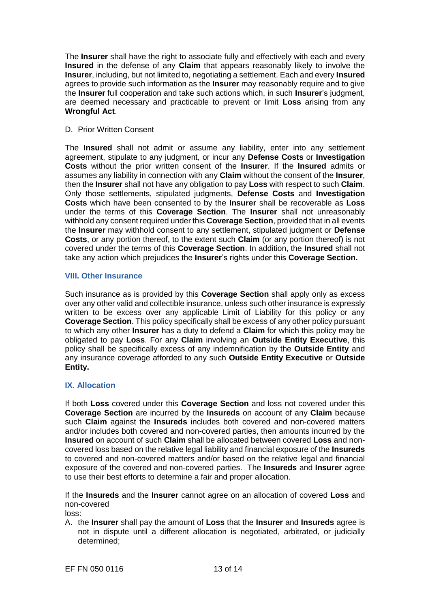The **Insurer** shall have the right to associate fully and effectively with each and every **Insured** in the defense of any **Claim** that appears reasonably likely to involve the **Insurer**, including, but not limited to, negotiating a settlement. Each and every **Insured**  agrees to provide such information as the **Insurer** may reasonably require and to give the **Insurer** full cooperation and take such actions which, in such **Insurer**'s judgment, are deemed necessary and practicable to prevent or limit **Loss** arising from any **Wrongful Act**.

### D. Prior Written Consent

The **Insured** shall not admit or assume any liability, enter into any settlement agreement, stipulate to any judgment, or incur any **Defense Costs** or **Investigation Costs** without the prior written consent of the **Insurer**. If the **Insured** admits or assumes any liability in connection with any **Claim** without the consent of the **Insurer**, then the **Insurer** shall not have any obligation to pay **Loss** with respect to such **Claim**. Only those settlements, stipulated judgments, **Defense Costs** and **Investigation Costs** which have been consented to by the **Insurer** shall be recoverable as **Loss**  under the terms of this **Coverage Section**. The **Insurer** shall not unreasonably withhold any consent required under this **Coverage Section**, provided that in all events the **Insurer** may withhold consent to any settlement, stipulated judgment or **Defense Costs**, or any portion thereof, to the extent such **Claim** (or any portion thereof) is not covered under the terms of this **Coverage Section**. In addition, the **Insured** shall not take any action which prejudices the **Insurer**'s rights under this **Coverage Section.**

### **VIII. Other Insurance**

Such insurance as is provided by this **Coverage Section** shall apply only as excess over any other valid and collectible insurance, unless such other insurance is expressly written to be excess over any applicable Limit of Liability for this policy or any **Coverage Section**. This policy specifically shall be excess of any other policy pursuant to which any other **Insurer** has a duty to defend a **Claim** for which this policy may be obligated to pay **Loss**. For any **Claim** involving an **Outside Entity Executive**, this policy shall be specifically excess of any indemnification by the **Outside Entity** and any insurance coverage afforded to any such **Outside Entity Executive** or **Outside Entity.**

## **IX. Allocation**

If both **Loss** covered under this **Coverage Section** and loss not covered under this **Coverage Section** are incurred by the **Insureds** on account of any **Claim** because such **Claim** against the **Insureds** includes both covered and non-covered matters and/or includes both covered and non-covered parties, then amounts incurred by the **Insured** on account of such **Claim** shall be allocated between covered **Loss** and noncovered loss based on the relative legal liability and financial exposure of the **Insureds**  to covered and non-covered matters and/or based on the relative legal and financial exposure of the covered and non-covered parties. The **Insureds** and **Insurer** agree to use their best efforts to determine a fair and proper allocation.

If the **Insureds** and the **Insurer** cannot agree on an allocation of covered **Loss** and non-covered

loss:

A. the **Insurer** shall pay the amount of **Loss** that the **Insurer** and **Insureds** agree is not in dispute until a different allocation is negotiated, arbitrated, or judicially determined;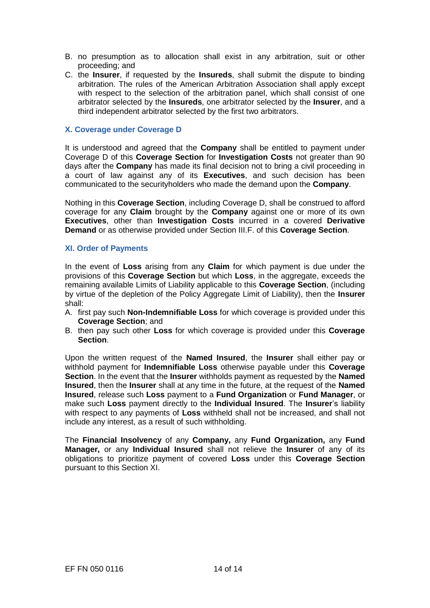- B. no presumption as to allocation shall exist in any arbitration, suit or other proceeding; and
- C. the **Insurer**, if requested by the **Insureds**, shall submit the dispute to binding arbitration. The rules of the American Arbitration Association shall apply except with respect to the selection of the arbitration panel, which shall consist of one arbitrator selected by the **Insureds**, one arbitrator selected by the **Insurer**, and a third independent arbitrator selected by the first two arbitrators.

#### **X. Coverage under Coverage D**

It is understood and agreed that the **Company** shall be entitled to payment under Coverage D of this **Coverage Section** for **Investigation Costs** not greater than 90 days after the **Company** has made its final decision not to bring a civil proceeding in a court of law against any of its **Executives**, and such decision has been communicated to the securityholders who made the demand upon the **Company**.

Nothing in this **Coverage Section**, including Coverage D, shall be construed to afford coverage for any **Claim** brought by the **Company** against one or more of its own **Executives**, other than **Investigation Costs** incurred in a covered **Derivative Demand** or as otherwise provided under Section III.F. of this **Coverage Section**.

#### **XI. Order of Payments**

In the event of **Loss** arising from any **Claim** for which payment is due under the provisions of this **Coverage Section** but which **Loss**, in the aggregate, exceeds the remaining available Limits of Liability applicable to this **Coverage Section**, (including by virtue of the depletion of the Policy Aggregate Limit of Liability), then the **Insurer**  shall:

- A. first pay such **Non-Indemnifiable Loss** for which coverage is provided under this **Coverage Section**; and
- B. then pay such other **Loss** for which coverage is provided under this **Coverage Section**.

Upon the written request of the **Named Insured**, the **Insurer** shall either pay or withhold payment for **Indemnifiable Loss** otherwise payable under this **Coverage Section**. In the event that the **Insurer** withholds payment as requested by the **Named Insured**, then the **Insurer** shall at any time in the future, at the request of the **Named Insured**, release such **Loss** payment to a **Fund Organization** or **Fund Manager**, or make such **Loss** payment directly to the **Individual Insured**. The **Insurer**'s liability with respect to any payments of **Loss** withheld shall not be increased, and shall not include any interest, as a result of such withholding.

The **Financial Insolvency** of any **Company,** any **Fund Organization,** any **Fund Manager,** or any **Individual Insured** shall not relieve the **Insurer** of any of its obligations to prioritize payment of covered **Loss** under this **Coverage Section** pursuant to this Section XI.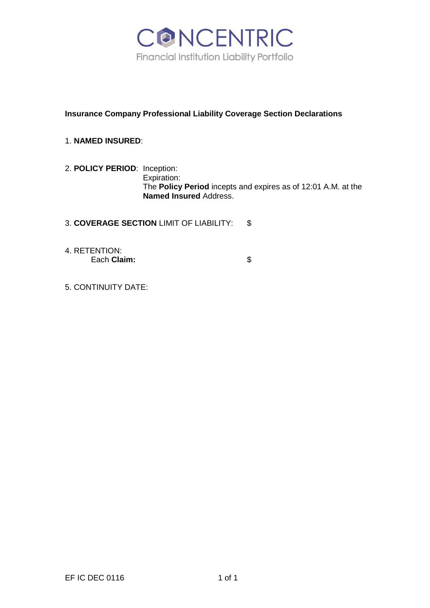

# **Insurance Company Professional Liability Coverage Section Declarations**

# 1. **NAMED INSURED**:

2. **POLICY PERIOD**: Inception: Expiration: The **Policy Period** incepts and expires as of 12:01 A.M. at the **Named Insured** Address.

3. **COVERAGE SECTION** LIMIT OF LIABILITY: \$

4. RETENTION: Each **Claim:**  $\qquad$  \$

5. CONTINUITY DATE: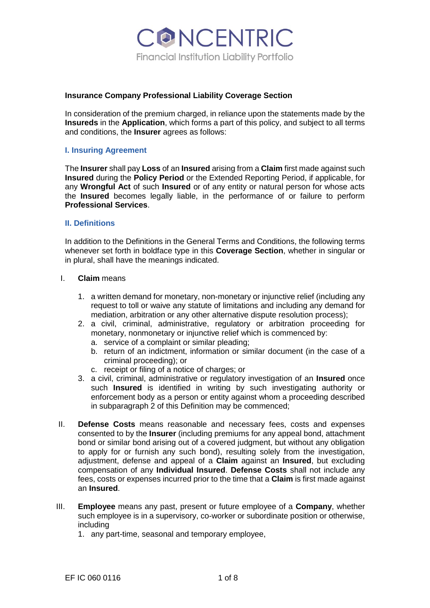CONCENTRIC **Financial Institution Liability Portfolio** 

### **Insurance Company Professional Liability Coverage Section**

In consideration of the premium charged, in reliance upon the statements made by the **Insureds** in the **Application**, which forms a part of this policy, and subject to all terms and conditions, the **Insurer** agrees as follows:

### **I. Insuring Agreement**

The **Insurer** shall pay **Loss** of an **Insured** arising from a **Claim** first made against such **Insured** during the **Policy Period** or the Extended Reporting Period, if applicable, for any **Wrongful Act** of such **Insured** or of any entity or natural person for whose acts the **Insured** becomes legally liable, in the performance of or failure to perform **Professional Services**.

### **II. Definitions**

In addition to the Definitions in the General Terms and Conditions, the following terms whenever set forth in boldface type in this **Coverage Section**, whether in singular or in plural, shall have the meanings indicated.

#### I. **Claim** means

- 1. a written demand for monetary, non-monetary or injunctive relief (including any request to toll or waive any statute of limitations and including any demand for mediation, arbitration or any other alternative dispute resolution process);
- 2. a civil, criminal, administrative, regulatory or arbitration proceeding for monetary, nonmonetary or injunctive relief which is commenced by:
	- a. service of a complaint or similar pleading;
	- b. return of an indictment, information or similar document (in the case of a criminal proceeding); or
	- c. receipt or filing of a notice of charges; or
- 3. a civil, criminal, administrative or regulatory investigation of an **Insured** once such **Insured** is identified in writing by such investigating authority or enforcement body as a person or entity against whom a proceeding described in subparagraph 2 of this Definition may be commenced;
- II. **Defense Costs** means reasonable and necessary fees, costs and expenses consented to by the **Insurer** (including premiums for any appeal bond, attachment bond or similar bond arising out of a covered judgment, but without any obligation to apply for or furnish any such bond), resulting solely from the investigation, adjustment, defense and appeal of a **Claim** against an **Insured**, but excluding compensation of any **Individual Insured**. **Defense Costs** shall not include any fees, costs or expenses incurred prior to the time that a **Claim** is first made against an **Insured**.
- III. **Employee** means any past, present or future employee of a **Company**, whether such employee is in a supervisory, co-worker or subordinate position or otherwise, including
	- 1. any part-time, seasonal and temporary employee,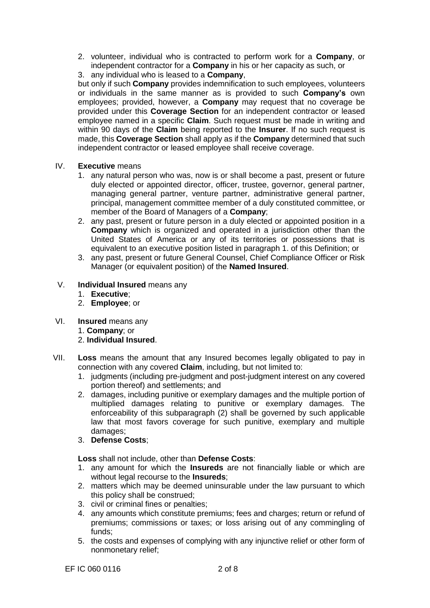- 2. volunteer, individual who is contracted to perform work for a **Company**, or independent contractor for a **Company** in his or her capacity as such, or
- 3. any individual who is leased to a **Company**,

but only if such **Company** provides indemnification to such employees, volunteers or individuals in the same manner as is provided to such **Company's** own employees; provided, however, a **Company** may request that no coverage be provided under this **Coverage Section** for an independent contractor or leased employee named in a specific **Claim**. Such request must be made in writing and within 90 days of the **Claim** being reported to the **Insurer**. If no such request is made, this **Coverage Section** shall apply as if the **Company** determined that such independent contractor or leased employee shall receive coverage.

- IV. **Executive** means
	- 1. any natural person who was, now is or shall become a past, present or future duly elected or appointed director, officer, trustee, governor, general partner, managing general partner, venture partner, administrative general partner, principal, management committee member of a duly constituted committee, or member of the Board of Managers of a **Company**;
	- 2. any past, present or future person in a duly elected or appointed position in a **Company** which is organized and operated in a jurisdiction other than the United States of America or any of its territories or possessions that is equivalent to an executive position listed in paragraph 1. of this Definition; or
	- 3. any past, present or future General Counsel, Chief Compliance Officer or Risk Manager (or equivalent position) of the **Named Insured**.
- V. **Individual Insured** means any
	- 1. **Executive**;
	- 2. **Employee**; or
- VI. **Insured** means any
	- 1. **Company**; or
	- 2. **Individual Insured**.
- VII. **Loss** means the amount that any Insured becomes legally obligated to pay in connection with any covered **Claim**, including, but not limited to:
	- 1. judgments (including pre-judgment and post-judgment interest on any covered portion thereof) and settlements; and
	- 2. damages, including punitive or exemplary damages and the multiple portion of multiplied damages relating to punitive or exemplary damages. The enforceability of this subparagraph (2) shall be governed by such applicable law that most favors coverage for such punitive, exemplary and multiple damages;
	- 3. **Defense Costs**;

**Loss** shall not include, other than **Defense Costs**:

- 1. any amount for which the **Insureds** are not financially liable or which are without legal recourse to the **Insureds**;
- 2. matters which may be deemed uninsurable under the law pursuant to which this policy shall be construed;
- 3. civil or criminal fines or penalties;
- 4. any amounts which constitute premiums; fees and charges; return or refund of premiums; commissions or taxes; or loss arising out of any commingling of funds;
- 5. the costs and expenses of complying with any injunctive relief or other form of nonmonetary relief;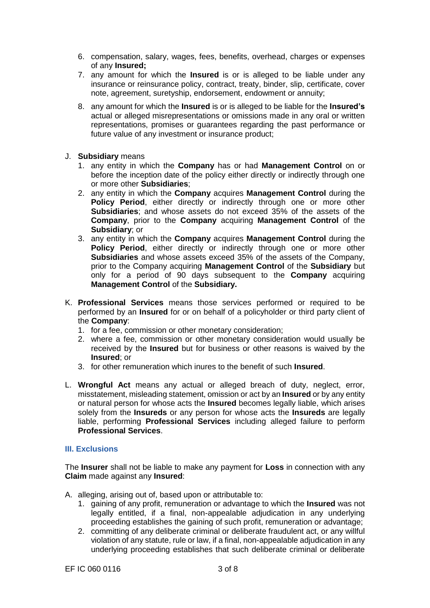- 6. compensation, salary, wages, fees, benefits, overhead, charges or expenses of any **Insured;**
- 7. any amount for which the **Insured** is or is alleged to be liable under any insurance or reinsurance policy, contract, treaty, binder, slip, certificate, cover note, agreement, suretyship, endorsement, endowment or annuity;
- 8. any amount for which the **Insured** is or is alleged to be liable for the **Insured's**  actual or alleged misrepresentations or omissions made in any oral or written representations, promises or guarantees regarding the past performance or future value of any investment or insurance product;
- J. **Subsidiary** means
	- 1. any entity in which the **Company** has or had **Management Control** on or before the inception date of the policy either directly or indirectly through one or more other **Subsidiaries**;
	- 2. any entity in which the **Company** acquires **Management Control** during the **Policy Period**, either directly or indirectly through one or more other **Subsidiaries**; and whose assets do not exceed 35% of the assets of the **Company**, prior to the **Company** acquiring **Management Control** of the **Subsidiary**; or
	- 3. any entity in which the **Company** acquires **Management Control** during the Policy Period, either directly or indirectly through one or more other **Subsidiaries** and whose assets exceed 35% of the assets of the Company, prior to the Company acquiring **Management Control** of the **Subsidiary** but only for a period of 90 days subsequent to the **Company** acquiring **Management Control** of the **Subsidiary.**
- K. **Professional Services** means those services performed or required to be performed by an **Insured** for or on behalf of a policyholder or third party client of the **Company**:
	- 1. for a fee, commission or other monetary consideration;
	- 2. where a fee, commission or other monetary consideration would usually be received by the **Insured** but for business or other reasons is waived by the **Insured**; or
	- 3. for other remuneration which inures to the benefit of such **Insured**.
- L. **Wrongful Act** means any actual or alleged breach of duty, neglect, error, misstatement, misleading statement, omission or act by an **Insured** or by any entity or natural person for whose acts the **Insured** becomes legally liable, which arises solely from the **Insureds** or any person for whose acts the **Insureds** are legally liable, performing **Professional Services** including alleged failure to perform **Professional Services**.

### **III. Exclusions**

The **Insurer** shall not be liable to make any payment for **Loss** in connection with any **Claim** made against any **Insured**:

- A. alleging, arising out of, based upon or attributable to:
	- 1. gaining of any profit, remuneration or advantage to which the **Insured** was not legally entitled, if a final, non-appealable adjudication in any underlying proceeding establishes the gaining of such profit, remuneration or advantage;
	- 2. committing of any deliberate criminal or deliberate fraudulent act, or any willful violation of any statute, rule or law, if a final, non-appealable adjudication in any underlying proceeding establishes that such deliberate criminal or deliberate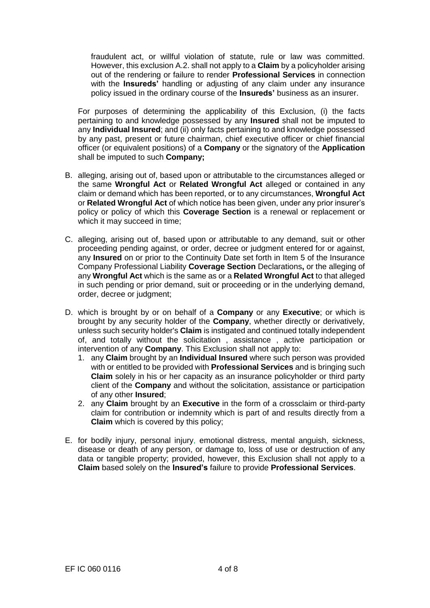fraudulent act, or willful violation of statute, rule or law was committed. However, this exclusion A.2. shall not apply to a **Claim** by a policyholder arising out of the rendering or failure to render **Professional Services** in connection with the **Insureds'** handling or adjusting of any claim under any insurance policy issued in the ordinary course of the **Insureds'** business as an insurer.

For purposes of determining the applicability of this Exclusion, (i) the facts pertaining to and knowledge possessed by any **Insured** shall not be imputed to any **Individual Insured**; and (ii) only facts pertaining to and knowledge possessed by any past, present or future chairman, chief executive officer or chief financial officer (or equivalent positions) of a **Company** or the signatory of the **Application**  shall be imputed to such **Company;**

- B. alleging, arising out of, based upon or attributable to the circumstances alleged or the same **Wrongful Act** or **Related Wrongful Act** alleged or contained in any claim or demand which has been reported, or to any circumstances, **Wrongful Act**  or **Related Wrongful Act** of which notice has been given, under any prior insurer's policy or policy of which this **Coverage Section** is a renewal or replacement or which it may succeed in time:
- C. alleging, arising out of, based upon or attributable to any demand, suit or other proceeding pending against, or order, decree or judgment entered for or against, any **Insured** on or prior to the Continuity Date set forth in Item 5 of the Insurance Company Professional Liability **Coverage Section** Declarations**,** or the alleging of any **Wrongful Act** which is the same as or a **Related Wrongful Act** to that alleged in such pending or prior demand, suit or proceeding or in the underlying demand, order, decree or judgment;
- D. which is brought by or on behalf of a **Company** or any **Executive**; or which is brought by any security holder of the **Company**, whether directly or derivatively, unless such security holder's **Claim** is instigated and continued totally independent of, and totally without the solicitation , assistance , active participation or intervention of any **Company**. This Exclusion shall not apply to:
	- 1. any **Claim** brought by an **Individual Insured** where such person was provided with or entitled to be provided with **Professional Services** and is bringing such **Claim** solely in his or her capacity as an insurance policyholder or third party client of the **Company** and without the solicitation, assistance or participation of any other **Insured**;
	- 2. any **Claim** brought by an **Executive** in the form of a crossclaim or third-party claim for contribution or indemnity which is part of and results directly from a **Claim** which is covered by this policy;
- E. for bodily injury, personal injury, emotional distress, mental anguish, sickness, disease or death of any person, or damage to, loss of use or destruction of any data or tangible property; provided, however, this Exclusion shall not apply to a **Claim** based solely on the **Insured's** failure to provide **Professional Services**.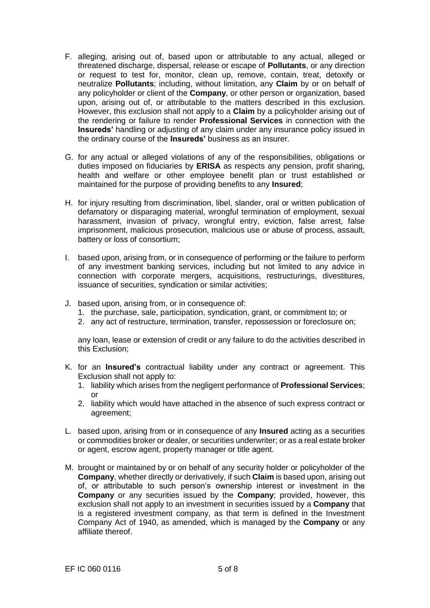- F. alleging, arising out of, based upon or attributable to any actual, alleged or threatened discharge, dispersal, release or escape of **Pollutants**, or any direction or request to test for, monitor, clean up, remove, contain, treat, detoxify or neutralize **Pollutants**; including, without limitation, any **Claim** by or on behalf of any policyholder or client of the **Company**, or other person or organization, based upon, arising out of, or attributable to the matters described in this exclusion. However, this exclusion shall not apply to a **Claim** by a policyholder arising out of the rendering or failure to render **Professional Services** in connection with the **Insureds'** handling or adjusting of any claim under any insurance policy issued in the ordinary course of the **Insureds'** business as an insurer.
- G. for any actual or alleged violations of any of the responsibilities, obligations or duties imposed on fiduciaries by **ERISA** as respects any pension, profit sharing, health and welfare or other employee benefit plan or trust established or maintained for the purpose of providing benefits to any **Insured**;
- H. for injury resulting from discrimination, libel, slander, oral or written publication of defamatory or disparaging material, wrongful termination of employment, sexual harassment, invasion of privacy, wrongful entry, eviction, false arrest, false imprisonment, malicious prosecution, malicious use or abuse of process, assault, battery or loss of consortium;
- I. based upon, arising from, or in consequence of performing or the failure to perform of any investment banking services, including but not limited to any advice in connection with corporate mergers, acquisitions, restructurings, divestitures, issuance of securities, syndication or similar activities;
- J. based upon, arising from, or in consequence of:
	- 1. the purchase, sale, participation, syndication, grant, or commitment to; or
	- 2. any act of restructure, termination, transfer, repossession or foreclosure on;

any loan, lease or extension of credit or any failure to do the activities described in this Exclusion;

- K. for an **Insured's** contractual liability under any contract or agreement. This Exclusion shall not apply to:
	- 1. liability which arises from the negligent performance of **Professional Services**; or
	- 2. liability which would have attached in the absence of such express contract or agreement;
- L. based upon, arising from or in consequence of any **Insured** acting as a securities or commodities broker or dealer, or securities underwriter; or as a real estate broker or agent, escrow agent, property manager or title agent.
- M. brought or maintained by or on behalf of any security holder or policyholder of the **Company**, whether directly or derivatively, if such **Claim** is based upon, arising out of, or attributable to such person's ownership interest or investment in the **Company** or any securities issued by the **Company**; provided, however, this exclusion shall not apply to an investment in securities issued by a **Company** that is a registered investment company, as that term is defined in the Investment Company Act of 1940, as amended, which is managed by the **Company** or any affiliate thereof.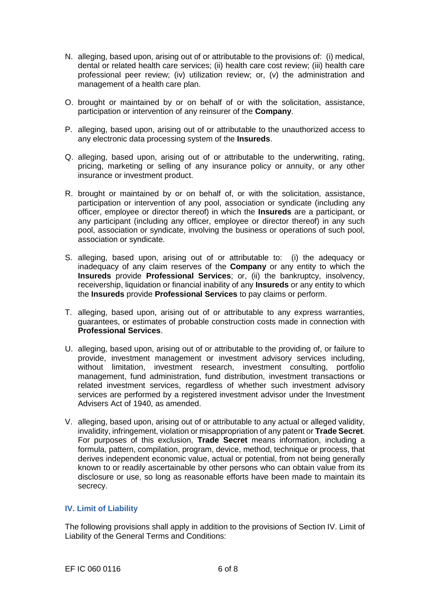- N. alleging, based upon, arising out of or attributable to the provisions of: (i) medical, dental or related health care services; (ii) health care cost review; (iii) health care professional peer review; (iv) utilization review; or, (v) the administration and management of a health care plan.
- O. brought or maintained by or on behalf of or with the solicitation, assistance, participation or intervention of any reinsurer of the **Company**.
- P. alleging, based upon, arising out of or attributable to the unauthorized access to any electronic data processing system of the **Insureds**.
- Q. alleging, based upon, arising out of or attributable to the underwriting, rating, pricing, marketing or selling of any insurance policy or annuity, or any other insurance or investment product.
- R. brought or maintained by or on behalf of, or with the solicitation, assistance, participation or intervention of any pool, association or syndicate (including any officer, employee or director thereof) in which the **Insureds** are a participant, or any participant (including any officer, employee or director thereof) in any such pool, association or syndicate, involving the business or operations of such pool, association or syndicate.
- S. alleging, based upon, arising out of or attributable to: (i) the adequacy or inadequacy of any claim reserves of the **Company** or any entity to which the **Insureds** provide **Professional Services**; or, (ii) the bankruptcy, insolvency, receivership, liquidation or financial inability of any **Insureds** or any entity to which the **Insureds** provide **Professional Services** to pay claims or perform.
- T. alleging, based upon, arising out of or attributable to any express warranties, guarantees, or estimates of probable construction costs made in connection with **Professional Services**.
- U. alleging, based upon, arising out of or attributable to the providing of, or failure to provide, investment management or investment advisory services including, without limitation, investment research, investment consulting, portfolio management, fund administration, fund distribution, investment transactions or related investment services, regardless of whether such investment advisory services are performed by a registered investment advisor under the Investment Advisers Act of 1940, as amended.
- V. alleging, based upon, arising out of or attributable to any actual or alleged validity, invalidity, infringement, violation or misappropriation of any patent or **Trade Secret**. For purposes of this exclusion, **Trade Secret** means information, including a formula, pattern, compilation, program, device, method, technique or process, that derives independent economic value, actual or potential, from not being generally known to or readily ascertainable by other persons who can obtain value from its disclosure or use, so long as reasonable efforts have been made to maintain its secrecy.

## **IV. Limit of Liability**

The following provisions shall apply in addition to the provisions of Section IV. Limit of Liability of the General Terms and Conditions: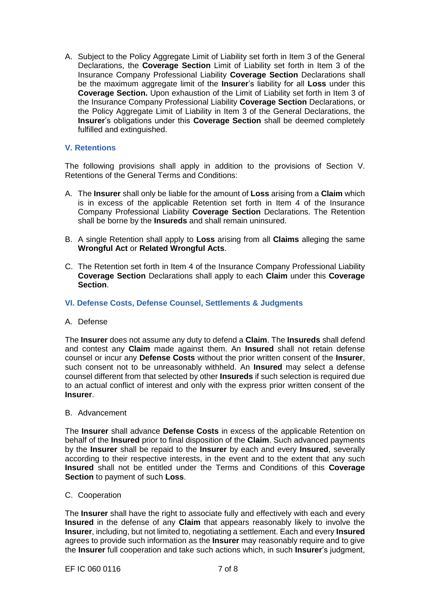A. Subject to the Policy Aggregate Limit of Liability set forth in Item 3 of the General Declarations, the **Coverage Section** Limit of Liability set forth in Item 3 of the Insurance Company Professional Liability **Coverage Section** Declarations shall be the maximum aggregate limit of the **Insurer**'s liability for all **Loss** under this **Coverage Section.** Upon exhaustion of the Limit of Liability set forth in Item 3 of the Insurance Company Professional Liability **Coverage Section** Declarations, or the Policy Aggregate Limit of Liability in Item 3 of the General Declarations, the **Insurer**'s obligations under this **Coverage Section** shall be deemed completely fulfilled and extinguished.

## **V. Retentions**

The following provisions shall apply in addition to the provisions of Section V. Retentions of the General Terms and Conditions:

- A. The **Insurer** shall only be liable for the amount of **Loss** arising from a **Claim** which is in excess of the applicable Retention set forth in Item 4 of the Insurance Company Professional Liability **Coverage Section** Declarations. The Retention shall be borne by the **Insureds** and shall remain uninsured.
- B. A single Retention shall apply to **Loss** arising from all **Claims** alleging the same **Wrongful Act** or **Related Wrongful Acts**.
- C. The Retention set forth in Item 4 of the Insurance Company Professional Liability **Coverage Section** Declarations shall apply to each **Claim** under this **Coverage Section**.

#### **VI. Defense Costs, Defense Counsel, Settlements & Judgments**

#### A. Defense

The **Insurer** does not assume any duty to defend a **Claim**. The **Insureds** shall defend and contest any **Claim** made against them. An **Insured** shall not retain defense counsel or incur any **Defense Costs** without the prior written consent of the **Insurer**, such consent not to be unreasonably withheld. An **Insured** may select a defense counsel different from that selected by other **Insureds** if such selection is required due to an actual conflict of interest and only with the express prior written consent of the **Insurer**.

#### B. Advancement

The **Insurer** shall advance **Defense Costs** in excess of the applicable Retention on behalf of the **Insured** prior to final disposition of the **Claim**. Such advanced payments by the **Insurer** shall be repaid to the **Insurer** by each and every **Insured**, severally according to their respective interests, in the event and to the extent that any such **Insured** shall not be entitled under the Terms and Conditions of this **Coverage Section** to payment of such **Loss**.

#### C. Cooperation

The **Insurer** shall have the right to associate fully and effectively with each and every **Insured** in the defense of any **Claim** that appears reasonably likely to involve the **Insurer**, including, but not limited to, negotiating a settlement. Each and every **Insured**  agrees to provide such information as the **Insurer** may reasonably require and to give the **Insurer** full cooperation and take such actions which, in such **Insurer**'s judgment,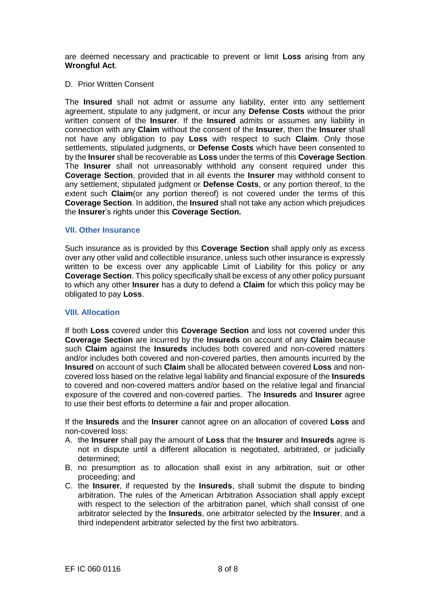are deemed necessary and practicable to prevent or limit **Loss** arising from any **Wrongful Act**.

D. Prior Written Consent

The **Insured** shall not admit or assume any liability, enter into any settlement agreement, stipulate to any judgment, or incur any **Defense Costs** without the prior written consent of the **Insurer**. If the **Insured** admits or assumes any liability in connection with any **Claim** without the consent of the **Insurer**, then the **Insurer** shall not have any obligation to pay **Loss** with respect to such **Claim**. Only those settlements, stipulated judgments, or **Defense Costs** which have been consented to by the **Insurer** shall be recoverable as **Loss** under the terms of this **Coverage Section**. The **Insurer** shall not unreasonably withhold any consent required under this **Coverage Section**, provided that in all events the **Insurer** may withhold consent to any settlement, stipulated judgment or **Defense Costs**, or any portion thereof, to the extent such **Claim**(or any portion thereof) is not covered under the terms of this **Coverage Section**. In addition, the **Insured** shall not take any action which prejudices the **Insurer**'s rights under this **Coverage Section.**

#### **VII. Other Insurance**

Such insurance as is provided by this **Coverage Section** shall apply only as excess over any other valid and collectible insurance, unless such other insurance is expressly written to be excess over any applicable Limit of Liability for this policy or any **Coverage Section**. This policy specifically shall be excess of any other policy pursuant to which any other **Insurer** has a duty to defend a **Claim** for which this policy may be obligated to pay **Loss**.

#### **VIII. Allocation**

If both **Loss** covered under this **Coverage Section** and loss not covered under this **Coverage Section** are incurred by the **Insureds** on account of any **Claim** because such **Claim** against the **Insureds** includes both covered and non-covered matters and/or includes both covered and non-covered parties, then amounts incurred by the **Insured** on account of such **Claim** shall be allocated between covered **Loss** and noncovered loss based on the relative legal liability and financial exposure of the **Insureds**  to covered and non-covered matters and/or based on the relative legal and financial exposure of the covered and non-covered parties. The **Insureds** and **Insurer** agree to use their best efforts to determine a fair and proper allocation.

If the **Insureds** and the **Insurer** cannot agree on an allocation of covered **Loss** and non-covered loss:

- A. the **Insurer** shall pay the amount of **Loss** that the **Insurer** and **Insureds** agree is not in dispute until a different allocation is negotiated, arbitrated, or judicially determined;
- B. no presumption as to allocation shall exist in any arbitration, suit or other proceeding; and
- C. the **Insurer**, if requested by the **Insureds**, shall submit the dispute to binding arbitration. The rules of the American Arbitration Association shall apply except with respect to the selection of the arbitration panel, which shall consist of one arbitrator selected by the **Insureds**, one arbitrator selected by the **Insurer**, and a third independent arbitrator selected by the first two arbitrators.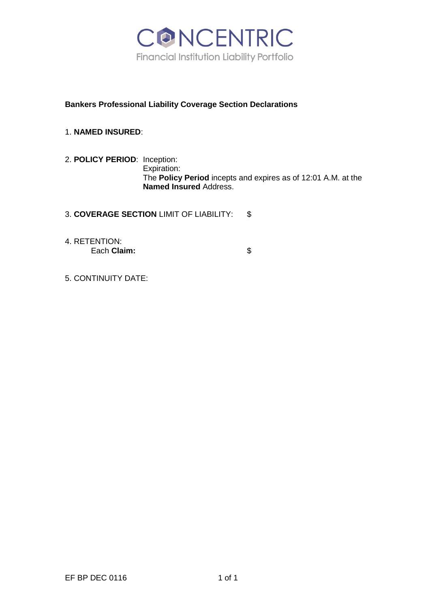

# **Bankers Professional Liability Coverage Section Declarations**

- 1. **NAMED INSURED**:
- 2. **POLICY PERIOD**: Inception: Expiration: The **Policy Period** incepts and expires as of 12:01 A.M. at the **Named Insured** Address.
- 3. **COVERAGE SECTION** LIMIT OF LIABILITY: \$
- 4. RETENTION: Each **Claim:**  $\qquad$  \$

5. CONTINUITY DATE: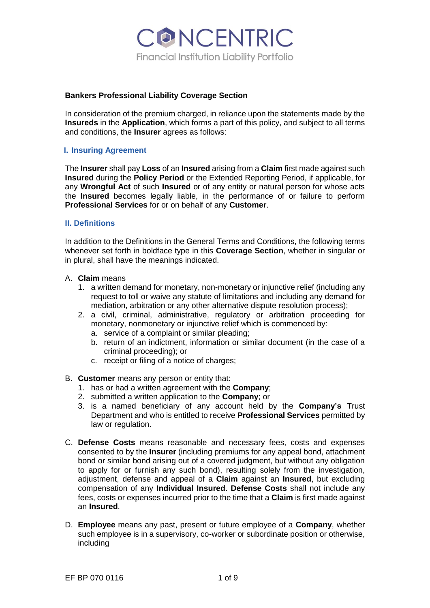

## **Bankers Professional Liability Coverage Section**

In consideration of the premium charged, in reliance upon the statements made by the **Insureds** in the **Application**, which forms a part of this policy, and subject to all terms and conditions, the **Insurer** agrees as follows:

### **I. Insuring Agreement**

The **Insurer** shall pay **Loss** of an **Insured** arising from a **Claim** first made against such **Insured** during the **Policy Period** or the Extended Reporting Period, if applicable, for any **Wrongful Act** of such **Insured** or of any entity or natural person for whose acts the **Insured** becomes legally liable, in the performance of or failure to perform **Professional Services** for or on behalf of any **Customer**.

#### **II. Definitions**

In addition to the Definitions in the General Terms and Conditions, the following terms whenever set forth in boldface type in this **Coverage Section**, whether in singular or in plural, shall have the meanings indicated.

- A. **Claim** means
	- 1. a written demand for monetary, non-monetary or injunctive relief (including any request to toll or waive any statute of limitations and including any demand for mediation, arbitration or any other alternative dispute resolution process);
	- 2. a civil, criminal, administrative, regulatory or arbitration proceeding for monetary, nonmonetary or injunctive relief which is commenced by:
		- a. service of a complaint or similar pleading;
		- b. return of an indictment, information or similar document (in the case of a criminal proceeding); or
		- c. receipt or filing of a notice of charges;
- B. **Customer** means any person or entity that:
	- 1. has or had a written agreement with the **Company**;
	- 2. submitted a written application to the **Company**; or
	- 3. is a named beneficiary of any account held by the **Company's** Trust Department and who is entitled to receive **Professional Services** permitted by law or regulation.
- C. **Defense Costs** means reasonable and necessary fees, costs and expenses consented to by the **Insurer** (including premiums for any appeal bond, attachment bond or similar bond arising out of a covered judgment, but without any obligation to apply for or furnish any such bond), resulting solely from the investigation, adjustment, defense and appeal of a **Claim** against an **Insured**, but excluding compensation of any **Individual Insured**. **Defense Costs** shall not include any fees, costs or expenses incurred prior to the time that a **Claim** is first made against an **Insured**.
- D. **Employee** means any past, present or future employee of a **Company**, whether such employee is in a supervisory, co-worker or subordinate position or otherwise, including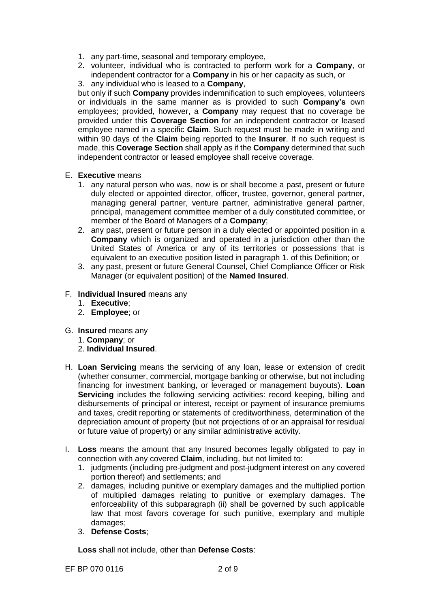- 1. any part-time, seasonal and temporary employee,
- 2. volunteer, individual who is contracted to perform work for a **Company**, or independent contractor for a **Company** in his or her capacity as such, or
- 3. any individual who is leased to a **Company**,

but only if such **Company** provides indemnification to such employees, volunteers or individuals in the same manner as is provided to such **Company's** own employees; provided, however, a **Company** may request that no coverage be provided under this **Coverage Section** for an independent contractor or leased employee named in a specific **Claim**. Such request must be made in writing and within 90 days of the **Claim** being reported to the **Insurer**. If no such request is made, this **Coverage Section** shall apply as if the **Company** determined that such independent contractor or leased employee shall receive coverage.

- E. **Executive** means
	- 1. any natural person who was, now is or shall become a past, present or future duly elected or appointed director, officer, trustee, governor, general partner, managing general partner, venture partner, administrative general partner, principal, management committee member of a duly constituted committee, or member of the Board of Managers of a **Company**;
	- 2. any past, present or future person in a duly elected or appointed position in a **Company** which is organized and operated in a jurisdiction other than the United States of America or any of its territories or possessions that is equivalent to an executive position listed in paragraph 1. of this Definition; or
	- 3. any past, present or future General Counsel, Chief Compliance Officer or Risk Manager (or equivalent position) of the **Named Insured**.
- F. **Individual Insured** means any
	- 1. **Executive**;
	- 2. **Employee**; or
- G. **Insured** means any
	- 1. **Company**; or
	- 2. **Individual Insured**.
- H. **Loan Servicing** means the servicing of any loan, lease or extension of credit (whether consumer, commercial, mortgage banking or otherwise, but not including financing for investment banking, or leveraged or management buyouts). **Loan Servicing** includes the following servicing activities: record keeping, billing and disbursements of principal or interest, receipt or payment of insurance premiums and taxes, credit reporting or statements of creditworthiness, determination of the depreciation amount of property (but not projections of or an appraisal for residual or future value of property) or any similar administrative activity.
- I. **Loss** means the amount that any Insured becomes legally obligated to pay in connection with any covered **Claim**, including, but not limited to:
	- 1. judgments (including pre-judgment and post-judgment interest on any covered portion thereof) and settlements; and
	- 2. damages, including punitive or exemplary damages and the multiplied portion of multiplied damages relating to punitive or exemplary damages. The enforceability of this subparagraph (ii) shall be governed by such applicable law that most favors coverage for such punitive, exemplary and multiple damages;
	- 3. **Defense Costs**;

**Loss** shall not include, other than **Defense Costs**: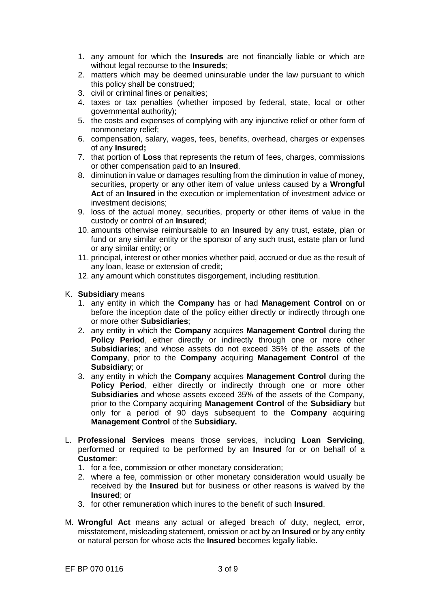- 1. any amount for which the **Insureds** are not financially liable or which are without legal recourse to the **Insureds**;
- 2. matters which may be deemed uninsurable under the law pursuant to which this policy shall be construed;
- 3. civil or criminal fines or penalties;
- 4. taxes or tax penalties (whether imposed by federal, state, local or other governmental authority);
- 5. the costs and expenses of complying with any injunctive relief or other form of nonmonetary relief;
- 6. compensation, salary, wages, fees, benefits, overhead, charges or expenses of any **Insured;**
- 7. that portion of **Loss** that represents the return of fees, charges, commissions or other compensation paid to an **Insured**.
- 8. diminution in value or damages resulting from the diminution in value of money, securities, property or any other item of value unless caused by a **Wrongful**  Act of an **Insured** in the execution or implementation of investment advice or investment decisions;
- 9. loss of the actual money, securities, property or other items of value in the custody or control of an **Insured**;
- 10. amounts otherwise reimbursable to an **Insured** by any trust, estate, plan or fund or any similar entity or the sponsor of any such trust, estate plan or fund or any similar entity; or
- 11. principal, interest or other monies whether paid, accrued or due as the result of any loan, lease or extension of credit;
- 12. any amount which constitutes disgorgement, including restitution.

## K. **Subsidiary** means

- 1. any entity in which the **Company** has or had **Management Control** on or before the inception date of the policy either directly or indirectly through one or more other **Subsidiaries**;
- 2. any entity in which the **Company** acquires **Management Control** during the **Policy Period**, either directly or indirectly through one or more other **Subsidiaries**; and whose assets do not exceed 35% of the assets of the **Company**, prior to the **Company** acquiring **Management Control** of the **Subsidiary**; or
- 3. any entity in which the **Company** acquires **Management Control** during the Policy Period, either directly or indirectly through one or more other **Subsidiaries** and whose assets exceed 35% of the assets of the Company, prior to the Company acquiring **Management Control** of the **Subsidiary** but only for a period of 90 days subsequent to the **Company** acquiring **Management Control** of the **Subsidiary.**
- L. **Professional Services** means those services, including **Loan Servicing**, performed or required to be performed by an **Insured** for or on behalf of a **Customer**:
	- 1. for a fee, commission or other monetary consideration;
	- 2. where a fee, commission or other monetary consideration would usually be received by the **Insured** but for business or other reasons is waived by the **Insured**; or
	- 3. for other remuneration which inures to the benefit of such **Insured**.
- M. **Wrongful Act** means any actual or alleged breach of duty, neglect, error, misstatement, misleading statement, omission or act by an **Insured** or by any entity or natural person for whose acts the **Insured** becomes legally liable.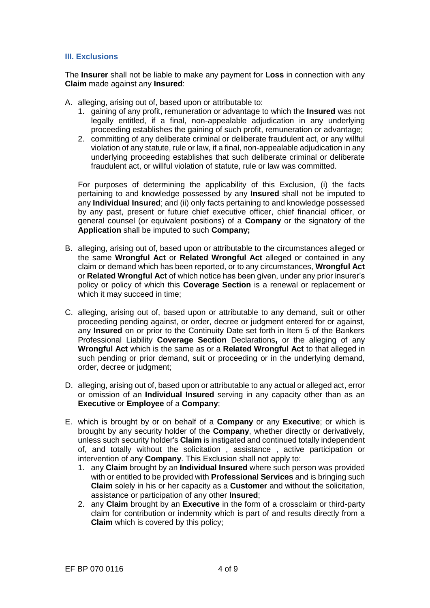## **III. Exclusions**

The **Insurer** shall not be liable to make any payment for **Loss** in connection with any **Claim** made against any **Insured**:

- A. alleging, arising out of, based upon or attributable to:
	- 1. gaining of any profit, remuneration or advantage to which the **Insured** was not legally entitled, if a final, non-appealable adjudication in any underlying proceeding establishes the gaining of such profit, remuneration or advantage;
	- 2. committing of any deliberate criminal or deliberate fraudulent act, or any willful violation of any statute, rule or law, if a final, non-appealable adjudication in any underlying proceeding establishes that such deliberate criminal or deliberate fraudulent act, or willful violation of statute, rule or law was committed.

For purposes of determining the applicability of this Exclusion, (i) the facts pertaining to and knowledge possessed by any **Insured** shall not be imputed to any **Individual Insured**; and (ii) only facts pertaining to and knowledge possessed by any past, present or future chief executive officer, chief financial officer, or general counsel (or equivalent positions) of a **Company** or the signatory of the **Application** shall be imputed to such **Company;**

- B. alleging, arising out of, based upon or attributable to the circumstances alleged or the same **Wrongful Act** or **Related Wrongful Act** alleged or contained in any claim or demand which has been reported, or to any circumstances, **Wrongful Act**  or **Related Wrongful Act** of which notice has been given, under any prior insurer's policy or policy of which this **Coverage Section** is a renewal or replacement or which it may succeed in time;
- C. alleging, arising out of, based upon or attributable to any demand, suit or other proceeding pending against, or order, decree or judgment entered for or against, any **Insured** on or prior to the Continuity Date set forth in Item 5 of the Bankers Professional Liability **Coverage Section** Declarations**,** or the alleging of any **Wrongful Act** which is the same as or a **Related Wrongful Act** to that alleged in such pending or prior demand, suit or proceeding or in the underlying demand, order, decree or judgment;
- D. alleging, arising out of, based upon or attributable to any actual or alleged act, error or omission of an **Individual Insured** serving in any capacity other than as an **Executive** or **Employee** of a **Company**;
- E. which is brought by or on behalf of a **Company** or any **Executive**; or which is brought by any security holder of the **Company**, whether directly or derivatively, unless such security holder's **Claim** is instigated and continued totally independent of, and totally without the solicitation , assistance , active participation or intervention of any **Company**. This Exclusion shall not apply to:
	- 1. any **Claim** brought by an **Individual Insured** where such person was provided with or entitled to be provided with **Professional Services** and is bringing such **Claim** solely in his or her capacity as a **Customer** and without the solicitation, assistance or participation of any other **Insured**;
	- 2. any **Claim** brought by an **Executive** in the form of a crossclaim or third-party claim for contribution or indemnity which is part of and results directly from a **Claim** which is covered by this policy;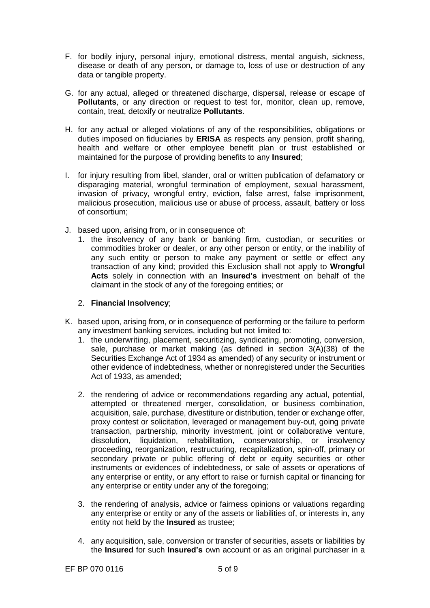- F. for bodily injury, personal injury, emotional distress, mental anguish, sickness, disease or death of any person, or damage to, loss of use or destruction of any data or tangible property.
- G. for any actual, alleged or threatened discharge, dispersal, release or escape of **Pollutants**, or any direction or request to test for, monitor, clean up, remove, contain, treat, detoxify or neutralize **Pollutants**.
- H. for any actual or alleged violations of any of the responsibilities, obligations or duties imposed on fiduciaries by **ERISA** as respects any pension, profit sharing, health and welfare or other employee benefit plan or trust established or maintained for the purpose of providing benefits to any **Insured**;
- I. for injury resulting from libel, slander, oral or written publication of defamatory or disparaging material, wrongful termination of employment, sexual harassment, invasion of privacy, wrongful entry, eviction, false arrest, false imprisonment, malicious prosecution, malicious use or abuse of process, assault, battery or loss of consortium;
- J. based upon, arising from, or in consequence of:
	- 1. the insolvency of any bank or banking firm, custodian, or securities or commodities broker or dealer, or any other person or entity, or the inability of any such entity or person to make any payment or settle or effect any transaction of any kind; provided this Exclusion shall not apply to **Wrongful Acts** solely in connection with an **Insured's** investment on behalf of the claimant in the stock of any of the foregoing entities; or

### 2. **Financial Insolvency**;

- K. based upon, arising from, or in consequence of performing or the failure to perform any investment banking services, including but not limited to:
	- 1. the underwriting, placement, securitizing, syndicating, promoting, conversion, sale, purchase or market making (as defined in section 3(A)(38) of the Securities Exchange Act of 1934 as amended) of any security or instrument or other evidence of indebtedness, whether or nonregistered under the Securities Act of 1933, as amended;
	- 2. the rendering of advice or recommendations regarding any actual, potential, attempted or threatened merger, consolidation, or business combination, acquisition, sale, purchase, divestiture or distribution, tender or exchange offer, proxy contest or solicitation, leveraged or management buy-out, going private transaction, partnership, minority investment, joint or collaborative venture, dissolution, liquidation, rehabilitation, conservatorship, or insolvency proceeding, reorganization, restructuring, recapitalization, spin-off, primary or secondary private or public offering of debt or equity securities or other instruments or evidences of indebtedness, or sale of assets or operations of any enterprise or entity, or any effort to raise or furnish capital or financing for any enterprise or entity under any of the foregoing;
	- 3. the rendering of analysis, advice or fairness opinions or valuations regarding any enterprise or entity or any of the assets or liabilities of, or interests in, any entity not held by the **Insured** as trustee;
	- 4. any acquisition, sale, conversion or transfer of securities, assets or liabilities by the **Insured** for such **Insured's** own account or as an original purchaser in a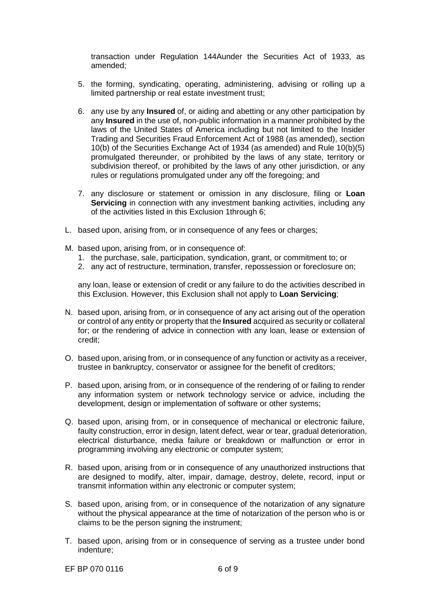transaction under Regulation 144Aunder the Securities Act of 1933, as amended;

- 5. the forming, syndicating, operating, administering, advising or rolling up a limited partnership or real estate investment trust;
- 6. any use by any **Insured** of, or aiding and abetting or any other participation by any **Insured** in the use of, non-public information in a manner prohibited by the laws of the United States of America including but not limited to the Insider Trading and Securities Fraud Enforcement Act of 1988 (as amended), section 10(b) of the Securities Exchange Act of 1934 (as amended) and Rule 10(b)(5) promulgated thereunder, or prohibited by the laws of any state, territory or subdivision thereof, or prohibited by the laws of any other jurisdiction, or any rules or regulations promulgated under any off the foregoing; and
- 7. any disclosure or statement or omission in any disclosure, filing or **Loan Servicing** in connection with any investment banking activities, including any of the activities listed in this Exclusion 1through 6;
- L. based upon, arising from, or in consequence of any fees or charges;
- M. based upon, arising from, or in consequence of:
	- 1. the purchase, sale, participation, syndication, grant, or commitment to; or
	- 2. any act of restructure, termination, transfer, repossession or foreclosure on;

any loan, lease or extension of credit or any failure to do the activities described in this Exclusion. However, this Exclusion shall not apply to **Loan Servicing**;

- N. based upon, arising from, or in consequence of any act arising out of the operation or control of any entity or property that the **Insured** acquired as security or collateral for; or the rendering of advice in connection with any loan, lease or extension of credit;
- O. based upon, arising from, or in consequence of any function or activity as a receiver, trustee in bankruptcy, conservator or assignee for the benefit of creditors;
- P. based upon, arising from, or in consequence of the rendering of or failing to render any information system or network technology service or advice, including the development, design or implementation of software or other systems;
- Q. based upon, arising from, or in consequence of mechanical or electronic failure, faulty construction, error in design, latent defect, wear or tear, gradual deterioration, electrical disturbance, media failure or breakdown or malfunction or error in programming involving any electronic or computer system;
- R. based upon, arising from or in consequence of any unauthorized instructions that are designed to modify, alter, impair, damage, destroy, delete, record, input or transmit information within any electronic or computer system;
- S. based upon, arising from, or in consequence of the notarization of any signature without the physical appearance at the time of notarization of the person who is or claims to be the person signing the instrument;
- T. based upon, arising from or in consequence of serving as a trustee under bond indenture;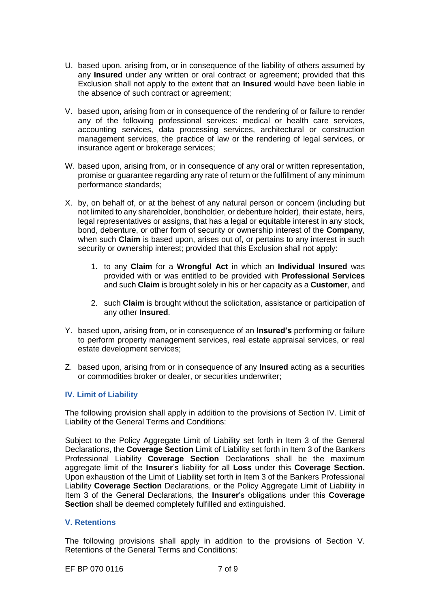- U. based upon, arising from, or in consequence of the liability of others assumed by any **Insured** under any written or oral contract or agreement; provided that this Exclusion shall not apply to the extent that an **Insured** would have been liable in the absence of such contract or agreement;
- V. based upon, arising from or in consequence of the rendering of or failure to render any of the following professional services: medical or health care services, accounting services, data processing services, architectural or construction management services, the practice of law or the rendering of legal services, or insurance agent or brokerage services;
- W. based upon, arising from, or in consequence of any oral or written representation, promise or guarantee regarding any rate of return or the fulfillment of any minimum performance standards;
- X. by, on behalf of, or at the behest of any natural person or concern (including but not limited to any shareholder, bondholder, or debenture holder), their estate, heirs, legal representatives or assigns, that has a legal or equitable interest in any stock, bond, debenture, or other form of security or ownership interest of the **Company**, when such **Claim** is based upon, arises out of, or pertains to any interest in such security or ownership interest; provided that this Exclusion shall not apply:
	- 1. to any **Claim** for a **Wrongful Act** in which an **Individual Insured** was provided with or was entitled to be provided with **Professional Services**  and such **Claim** is brought solely in his or her capacity as a **Customer**, and
	- 2. such **Claim** is brought without the solicitation, assistance or participation of any other **Insured**.
- Y. based upon, arising from, or in consequence of an **Insured's** performing or failure to perform property management services, real estate appraisal services, or real estate development services;
- Z. based upon, arising from or in consequence of any **Insured** acting as a securities or commodities broker or dealer, or securities underwriter;

## **IV. Limit of Liability**

The following provision shall apply in addition to the provisions of Section IV. Limit of Liability of the General Terms and Conditions:

Subject to the Policy Aggregate Limit of Liability set forth in Item 3 of the General Declarations, the **Coverage Section** Limit of Liability set forth in Item 3 of the Bankers Professional Liability **Coverage Section** Declarations shall be the maximum aggregate limit of the **Insurer**'s liability for all **Loss** under this **Coverage Section.** Upon exhaustion of the Limit of Liability set forth in Item 3 of the Bankers Professional Liability **Coverage Section** Declarations, or the Policy Aggregate Limit of Liability in Item 3 of the General Declarations, the **Insurer**'s obligations under this **Coverage Section** shall be deemed completely fulfilled and extinguished.

### **V. Retentions**

The following provisions shall apply in addition to the provisions of Section V. Retentions of the General Terms and Conditions:

EF BP 070 0116 7 of 9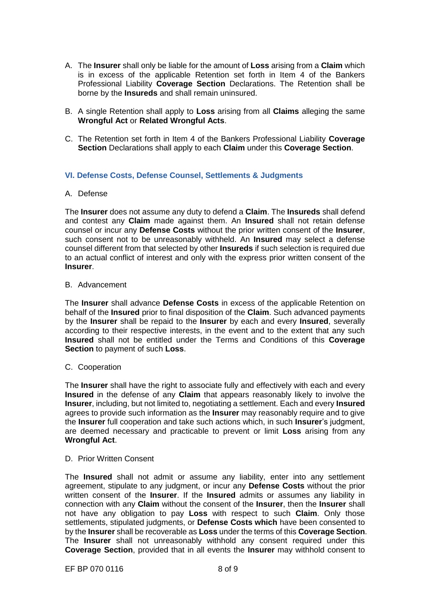- A. The **Insurer** shall only be liable for the amount of **Loss** arising from a **Claim** which is in excess of the applicable Retention set forth in Item 4 of the Bankers Professional Liability **Coverage Section** Declarations. The Retention shall be borne by the **Insureds** and shall remain uninsured.
- B. A single Retention shall apply to **Loss** arising from all **Claims** alleging the same **Wrongful Act** or **Related Wrongful Acts**.
- C. The Retention set forth in Item 4 of the Bankers Professional Liability **Coverage Section** Declarations shall apply to each **Claim** under this **Coverage Section**.

## **VI. Defense Costs, Defense Counsel, Settlements & Judgments**

#### A. Defense

The **Insurer** does not assume any duty to defend a **Claim**. The **Insureds** shall defend and contest any **Claim** made against them. An **Insured** shall not retain defense counsel or incur any **Defense Costs** without the prior written consent of the **Insurer**, such consent not to be unreasonably withheld. An **Insured** may select a defense counsel different from that selected by other **Insureds** if such selection is required due to an actual conflict of interest and only with the express prior written consent of the **Insurer**.

#### B. Advancement

The **Insurer** shall advance **Defense Costs** in excess of the applicable Retention on behalf of the **Insured** prior to final disposition of the **Claim**. Such advanced payments by the **Insurer** shall be repaid to the **Insurer** by each and every **Insured**, severally according to their respective interests, in the event and to the extent that any such **Insured** shall not be entitled under the Terms and Conditions of this **Coverage Section** to payment of such **Loss**.

#### C. Cooperation

The **Insurer** shall have the right to associate fully and effectively with each and every **Insured** in the defense of any **Claim** that appears reasonably likely to involve the **Insurer**, including, but not limited to, negotiating a settlement. Each and every **Insured**  agrees to provide such information as the **Insurer** may reasonably require and to give the **Insurer** full cooperation and take such actions which, in such **Insurer**'s judgment, are deemed necessary and practicable to prevent or limit **Loss** arising from any **Wrongful Act**.

#### D. Prior Written Consent

The **Insured** shall not admit or assume any liability, enter into any settlement agreement, stipulate to any judgment, or incur any **Defense Costs** without the prior written consent of the **Insurer**. If the **Insured** admits or assumes any liability in connection with any **Claim** without the consent of the **Insurer**, then the **Insurer** shall not have any obligation to pay **Loss** with respect to such **Claim**. Only those settlements, stipulated judgments, or **Defense Costs which** have been consented to by the **Insurer** shall be recoverable as **Loss** under the terms of this **Coverage Section**. The **Insurer** shall not unreasonably withhold any consent required under this **Coverage Section**, provided that in all events the **Insurer** may withhold consent to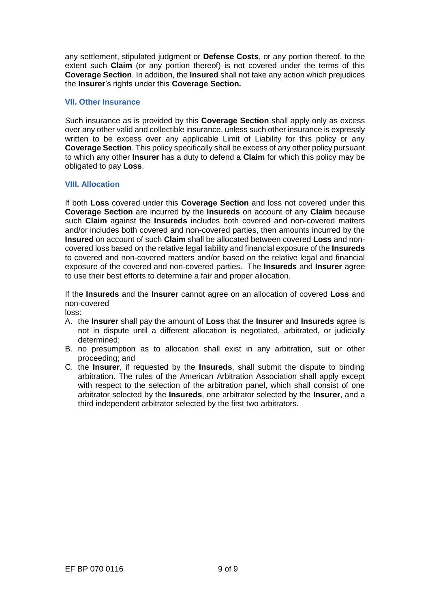any settlement, stipulated judgment or **Defense Costs**, or any portion thereof, to the extent such **Claim** (or any portion thereof) is not covered under the terms of this **Coverage Section**. In addition, the **Insured** shall not take any action which prejudices the **Insurer**'s rights under this **Coverage Section.**

### **VII. Other Insurance**

Such insurance as is provided by this **Coverage Section** shall apply only as excess over any other valid and collectible insurance, unless such other insurance is expressly written to be excess over any applicable Limit of Liability for this policy or any **Coverage Section**. This policy specifically shall be excess of any other policy pursuant to which any other **Insurer** has a duty to defend a **Claim** for which this policy may be obligated to pay **Loss**.

## **VIII. Allocation**

If both **Loss** covered under this **Coverage Section** and loss not covered under this **Coverage Section** are incurred by the **Insureds** on account of any **Claim** because such **Claim** against the **Insureds** includes both covered and non-covered matters and/or includes both covered and non-covered parties, then amounts incurred by the **Insured** on account of such **Claim** shall be allocated between covered **Loss** and noncovered loss based on the relative legal liability and financial exposure of the **Insureds**  to covered and non-covered matters and/or based on the relative legal and financial exposure of the covered and non-covered parties. The **Insureds** and **Insurer** agree to use their best efforts to determine a fair and proper allocation.

If the **Insureds** and the **Insurer** cannot agree on an allocation of covered **Loss** and non-covered

loss:

- A. the **Insurer** shall pay the amount of **Loss** that the **Insurer** and **Insureds** agree is not in dispute until a different allocation is negotiated, arbitrated, or judicially determined;
- B. no presumption as to allocation shall exist in any arbitration, suit or other proceeding; and
- C. the **Insurer**, if requested by the **Insureds**, shall submit the dispute to binding arbitration. The rules of the American Arbitration Association shall apply except with respect to the selection of the arbitration panel, which shall consist of one arbitrator selected by the **Insureds**, one arbitrator selected by the **Insurer**, and a third independent arbitrator selected by the first two arbitrators.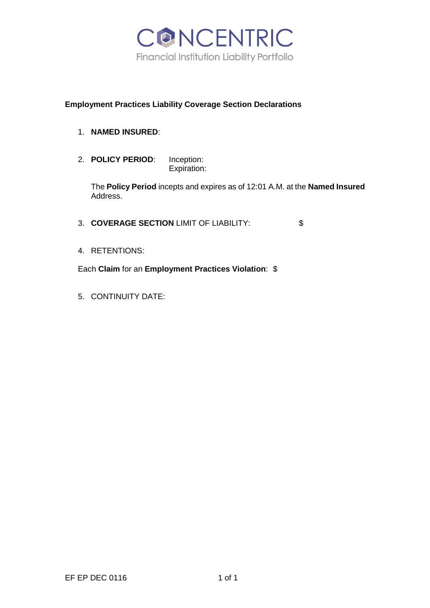

# **Employment Practices Liability Coverage Section Declarations**

- 1. **NAMED INSURED**:
- 2. **POLICY PERIOD**: Inception: Expiration:

The **Policy Period** incepts and expires as of 12:01 A.M. at the **Named Insured**  Address.

- 3. **COVERAGE SECTION** LIMIT OF LIABILITY: \$
- 4. RETENTIONS:

Each **Claim** for an **Employment Practices Violation**: \$

5. CONTINUITY DATE: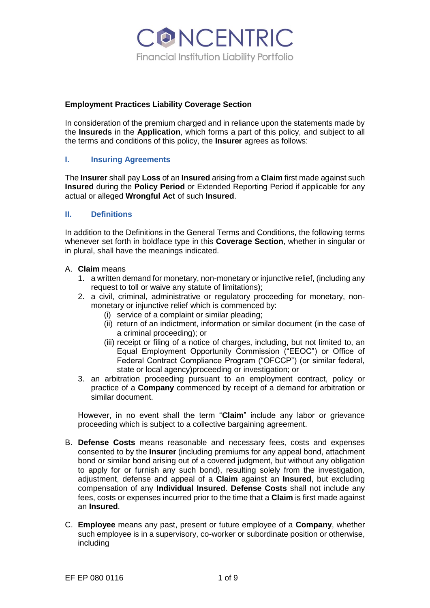

## **Employment Practices Liability Coverage Section**

In consideration of the premium charged and in reliance upon the statements made by the **Insureds** in the **Application**, which forms a part of this policy, and subject to all the terms and conditions of this policy, the **Insurer** agrees as follows:

## **I. Insuring Agreements**

The **Insurer** shall pay **Loss** of an **Insured** arising from a **Claim** first made against such **Insured** during the **Policy Period** or Extended Reporting Period if applicable for any actual or alleged **Wrongful Act** of such **Insured**.

## **II. Definitions**

In addition to the Definitions in the General Terms and Conditions, the following terms whenever set forth in boldface type in this **Coverage Section**, whether in singular or in plural, shall have the meanings indicated.

#### A. **Claim** means

- 1. a written demand for monetary, non-monetary or injunctive relief, (including any request to toll or waive any statute of limitations);
- 2. a civil, criminal, administrative or regulatory proceeding for monetary, nonmonetary or injunctive relief which is commenced by:
	- (i) service of a complaint or similar pleading;
	- (ii) return of an indictment, information or similar document (in the case of a criminal proceeding); or
	- (iii) receipt or filing of a notice of charges, including, but not limited to, an Equal Employment Opportunity Commission ("EEOC") or Office of Federal Contract Compliance Program ("OFCCP") (or similar federal, state or local agency)proceeding or investigation; or
- 3. an arbitration proceeding pursuant to an employment contract, policy or practice of a **Company** commenced by receipt of a demand for arbitration or similar document.

However, in no event shall the term "**Claim**" include any labor or grievance proceeding which is subject to a collective bargaining agreement.

- B. **Defense Costs** means reasonable and necessary fees, costs and expenses consented to by the **Insurer** (including premiums for any appeal bond, attachment bond or similar bond arising out of a covered judgment, but without any obligation to apply for or furnish any such bond), resulting solely from the investigation, adjustment, defense and appeal of a **Claim** against an **Insured**, but excluding compensation of any **Individual Insured**. **Defense Costs** shall not include any fees, costs or expenses incurred prior to the time that a **Claim** is first made against an **Insured**.
- C. **Employee** means any past, present or future employee of a **Company**, whether such employee is in a supervisory, co-worker or subordinate position or otherwise, including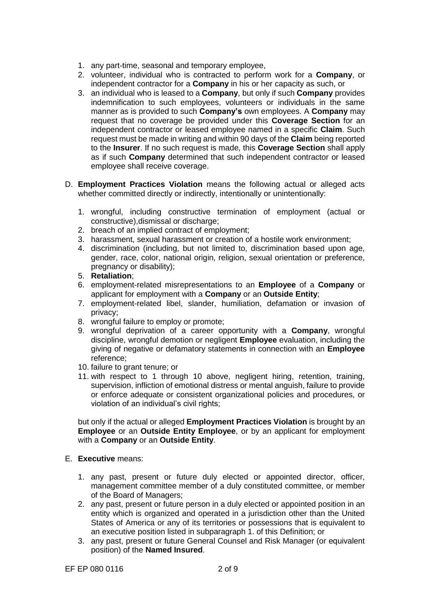- 1. any part-time, seasonal and temporary employee,
- 2. volunteer, individual who is contracted to perform work for a **Company**, or independent contractor for a **Company** in his or her capacity as such, or
- 3. an individual who is leased to a **Company**, but only if such **Company** provides indemnification to such employees, volunteers or individuals in the same manner as is provided to such **Company's** own employees. A **Company** may request that no coverage be provided under this **Coverage Section** for an independent contractor or leased employee named in a specific **Claim**. Such request must be made in writing and within 90 days of the **Claim** being reported to the **Insurer**. If no such request is made, this **Coverage Section** shall apply as if such **Company** determined that such independent contractor or leased employee shall receive coverage.
- D. **Employment Practices Violation** means the following actual or alleged acts whether committed directly or indirectly, intentionally or unintentionally:
	- 1. wrongful, including constructive termination of employment (actual or constructive),dismissal or discharge;
	- 2. breach of an implied contract of employment;
	- 3. harassment, sexual harassment or creation of a hostile work environment;
	- 4. discrimination (including, but not limited to, discrimination based upon age, gender, race, color, national origin, religion, sexual orientation or preference, pregnancy or disability);
	- 5. **Retaliation**;
	- 6. employment-related misrepresentations to an **Employee** of a **Company** or applicant for employment with a **Company** or an **Outside Entity**;
	- 7. employment-related libel, slander, humiliation, defamation or invasion of privacy;
	- 8. wrongful failure to employ or promote;
	- 9. wrongful deprivation of a career opportunity with a **Company**, wrongful discipline, wrongful demotion or negligent **Employee** evaluation, including the giving of negative or defamatory statements in connection with an **Employee**  reference;
	- 10. failure to grant tenure; or
	- 11. with respect to 1 through 10 above, negligent hiring, retention, training, supervision, infliction of emotional distress or mental anguish, failure to provide or enforce adequate or consistent organizational policies and procedures, or violation of an individual's civil rights;

but only if the actual or alleged **Employment Practices Violation** is brought by an **Employee** or an **Outside Entity Employee**, or by an applicant for employment with a **Company** or an **Outside Entity**.

- E. **Executive** means:
	- 1. any past, present or future duly elected or appointed director, officer, management committee member of a duly constituted committee, or member of the Board of Managers;
	- 2. any past, present or future person in a duly elected or appointed position in an entity which is organized and operated in a jurisdiction other than the United States of America or any of its territories or possessions that is equivalent to an executive position listed in subparagraph 1. of this Definition; or
	- 3. any past, present or future General Counsel and Risk Manager (or equivalent position) of the **Named Insured**.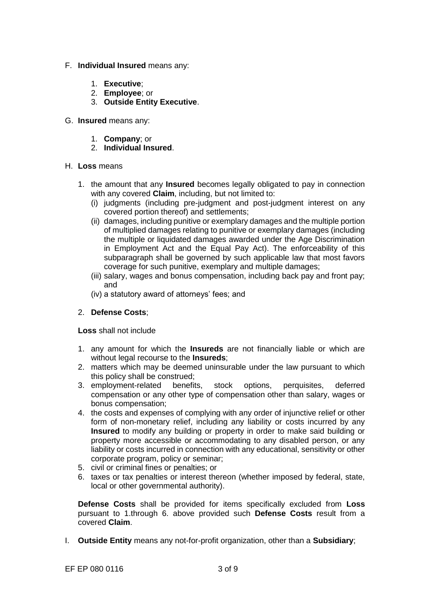- F. **Individual Insured** means any:
	- 1. **Executive**;
	- 2. **Employee**; or
	- 3. **Outside Entity Executive**.
- G. **Insured** means any:
	- 1. **Company**; or
	- 2. **Individual Insured**.
- H. **Loss** means
	- 1. the amount that any **Insured** becomes legally obligated to pay in connection with any covered **Claim**, including, but not limited to:
		- (i) judgments (including pre-judgment and post-judgment interest on any covered portion thereof) and settlements;
		- (ii) damages, including punitive or exemplary damages and the multiple portion of multiplied damages relating to punitive or exemplary damages (including the multiple or liquidated damages awarded under the Age Discrimination in Employment Act and the Equal Pay Act). The enforceability of this subparagraph shall be governed by such applicable law that most favors coverage for such punitive, exemplary and multiple damages;
		- (iii) salary, wages and bonus compensation, including back pay and front pay; and
		- (iv) a statutory award of attorneys' fees; and

# 2. **Defense Costs**;

**Loss** shall not include

- 1. any amount for which the **Insureds** are not financially liable or which are without legal recourse to the **Insureds**;
- 2. matters which may be deemed uninsurable under the law pursuant to which this policy shall be construed;<br>employment-related benefits, stock
- 3. employment-related benefits, stock options, perquisites, deferred compensation or any other type of compensation other than salary, wages or bonus compensation;
- 4. the costs and expenses of complying with any order of injunctive relief or other form of non-monetary relief, including any liability or costs incurred by any **Insured** to modify any building or property in order to make said building or property more accessible or accommodating to any disabled person, or any liability or costs incurred in connection with any educational, sensitivity or other corporate program, policy or seminar;
- 5. civil or criminal fines or penalties; or
- 6. taxes or tax penalties or interest thereon (whether imposed by federal, state, local or other governmental authority).

**Defense Costs** shall be provided for items specifically excluded from **Loss**  pursuant to 1.through 6. above provided such **Defense Costs** result from a covered **Claim**.

I. **Outside Entity** means any not-for-profit organization, other than a **Subsidiary**;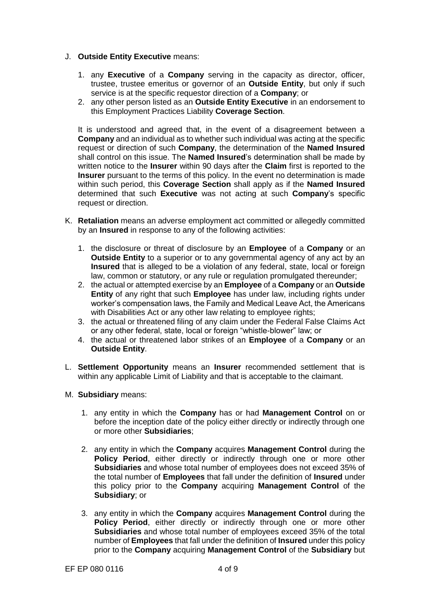- J. **Outside Entity Executive** means:
	- 1. any **Executive** of a **Company** serving in the capacity as director, officer, trustee, trustee emeritus or governor of an **Outside Entity**, but only if such service is at the specific requestor direction of a **Company**; or
	- 2. any other person listed as an **Outside Entity Executive** in an endorsement to this Employment Practices Liability **Coverage Section**.

It is understood and agreed that, in the event of a disagreement between a **Company** and an individual as to whether such individual was acting at the specific request or direction of such **Company**, the determination of the **Named Insured**  shall control on this issue. The **Named Insured**'s determination shall be made by written notice to the **Insurer** within 90 days after the **Claim** first is reported to the **Insurer** pursuant to the terms of this policy. In the event no determination is made within such period, this **Coverage Section** shall apply as if the **Named Insured**  determined that such **Executive** was not acting at such **Company**'s specific request or direction.

- K. **Retaliation** means an adverse employment act committed or allegedly committed by an **Insured** in response to any of the following activities:
	- 1. the disclosure or threat of disclosure by an **Employee** of a **Company** or an **Outside Entity** to a superior or to any governmental agency of any act by an **Insured** that is alleged to be a violation of any federal, state, local or foreign law, common or statutory, or any rule or regulation promulgated thereunder;
	- 2. the actual or attempted exercise by an **Employee** of a **Company** or an **Outside Entity** of any right that such **Employee** has under law, including rights under worker's compensation laws, the Family and Medical Leave Act, the Americans with Disabilities Act or any other law relating to employee rights;
	- 3. the actual or threatened filing of any claim under the Federal False Claims Act or any other federal, state, local or foreign "whistle-blower" law; or
	- 4. the actual or threatened labor strikes of an **Employee** of a **Company** or an **Outside Entity**.
- L. **Settlement Opportunity** means an **Insurer** recommended settlement that is within any applicable Limit of Liability and that is acceptable to the claimant.
- M. **Subsidiary** means:
	- 1. any entity in which the **Company** has or had **Management Control** on or before the inception date of the policy either directly or indirectly through one or more other **Subsidiaries**;
	- 2. any entity in which the **Company** acquires **Management Control** during the **Policy Period**, either directly or indirectly through one or more other **Subsidiaries** and whose total number of employees does not exceed 35% of the total number of **Employees** that fall under the definition of **Insured** under this policy prior to the **Company** acquiring **Management Control** of the **Subsidiary**; or
	- 3. any entity in which the **Company** acquires **Management Control** during the **Policy Period**, either directly or indirectly through one or more other **Subsidiaries** and whose total number of employees exceed 35% of the total number of **Employees** that fall under the definition of **Insured** under this policy prior to the **Company** acquiring **Management Control** of the **Subsidiary** but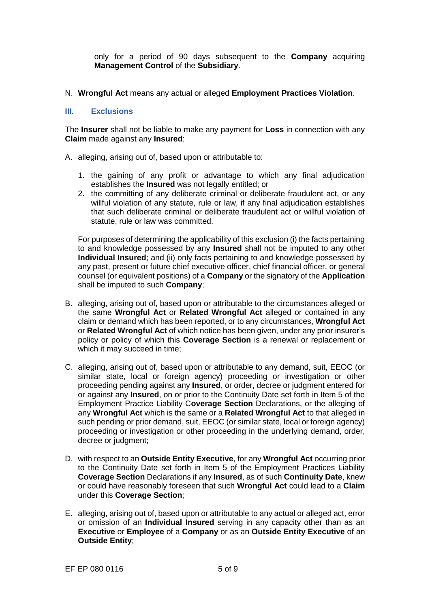only for a period of 90 days subsequent to the **Company** acquiring **Management Control** of the **Subsidiary**.

N. **Wrongful Act** means any actual or alleged **Employment Practices Violation**.

### **III. Exclusions**

The **Insurer** shall not be liable to make any payment for **Loss** in connection with any **Claim** made against any **Insured**:

- A. alleging, arising out of, based upon or attributable to:
	- 1. the gaining of any profit or advantage to which any final adjudication establishes the **Insured** was not legally entitled; or
	- 2. the committing of any deliberate criminal or deliberate fraudulent act, or any willful violation of any statute, rule or law, if any final adjudication establishes that such deliberate criminal or deliberate fraudulent act or willful violation of statute, rule or law was committed.

For purposes of determining the applicability of this exclusion (i) the facts pertaining to and knowledge possessed by any **Insured** shall not be imputed to any other **Individual Insured**; and (ii) only facts pertaining to and knowledge possessed by any past, present or future chief executive officer, chief financial officer, or general counsel (or equivalent positions) of a **Company** or the signatory of the **Application**  shall be imputed to such **Company**;

- B. alleging, arising out of, based upon or attributable to the circumstances alleged or the same **Wrongful Act** or **Related Wrongful Act** alleged or contained in any claim or demand which has been reported, or to any circumstances, **Wrongful Act**  or **Related Wrongful Act** of which notice has been given, under any prior insurer's policy or policy of which this **Coverage Section** is a renewal or replacement or which it may succeed in time;
- C. alleging, arising out of, based upon or attributable to any demand, suit, EEOC (or similar state, local or foreign agency) proceeding or investigation or other proceeding pending against any **Insured**, or order, decree or judgment entered for or against any **Insured**, on or prior to the Continuity Date set forth in Item 5 of the Employment Practice Liability C**overage Section** Declarations, or the alleging of any **Wrongful Act** which is the same or a **Related Wrongful Act** to that alleged in such pending or prior demand, suit, EEOC (or similar state, local or foreign agency) proceeding or investigation or other proceeding in the underlying demand, order, decree or judgment;
- D. with respect to an **Outside Entity Executive**, for any **Wrongful Act** occurring prior to the Continuity Date set forth in Item 5 of the Employment Practices Liability **Coverage Section** Declarations if any **Insured**, as of such **Continuity Date**, knew or could have reasonably foreseen that such **Wrongful Act** could lead to a **Claim**  under this **Coverage Section**;
- E. alleging, arising out of, based upon or attributable to any actual or alleged act, error or omission of an **Individual Insured** serving in any capacity other than as an **Executive** or **Employee** of a **Company** or as an **Outside Entity Executive** of an **Outside Entity**;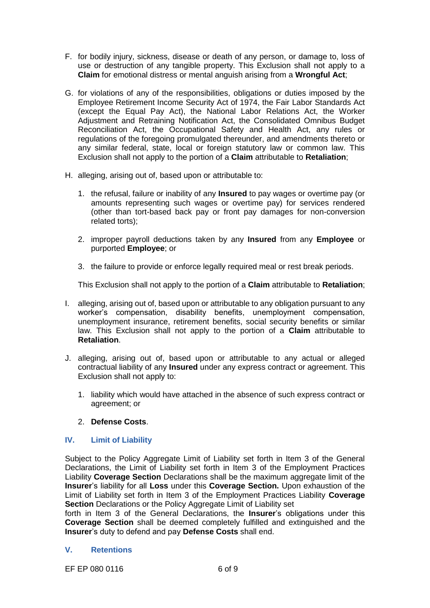- F. for bodily injury, sickness, disease or death of any person, or damage to, loss of use or destruction of any tangible property. This Exclusion shall not apply to a **Claim** for emotional distress or mental anguish arising from a **Wrongful Act**;
- G. for violations of any of the responsibilities, obligations or duties imposed by the Employee Retirement Income Security Act of 1974, the Fair Labor Standards Act (except the Equal Pay Act), the National Labor Relations Act, the Worker Adjustment and Retraining Notification Act, the Consolidated Omnibus Budget Reconciliation Act, the Occupational Safety and Health Act, any rules or regulations of the foregoing promulgated thereunder, and amendments thereto or any similar federal, state, local or foreign statutory law or common law. This Exclusion shall not apply to the portion of a **Claim** attributable to **Retaliation**;
- H. alleging, arising out of, based upon or attributable to:
	- 1. the refusal, failure or inability of any **Insured** to pay wages or overtime pay (or amounts representing such wages or overtime pay) for services rendered (other than tort-based back pay or front pay damages for non-conversion related torts);
	- 2. improper payroll deductions taken by any **Insured** from any **Employee** or purported **Employee**; or
	- 3. the failure to provide or enforce legally required meal or rest break periods.

This Exclusion shall not apply to the portion of a **Claim** attributable to **Retaliation**;

- I. alleging, arising out of, based upon or attributable to any obligation pursuant to any worker's compensation, disability benefits, unemployment compensation, unemployment insurance, retirement benefits, social security benefits or similar law. This Exclusion shall not apply to the portion of a **Claim** attributable to **Retaliation**.
- J. alleging, arising out of, based upon or attributable to any actual or alleged contractual liability of any **Insured** under any express contract or agreement. This Exclusion shall not apply to:
	- 1. liability which would have attached in the absence of such express contract or agreement; or

## 2. **Defense Costs**.

## **IV. Limit of Liability**

Subject to the Policy Aggregate Limit of Liability set forth in Item 3 of the General Declarations, the Limit of Liability set forth in Item 3 of the Employment Practices Liability **Coverage Section** Declarations shall be the maximum aggregate limit of the **Insurer**'s liability for all **Loss** under this **Coverage Section.** Upon exhaustion of the Limit of Liability set forth in Item 3 of the Employment Practices Liability **Coverage Section** Declarations or the Policy Aggregate Limit of Liability set

forth in Item 3 of the General Declarations, the **Insurer**'s obligations under this **Coverage Section** shall be deemed completely fulfilled and extinguished and the **Insurer**'s duty to defend and pay **Defense Costs** shall end.

## **V. Retentions**

EF EP 080 0116 6 of 9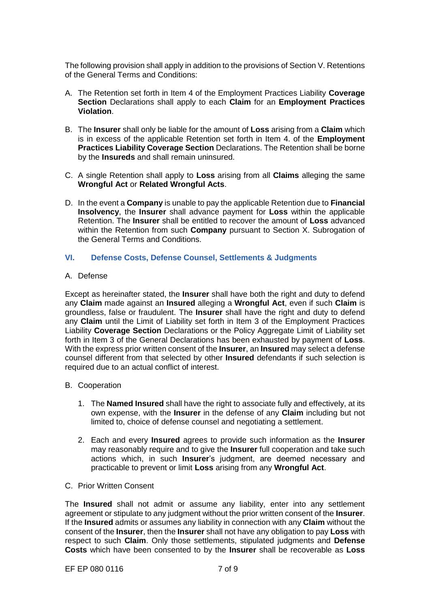The following provision shall apply in addition to the provisions of Section V. Retentions of the General Terms and Conditions:

- A. The Retention set forth in Item 4 of the Employment Practices Liability **Coverage Section** Declarations shall apply to each **Claim** for an **Employment Practices Violation**.
- B. The **Insurer** shall only be liable for the amount of **Loss** arising from a **Claim** which is in excess of the applicable Retention set forth in Item 4. of the **Employment Practices Liability Coverage Section** Declarations. The Retention shall be borne by the **Insureds** and shall remain uninsured.
- C. A single Retention shall apply to **Loss** arising from all **Claims** alleging the same **Wrongful Act** or **Related Wrongful Acts**.
- D. In the event a **Company** is unable to pay the applicable Retention due to **Financial Insolvency**, the **Insurer** shall advance payment for **Loss** within the applicable Retention. The **Insurer** shall be entitled to recover the amount of **Loss** advanced within the Retention from such **Company** pursuant to Section X. Subrogation of the General Terms and Conditions.

## **VI. Defense Costs, Defense Counsel, Settlements & Judgments**

#### A. Defense

Except as hereinafter stated, the **Insurer** shall have both the right and duty to defend any **Claim** made against an **Insured** alleging a **Wrongful Act**, even if such **Claim** is groundless, false or fraudulent. The **Insurer** shall have the right and duty to defend any **Claim** until the Limit of Liability set forth in Item 3 of the Employment Practices Liability **Coverage Section** Declarations or the Policy Aggregate Limit of Liability set forth in Item 3 of the General Declarations has been exhausted by payment of **Loss**. With the express prior written consent of the **Insurer**, an **Insured** may select a defense counsel different from that selected by other **Insured** defendants if such selection is required due to an actual conflict of interest.

#### B. Cooperation

- 1. The **Named Insured** shall have the right to associate fully and effectively, at its own expense, with the **Insurer** in the defense of any **Claim** including but not limited to, choice of defense counsel and negotiating a settlement.
- 2. Each and every **Insured** agrees to provide such information as the **Insurer**  may reasonably require and to give the **Insurer** full cooperation and take such actions which, in such **Insurer**'s judgment, are deemed necessary and practicable to prevent or limit **Loss** arising from any **Wrongful Act**.
- C. Prior Written Consent

The **Insured** shall not admit or assume any liability, enter into any settlement agreement or stipulate to any judgment without the prior written consent of the **Insurer**. If the **Insured** admits or assumes any liability in connection with any **Claim** without the consent of the **Insurer**, then the **Insurer** shall not have any obligation to pay **Loss** with respect to such **Claim**. Only those settlements, stipulated judgments and **Defense Costs** which have been consented to by the **Insurer** shall be recoverable as **Loss**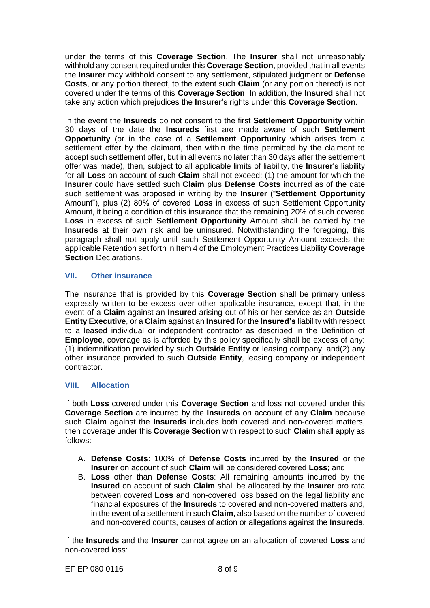under the terms of this **Coverage Section**. The **Insurer** shall not unreasonably withhold any consent required under this **Coverage Section**, provided that in all events the **Insurer** may withhold consent to any settlement, stipulated judgment or **Defense Costs**, or any portion thereof, to the extent such **Claim** (or any portion thereof) is not covered under the terms of this **Coverage Section**. In addition, the **Insured** shall not take any action which prejudices the **Insurer**'s rights under this **Coverage Section**.

In the event the **Insureds** do not consent to the first **Settlement Opportunity** within 30 days of the date the **Insureds** first are made aware of such **Settlement Opportunity** (or in the case of a **Settlement Opportunity** which arises from a settlement offer by the claimant, then within the time permitted by the claimant to accept such settlement offer, but in all events no later than 30 days after the settlement offer was made), then, subject to all applicable limits of liability, the **Insurer**'s liability for all **Loss** on account of such **Claim** shall not exceed: (1) the amount for which the **Insurer** could have settled such **Claim** plus **Defense Costs** incurred as of the date such settlement was proposed in writing by the **Insurer** ("**Settlement Opportunity** Amount"), plus (2) 80% of covered **Loss** in excess of such Settlement Opportunity Amount, it being a condition of this insurance that the remaining 20% of such covered **Loss** in excess of such **Settlement Opportunity** Amount shall be carried by the **Insureds** at their own risk and be uninsured. Notwithstanding the foregoing, this paragraph shall not apply until such Settlement Opportunity Amount exceeds the applicable Retention set forth in Item 4 of the Employment Practices Liability **Coverage Section** Declarations.

## **VII. Other insurance**

The insurance that is provided by this **Coverage Section** shall be primary unless expressly written to be excess over other applicable insurance, except that, in the event of a **Claim** against an **Insured** arising out of his or her service as an **Outside Entity Executive**, or a **Claim** against an **Insured** for the **Insured's** liability with respect to a leased individual or independent contractor as described in the Definition of **Employee**, coverage as is afforded by this policy specifically shall be excess of any: (1) indemnification provided by such **Outside Entity** or leasing company; and(2) any other insurance provided to such **Outside Entity**, leasing company or independent contractor.

# **VIII. Allocation**

If both **Loss** covered under this **Coverage Section** and loss not covered under this **Coverage Section** are incurred by the **Insureds** on account of any **Claim** because such **Claim** against the **Insureds** includes both covered and non-covered matters, then coverage under this **Coverage Section** with respect to such **Claim** shall apply as follows:

- A. **Defense Costs**: 100% of **Defense Costs** incurred by the **Insured** or the **Insurer** on account of such **Claim** will be considered covered **Loss**; and
- B. **Loss** other than **Defense Costs**: All remaining amounts incurred by the **Insured** on account of such **Claim** shall be allocated by the **Insurer** pro rata between covered **Loss** and non-covered loss based on the legal liability and financial exposures of the **Insureds** to covered and non-covered matters and, in the event of a settlement in such **Claim**, also based on the number of covered and non-covered counts, causes of action or allegations against the **Insureds**.

If the **Insureds** and the **Insurer** cannot agree on an allocation of covered **Loss** and non-covered loss:

EF EP 080 0116 8 of 9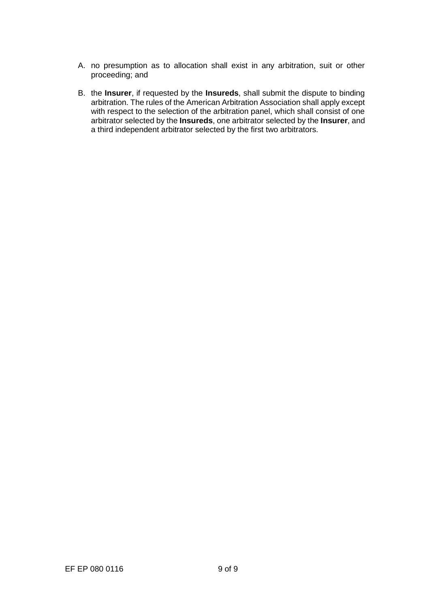- A. no presumption as to allocation shall exist in any arbitration, suit or other proceeding; and
- B. the **Insurer**, if requested by the **Insureds**, shall submit the dispute to binding arbitration. The rules of the American Arbitration Association shall apply except with respect to the selection of the arbitration panel, which shall consist of one arbitrator selected by the **Insureds**, one arbitrator selected by the **Insurer**, and a third independent arbitrator selected by the first two arbitrators.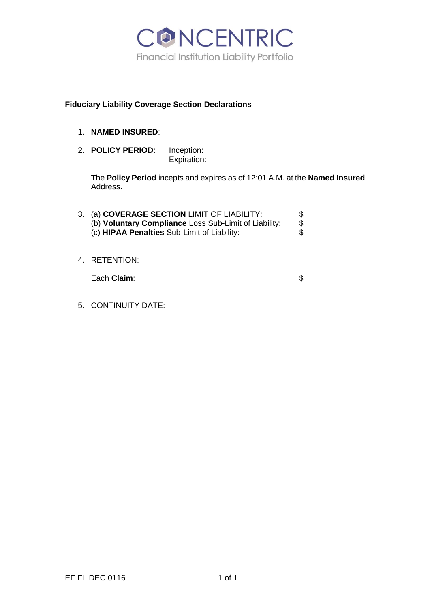

## **Fiduciary Liability Coverage Section Declarations**

- 1. **NAMED INSURED**:
- 2. **POLICY PERIOD**: Inception: Expiration:

The **Policy Period** incepts and expires as of 12:01 A.M. at the **Named Insured** Address.

| 3. (a) COVERAGE SECTION LIMIT OF LIABILITY:           | \$. |
|-------------------------------------------------------|-----|
| (b) Voluntary Compliance Loss Sub-Limit of Liability: | \$  |
| (c) HIPAA Penalties Sub-Limit of Liability:           | \$. |
|                                                       |     |

4. RETENTION:

Each **Claim**:  $\$\$$ 

5. CONTINUITY DATE: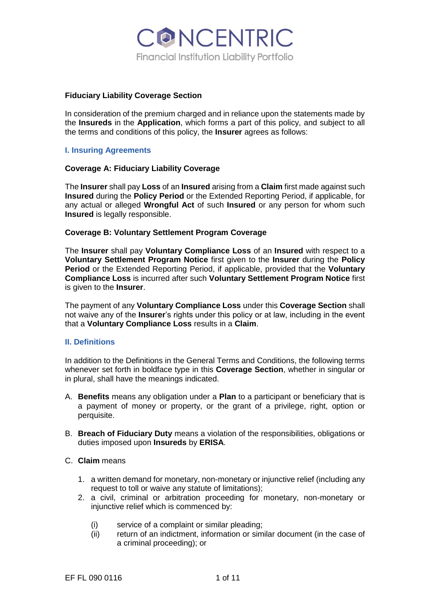

#### **Fiduciary Liability Coverage Section**

In consideration of the premium charged and in reliance upon the statements made by the **Insureds** in the **Application**, which forms a part of this policy, and subject to all the terms and conditions of this policy, the **Insurer** agrees as follows:

## **I. Insuring Agreements**

#### **Coverage A: Fiduciary Liability Coverage**

The **Insurer** shall pay **Loss** of an **Insured** arising from a **Claim** first made against such **Insured** during the **Policy Period** or the Extended Reporting Period, if applicable, for any actual or alleged **Wrongful Act** of such **Insured** or any person for whom such **Insured** is legally responsible.

#### **Coverage B: Voluntary Settlement Program Coverage**

The **Insurer** shall pay **Voluntary Compliance Loss** of an **Insured** with respect to a **Voluntary Settlement Program Notice** first given to the **Insurer** during the **Policy Period** or the Extended Reporting Period, if applicable, provided that the **Voluntary Compliance Loss** is incurred after such **Voluntary Settlement Program Notice** first is given to the **Insurer**.

The payment of any **Voluntary Compliance Loss** under this **Coverage Section** shall not waive any of the **Insurer**'s rights under this policy or at law, including in the event that a **Voluntary Compliance Loss** results in a **Claim**.

#### **II. Definitions**

In addition to the Definitions in the General Terms and Conditions, the following terms whenever set forth in boldface type in this **Coverage Section**, whether in singular or in plural, shall have the meanings indicated.

- A. **Benefits** means any obligation under a **Plan** to a participant or beneficiary that is a payment of money or property, or the grant of a privilege, right, option or perquisite.
- B. **Breach of Fiduciary Duty** means a violation of the responsibilities, obligations or duties imposed upon **Insureds** by **ERISA**.

#### C. **Claim** means

- 1. a written demand for monetary, non-monetary or injunctive relief (including any request to toll or waive any statute of limitations);
- 2. a civil, criminal or arbitration proceeding for monetary, non-monetary or injunctive relief which is commenced by:
	- (i) service of a complaint or similar pleading;
	- (ii) return of an indictment, information or similar document (in the case of a criminal proceeding); or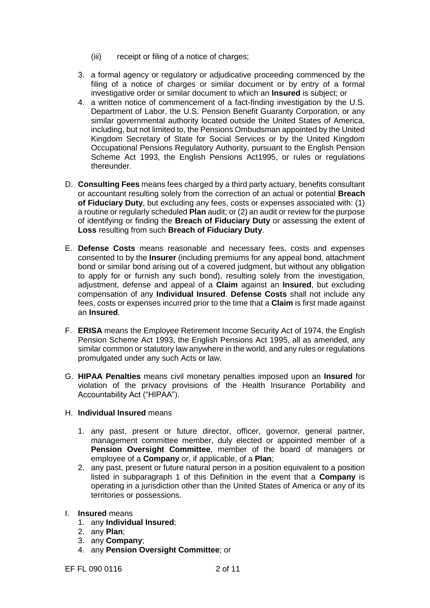- (iii) receipt or filing of a notice of charges;
- 3. a formal agency or regulatory or adjudicative proceeding commenced by the filing of a notice of charges or similar document or by entry of a formal investigative order or similar document to which an **Insured** is subject; or
- 4. a written notice of commencement of a fact-finding investigation by the U.S. Department of Labor, the U.S. Pension Benefit Guaranty Corporation, or any similar governmental authority located outside the United States of America, including, but not limited to, the Pensions Ombudsman appointed by the United Kingdom Secretary of State for Social Services or by the United Kingdom Occupational Pensions Regulatory Authority, pursuant to the English Pension Scheme Act 1993, the English Pensions Act1995, or rules or regulations thereunder.
- D. **Consulting Fees** means fees charged by a third party actuary, benefits consultant or accountant resulting solely from the correction of an actual or potential **Breach of Fiduciary Duty**, but excluding any fees, costs or expenses associated with: (1) a routine or regularly scheduled **Plan** audit; or (2) an audit or review for the purpose of identifying or finding the **Breach of Fiduciary Duty** or assessing the extent of **Loss** resulting from such **Breach of Fiduciary Duty**.
- E. **Defense Costs** means reasonable and necessary fees, costs and expenses consented to by the **Insurer** (including premiums for any appeal bond, attachment bond or similar bond arising out of a covered judgment, but without any obligation to apply for or furnish any such bond), resulting solely from the investigation, adjustment, defense and appeal of a **Claim** against an **Insured**, but excluding compensation of any **Individual Insured**. **Defense Costs** shall not include any fees, costs or expenses incurred prior to the time that a **Claim** is first made against an **Insured**.
- F. **ERISA** means the Employee Retirement Income Security Act of 1974, the English Pension Scheme Act 1993, the English Pensions Act 1995, all as amended, any similar common or statutory law anywhere in the world, and any rules or regulations promulgated under any such Acts or law.
- G. **HIPAA Penalties** means civil monetary penalties imposed upon an **Insured** for violation of the privacy provisions of the Health Insurance Portability and Accountability Act ("HIPAA").
- H. **Individual Insured** means
	- 1. any past, present or future director, officer, governor, general partner, management committee member, duly elected or appointed member of a **Pension Oversight Committee**, member of the board of managers or employee of a **Company** or, if applicable, of a **Plan**;
	- 2. any past, present or future natural person in a position equivalent to a position listed in subparagraph 1 of this Definition in the event that a **Company** is operating in a jurisdiction other than the United States of America or any of its territories or possessions.
- I. **Insured** means
	- 1. any **Individual Insured**;
	- 2. any **Plan**;
	- 3. any **Company**;
	- 4. any **Pension Oversight Committee**; or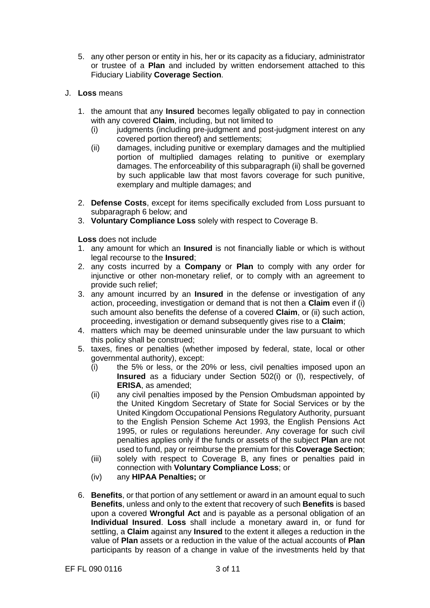- 5. any other person or entity in his, her or its capacity as a fiduciary, administrator or trustee of a **Plan** and included by written endorsement attached to this Fiduciary Liability **Coverage Section**.
- J. **Loss** means
	- 1. the amount that any **Insured** becomes legally obligated to pay in connection with any covered **Claim**, including, but not limited to
		- (i) judgments (including pre-judgment and post-judgment interest on any covered portion thereof) and settlements;
		- (ii) damages, including punitive or exemplary damages and the multiplied portion of multiplied damages relating to punitive or exemplary damages. The enforceability of this subparagraph (ii) shall be governed by such applicable law that most favors coverage for such punitive, exemplary and multiple damages; and
	- 2. **Defense Costs**, except for items specifically excluded from Loss pursuant to subparagraph 6 below; and
	- 3. **Voluntary Compliance Loss** solely with respect to Coverage B.

**Loss** does not include

- 1. any amount for which an **Insured** is not financially liable or which is without legal recourse to the **Insured**;
- 2. any costs incurred by a **Company** or **Plan** to comply with any order for injunctive or other non-monetary relief, or to comply with an agreement to provide such relief;
- 3. any amount incurred by an **Insured** in the defense or investigation of any action, proceeding, investigation or demand that is not then a **Claim** even if (i) such amount also benefits the defense of a covered **Claim**, or (ii) such action, proceeding, investigation or demand subsequently gives rise to a **Claim**;
- 4. matters which may be deemed uninsurable under the law pursuant to which this policy shall be construed;
- 5. taxes, fines or penalties (whether imposed by federal, state, local or other governmental authority), except:
	- (i) the 5% or less, or the 20% or less, civil penalties imposed upon an **Insured** as a fiduciary under Section 502(i) or (l), respectively, of **ERISA**, as amended;
	- (ii) any civil penalties imposed by the Pension Ombudsman appointed by the United Kingdom Secretary of State for Social Services or by the United Kingdom Occupational Pensions Regulatory Authority, pursuant to the English Pension Scheme Act 1993, the English Pensions Act 1995, or rules or regulations hereunder. Any coverage for such civil penalties applies only if the funds or assets of the subject **Plan** are not used to fund, pay or reimburse the premium for this **Coverage Section**;
	- (iii) solely with respect to Coverage B, any fines or penalties paid in connection with **Voluntary Compliance Loss**; or
	- (iv) any **HIPAA Penalties;** or
- 6. **Benefits**, or that portion of any settlement or award in an amount equal to such **Benefits**, unless and only to the extent that recovery of such **Benefits** is based upon a covered **Wrongful Act** and is payable as a personal obligation of an **Individual Insured**. **Loss** shall include a monetary award in, or fund for settling, a **Claim** against any **Insured** to the extent it alleges a reduction in the value of **Plan** assets or a reduction in the value of the actual accounts of **Plan**  participants by reason of a change in value of the investments held by that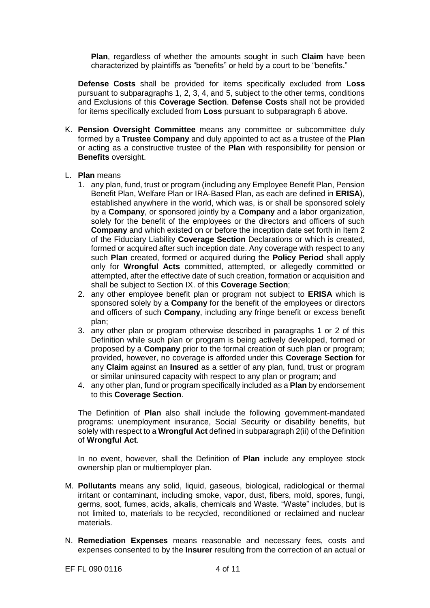**Plan**, regardless of whether the amounts sought in such **Claim** have been characterized by plaintiffs as "benefits" or held by a court to be "benefits."

**Defense Costs** shall be provided for items specifically excluded from **Loss**  pursuant to subparagraphs 1, 2, 3, 4, and 5, subject to the other terms, conditions and Exclusions of this **Coverage Section**. **Defense Costs** shall not be provided for items specifically excluded from **Loss** pursuant to subparagraph 6 above.

- K. **Pension Oversight Committee** means any committee or subcommittee duly formed by a **Trustee Company** and duly appointed to act as a trustee of the **Plan**  or acting as a constructive trustee of the **Plan** with responsibility for pension or **Benefits** oversight.
- L. **Plan** means
	- 1. any plan, fund, trust or program (including any Employee Benefit Plan, Pension Benefit Plan, Welfare Plan or IRA-Based Plan, as each are defined in **ERISA**), established anywhere in the world, which was, is or shall be sponsored solely by a **Company**, or sponsored jointly by a **Company** and a labor organization, solely for the benefit of the employees or the directors and officers of such **Company** and which existed on or before the inception date set forth in Item 2 of the Fiduciary Liability **Coverage Section** Declarations or which is created, formed or acquired after such inception date. Any coverage with respect to any such **Plan** created, formed or acquired during the **Policy Period** shall apply only for **Wrongful Acts** committed, attempted, or allegedly committed or attempted, after the effective date of such creation, formation or acquisition and shall be subject to Section IX. of this **Coverage Section**;
	- 2. any other employee benefit plan or program not subject to **ERISA** which is sponsored solely by a **Company** for the benefit of the employees or directors and officers of such **Company**, including any fringe benefit or excess benefit plan;
	- 3. any other plan or program otherwise described in paragraphs 1 or 2 of this Definition while such plan or program is being actively developed, formed or proposed by a **Company** prior to the formal creation of such plan or program; provided, however, no coverage is afforded under this **Coverage Section** for any **Claim** against an **Insured** as a settler of any plan, fund, trust or program or similar uninsured capacity with respect to any plan or program; and
	- 4. any other plan, fund or program specifically included as a **Plan** by endorsement to this **Coverage Section**.

The Definition of **Plan** also shall include the following government-mandated programs: unemployment insurance, Social Security or disability benefits, but solely with respect to a **Wrongful Act** defined in subparagraph 2(ii) of the Definition of **Wrongful Act**.

In no event, however, shall the Definition of **Plan** include any employee stock ownership plan or multiemployer plan.

- M. **Pollutants** means any solid, liquid, gaseous, biological, radiological or thermal irritant or contaminant, including smoke, vapor, dust, fibers, mold, spores, fungi, germs, soot, fumes, acids, alkalis, chemicals and Waste. "Waste" includes, but is not limited to, materials to be recycled, reconditioned or reclaimed and nuclear materials.
- N. **Remediation Expenses** means reasonable and necessary fees, costs and expenses consented to by the **Insurer** resulting from the correction of an actual or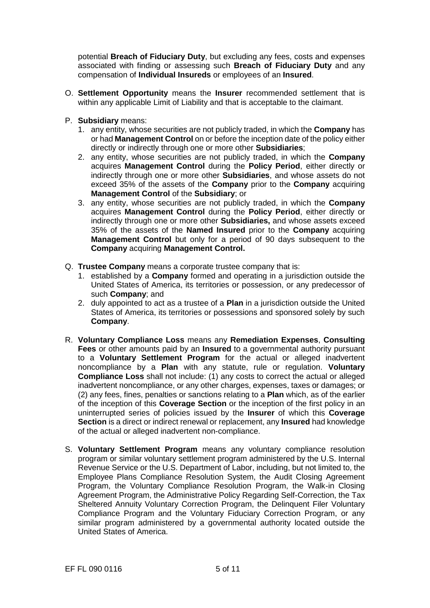potential **Breach of Fiduciary Duty**, but excluding any fees, costs and expenses associated with finding or assessing such **Breach of Fiduciary Duty** and any compensation of **Individual Insureds** or employees of an **Insured**.

- O. **Settlement Opportunity** means the **Insurer** recommended settlement that is within any applicable Limit of Liability and that is acceptable to the claimant.
- P. **Subsidiary** means:
	- 1. any entity, whose securities are not publicly traded, in which the **Company** has or had **Management Control** on or before the inception date of the policy either directly or indirectly through one or more other **Subsidiaries**;
	- 2. any entity, whose securities are not publicly traded, in which the **Company** acquires **Management Control** during the **Policy Period**, either directly or indirectly through one or more other **Subsidiaries**, and whose assets do not exceed 35% of the assets of the **Company** prior to the **Company** acquiring **Management Control of the Subsidiary; or**
	- 3. any entity, whose securities are not publicly traded, in which the **Company** acquires **Management Control** during the **Policy Period**, either directly or indirectly through one or more other **Subsidiaries,** and whose assets exceed 35% of the assets of the **Named Insured** prior to the **Company** acquiring **Management Control** but only for a period of 90 days subsequent to the **Company** acquiring **Management Control.**
- Q. **Trustee Company** means a corporate trustee company that is:
	- 1. established by a **Company** formed and operating in a jurisdiction outside the United States of America, its territories or possession, or any predecessor of such **Company**; and
	- 2. duly appointed to act as a trustee of a **Plan** in a jurisdiction outside the United States of America, its territories or possessions and sponsored solely by such **Company**.
- R. **Voluntary Compliance Loss** means any **Remediation Expenses**, **Consulting Fees** or other amounts paid by an **Insured** to a governmental authority pursuant to a **Voluntary Settlement Program** for the actual or alleged inadvertent noncompliance by a **Plan** with any statute, rule or regulation. **Voluntary Compliance Loss** shall not include: (1) any costs to correct the actual or alleged inadvertent noncompliance, or any other charges, expenses, taxes or damages; or (2) any fees, fines, penalties or sanctions relating to a **Plan** which, as of the earlier of the inception of this **Coverage Section** or the inception of the first policy in an uninterrupted series of policies issued by the **Insurer** of which this **Coverage Section** is a direct or indirect renewal or replacement, any **Insured** had knowledge of the actual or alleged inadvertent non-compliance.
- S. **Voluntary Settlement Program** means any voluntary compliance resolution program or similar voluntary settlement program administered by the U.S. Internal Revenue Service or the U.S. Department of Labor, including, but not limited to, the Employee Plans Compliance Resolution System, the Audit Closing Agreement Program, the Voluntary Compliance Resolution Program, the Walk-in Closing Agreement Program, the Administrative Policy Regarding Self-Correction, the Tax Sheltered Annuity Voluntary Correction Program, the Delinquent Filer Voluntary Compliance Program and the Voluntary Fiduciary Correction Program, or any similar program administered by a governmental authority located outside the United States of America.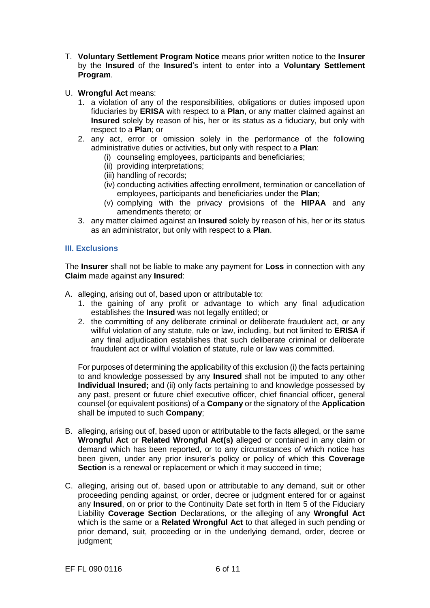- T. **Voluntary Settlement Program Notice** means prior written notice to the **Insurer**  by the **Insured** of the **Insured**'s intent to enter into a **Voluntary Settlement Program**.
- U. **Wrongful Act** means:
	- 1. a violation of any of the responsibilities, obligations or duties imposed upon fiduciaries by **ERISA** with respect to a **Plan**, or any matter claimed against an **Insured** solely by reason of his, her or its status as a fiduciary, but only with respect to a **Plan**; or
	- 2. any act, error or omission solely in the performance of the following administrative duties or activities, but only with respect to a **Plan**:
		- (i) counseling employees, participants and beneficiaries;
		- (ii) providing interpretations;
		- (iii) handling of records;
		- (iv) conducting activities affecting enrollment, termination or cancellation of employees, participants and beneficiaries under the **Plan**;
		- (v) complying with the privacy provisions of the **HIPAA** and any amendments thereto; or
	- 3. any matter claimed against an **Insured** solely by reason of his, her or its status as an administrator, but only with respect to a **Plan**.

## **III. Exclusions**

The **Insurer** shall not be liable to make any payment for **Loss** in connection with any **Claim** made against any **Insured**:

- A. alleging, arising out of, based upon or attributable to:
	- 1. the gaining of any profit or advantage to which any final adjudication establishes the **Insured** was not legally entitled; or
	- 2. the committing of any deliberate criminal or deliberate fraudulent act, or any willful violation of any statute, rule or law, including, but not limited to **ERISA** if any final adjudication establishes that such deliberate criminal or deliberate fraudulent act or willful violation of statute, rule or law was committed.

For purposes of determining the applicability of this exclusion (i) the facts pertaining to and knowledge possessed by any **Insured** shall not be imputed to any other **Individual Insured;** and (ii) only facts pertaining to and knowledge possessed by any past, present or future chief executive officer, chief financial officer, general counsel (or equivalent positions) of a **Company** or the signatory of the **Application**  shall be imputed to such **Company**;

- B. alleging, arising out of, based upon or attributable to the facts alleged, or the same **Wrongful Act** or **Related Wrongful Act(s)** alleged or contained in any claim or demand which has been reported, or to any circumstances of which notice has been given, under any prior insurer's policy or policy of which this **Coverage Section** is a renewal or replacement or which it may succeed in time;
- C. alleging, arising out of, based upon or attributable to any demand, suit or other proceeding pending against, or order, decree or judgment entered for or against any **Insured**, on or prior to the Continuity Date set forth in Item 5 of the Fiduciary Liability **Coverage Section** Declarations, or the alleging of any **Wrongful Act**  which is the same or a **Related Wrongful Act** to that alleged in such pending or prior demand, suit, proceeding or in the underlying demand, order, decree or judgment;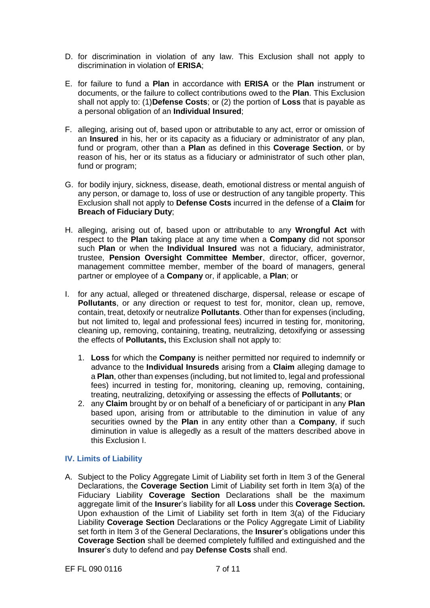- D. for discrimination in violation of any law. This Exclusion shall not apply to discrimination in violation of **ERISA**;
- E. for failure to fund a **Plan** in accordance with **ERISA** or the **Plan** instrument or documents, or the failure to collect contributions owed to the **Plan**. This Exclusion shall not apply to: (1)**Defense Costs**; or (2) the portion of **Loss** that is payable as a personal obligation of an **Individual Insured**;
- F. alleging, arising out of, based upon or attributable to any act, error or omission of an **Insured** in his, her or its capacity as a fiduciary or administrator of any plan, fund or program, other than a **Plan** as defined in this **Coverage Section**, or by reason of his, her or its status as a fiduciary or administrator of such other plan, fund or program;
- G. for bodily injury, sickness, disease, death, emotional distress or mental anguish of any person, or damage to, loss of use or destruction of any tangible property. This Exclusion shall not apply to **Defense Costs** incurred in the defense of a **Claim** for **Breach of Fiduciary Duty**;
- H. alleging, arising out of, based upon or attributable to any **Wrongful Act** with respect to the **Plan** taking place at any time when a **Company** did not sponsor such **Plan** or when the **Individual Insured** was not a fiduciary, administrator, trustee, **Pension Oversight Committee Member**, director, officer, governor, management committee member, member of the board of managers, general partner or employee of a **Company** or, if applicable, a **Plan**; or
- I. for any actual, alleged or threatened discharge, dispersal, release or escape of **Pollutants**, or any direction or request to test for, monitor, clean up, remove, contain, treat, detoxify or neutralize **Pollutants**. Other than for expenses (including, but not limited to, legal and professional fees) incurred in testing for, monitoring, cleaning up, removing, containing, treating, neutralizing, detoxifying or assessing the effects of **Pollutants,** this Exclusion shall not apply to:
	- 1. **Loss** for which the **Company** is neither permitted nor required to indemnify or advance to the **Individual Insureds** arising from a **Claim** alleging damage to a **Plan**, other than expenses (including, but not limited to, legal and professional fees) incurred in testing for, monitoring, cleaning up, removing, containing, treating, neutralizing, detoxifying or assessing the effects of **Pollutants**; or
	- 2. any **Claim** brought by or on behalf of a beneficiary of or participant in any **Plan** based upon, arising from or attributable to the diminution in value of any securities owned by the **Plan** in any entity other than a **Company**, if such diminution in value is allegedly as a result of the matters described above in this Exclusion I.

## **IV. Limits of Liability**

A. Subject to the Policy Aggregate Limit of Liability set forth in Item 3 of the General Declarations, the **Coverage Section** Limit of Liability set forth in Item 3(a) of the Fiduciary Liability **Coverage Section** Declarations shall be the maximum aggregate limit of the **Insure**r's liability for all **Loss** under this **Coverage Section.**  Upon exhaustion of the Limit of Liability set forth in Item 3(a) of the Fiduciary Liability **Coverage Section** Declarations or the Policy Aggregate Limit of Liability set forth in Item 3 of the General Declarations, the **Insurer**'s obligations under this **Coverage Section** shall be deemed completely fulfilled and extinguished and the **Insurer**'s duty to defend and pay **Defense Costs** shall end.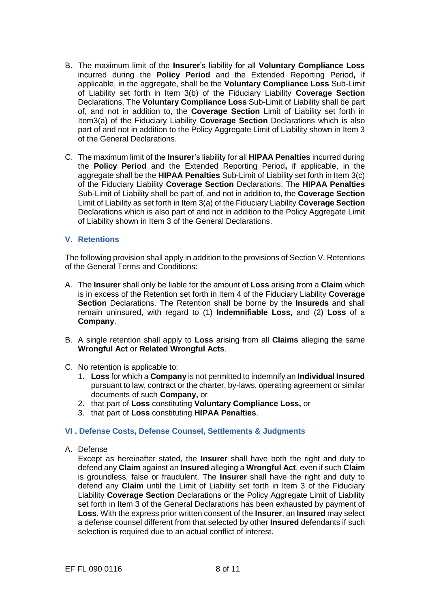- B. The maximum limit of the **Insurer**'s liability for all **Voluntary Compliance Loss**  incurred during the **Policy Period** and the Extended Reporting Period**,** if applicable, in the aggregate, shall be the **Voluntary Compliance Loss** Sub-Limit of Liability set forth in Item 3(b) of the Fiduciary Liability **Coverage Section**  Declarations. The **Voluntary Compliance Loss** Sub-Limit of Liability shall be part of, and not in addition to, the **Coverage Section** Limit of Liability set forth in Item3(a) of the Fiduciary Liability **Coverage Section** Declarations which is also part of and not in addition to the Policy Aggregate Limit of Liability shown in Item 3 of the General Declarations.
- C. The maximum limit of the **Insurer**'s liability for all **HIPAA Penalties** incurred during the **Policy Period** and the Extended Reporting Period**,** if applicable, in the aggregate shall be the **HIPAA Penalties** Sub-Limit of Liability set forth in Item 3(c) of the Fiduciary Liability **Coverage Section** Declarations. The **HIPAA Penalties**  Sub-Limit of Liability shall be part of, and not in addition to, the **Coverage Section**  Limit of Liability as set forth in Item 3(a) of the Fiduciary Liability **Coverage Section**  Declarations which is also part of and not in addition to the Policy Aggregate Limit of Liability shown in Item 3 of the General Declarations.

## **V. Retentions**

The following provision shall apply in addition to the provisions of Section V. Retentions of the General Terms and Conditions:

- A. The **Insurer** shall only be liable for the amount of **Loss** arising from a **Claim** which is in excess of the Retention set forth in Item 4 of the Fiduciary Liability **Coverage Section** Declarations. The Retention shall be borne by the **Insureds** and shall remain uninsured, with regard to (1) **Indemnifiable Loss,** and (2) **Loss** of a **Company**.
- B. A single retention shall apply to **Loss** arising from all **Claims** alleging the same **Wrongful Act** or **Related Wrongful Acts**.
- C. No retention is applicable to:
	- 1. **Loss** for which a **Company** is not permitted to indemnify an **Individual Insured**  pursuant to law, contract or the charter, by-laws, operating agreement or similar documents of such **Company,** or
	- 2. that part of **Loss** constituting **Voluntary Compliance Loss,** or
	- 3. that part of **Loss** constituting **HIPAA Penalties**.

#### **VI . Defense Costs, Defense Counsel, Settlements & Judgments**

A. Defense

Except as hereinafter stated, the **Insurer** shall have both the right and duty to defend any **Claim** against an **Insured** alleging a **Wrongful Act**, even if such **Claim**  is groundless, false or fraudulent. The **Insurer** shall have the right and duty to defend any **Claim** until the Limit of Liability set forth in Item 3 of the Fiduciary Liability **Coverage Section** Declarations or the Policy Aggregate Limit of Liability set forth in Item 3 of the General Declarations has been exhausted by payment of **Loss**. With the express prior written consent of the **Insurer**, an **Insured** may select a defense counsel different from that selected by other **Insured** defendants if such selection is required due to an actual conflict of interest.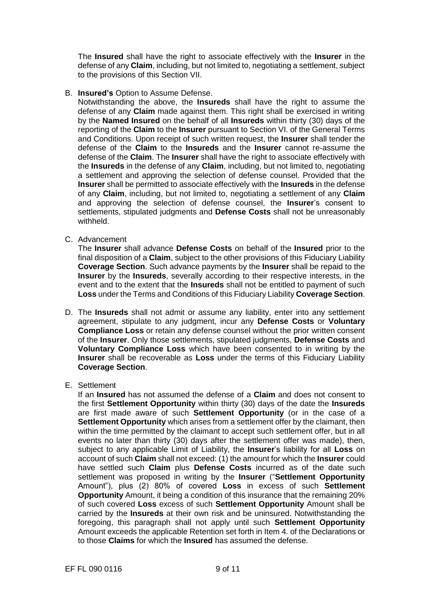The **Insured** shall have the right to associate effectively with the **Insurer** in the defense of any **Claim**, including, but not limited to, negotiating a settlement, subject to the provisions of this Section VII.

B. **Insured's** Option to Assume Defense.

Notwithstanding the above, the **Insureds** shall have the right to assume the defense of any **Claim** made against them. This right shall be exercised in writing by the **Named Insured** on the behalf of all **Insureds** within thirty (30) days of the reporting of the **Claim** to the **Insurer** pursuant to Section VI. of the General Terms and Conditions. Upon receipt of such written request, the **Insurer** shall tender the defense of the **Claim** to the **Insureds** and the **Insurer** cannot re-assume the defense of the **Claim**. The **Insurer** shall have the right to associate effectively with the **Insureds** in the defense of any **Claim**, including, but not limited to, negotiating a settlement and approving the selection of defense counsel. Provided that the **Insurer** shall be permitted to associate effectively with the **Insureds** in the defense of any **Claim**, including, but not limited to, negotiating a settlement of any **Claim**  and approving the selection of defense counsel, the **Insurer**'s consent to settlements, stipulated judgments and **Defense Costs** shall not be unreasonably withheld.

C. Advancement

The **Insurer** shall advance **Defense Costs** on behalf of the **Insured** prior to the final disposition of a **Claim**, subject to the other provisions of this Fiduciary Liability **Coverage Section**. Such advance payments by the **Insurer** shall be repaid to the **Insurer** by the **Insureds**, severally according to their respective interests, in the event and to the extent that the **Insureds** shall not be entitled to payment of such **Loss** under the Terms and Conditions of this Fiduciary Liability **Coverage Section**.

- D. The **Insureds** shall not admit or assume any liability, enter into any settlement agreement, stipulate to any judgment, incur any **Defense Costs** or **Voluntary Compliance Loss** or retain any defense counsel without the prior written consent of the **Insurer**. Only those settlements, stipulated judgments, **Defense Costs** and **Voluntary Compliance Loss** which have been consented to in writing by the **Insurer** shall be recoverable as **Loss** under the terms of this Fiduciary Liability **Coverage Section**.
- E. Settlement

If an **Insured** has not assumed the defense of a **Claim** and does not consent to the first **Settlement Opportunity** within thirty (30) days of the date the **Insureds**  are first made aware of such **Settlement Opportunity** (or in the case of a **Settlement Opportunity** which arises from a settlement offer by the claimant, then within the time permitted by the claimant to accept such settlement offer, but in all events no later than thirty (30) days after the settlement offer was made), then, subject to any applicable Limit of Liability, the **Insurer**'s liability for all **Loss** on account of such **Claim** shall not exceed: (1) the amount for which the **Insurer** could have settled such **Claim** plus **Defense Costs** incurred as of the date such settlement was proposed in writing by the **Insurer** ("**Settlement Opportunity**  Amount"), plus (2) 80% of covered **Loss** in excess of such **Settlement Opportunity** Amount, it being a condition of this insurance that the remaining 20% of such covered **Loss** excess of such **Settlement Opportunity** Amount shall be carried by the **Insureds** at their own risk and be uninsured. Notwithstanding the foregoing, this paragraph shall not apply until such **Settlement Opportunity**  Amount exceeds the applicable Retention set forth in Item 4. of the Declarations or to those **Claims** for which the **Insured** has assumed the defense.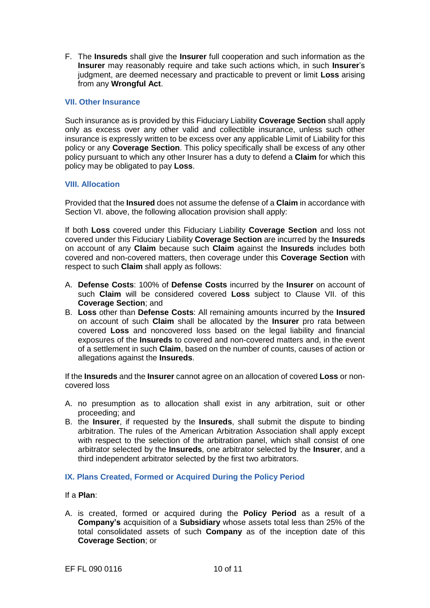F. The **Insureds** shall give the **Insurer** full cooperation and such information as the **Insurer** may reasonably require and take such actions which, in such **Insurer**'s judgment, are deemed necessary and practicable to prevent or limit **Loss** arising from any **Wrongful Act**.

## **VII. Other Insurance**

Such insurance as is provided by this Fiduciary Liability **Coverage Section** shall apply only as excess over any other valid and collectible insurance, unless such other insurance is expressly written to be excess over any applicable Limit of Liability for this policy or any **Coverage Section**. This policy specifically shall be excess of any other policy pursuant to which any other Insurer has a duty to defend a **Claim** for which this policy may be obligated to pay **Loss**.

## **VIII. Allocation**

Provided that the **Insured** does not assume the defense of a **Claim** in accordance with Section VI. above, the following allocation provision shall apply:

If both **Loss** covered under this Fiduciary Liability **Coverage Section** and loss not covered under this Fiduciary Liability **Coverage Section** are incurred by the **Insureds**  on account of any **Claim** because such **Claim** against the **Insureds** includes both covered and non-covered matters, then coverage under this **Coverage Section** with respect to such **Claim** shall apply as follows:

- A. **Defense Costs**: 100% of **Defense Costs** incurred by the **Insurer** on account of such **Claim** will be considered covered **Loss** subject to Clause VII. of this **Coverage Section**; and
- B. **Loss** other than **Defense Costs**: All remaining amounts incurred by the **Insured**  on account of such **Claim** shall be allocated by the **Insurer** pro rata between covered **Loss** and noncovered loss based on the legal liability and financial exposures of the **Insureds** to covered and non-covered matters and, in the event of a settlement in such **Claim**, based on the number of counts, causes of action or allegations against the **Insureds**.

If the **Insureds** and the **Insurer** cannot agree on an allocation of covered **Loss** or noncovered loss

- A. no presumption as to allocation shall exist in any arbitration, suit or other proceeding; and
- B. the **Insurer**, if requested by the **Insureds**, shall submit the dispute to binding arbitration. The rules of the American Arbitration Association shall apply except with respect to the selection of the arbitration panel, which shall consist of one arbitrator selected by the **Insureds**, one arbitrator selected by the **Insurer**, and a third independent arbitrator selected by the first two arbitrators.

## **IX. Plans Created, Formed or Acquired During the Policy Period**

If a **Plan**:

A. is created, formed or acquired during the **Policy Period** as a result of a **Company's** acquisition of a **Subsidiary** whose assets total less than 25% of the total consolidated assets of such **Company** as of the inception date of this **Coverage Section**; or